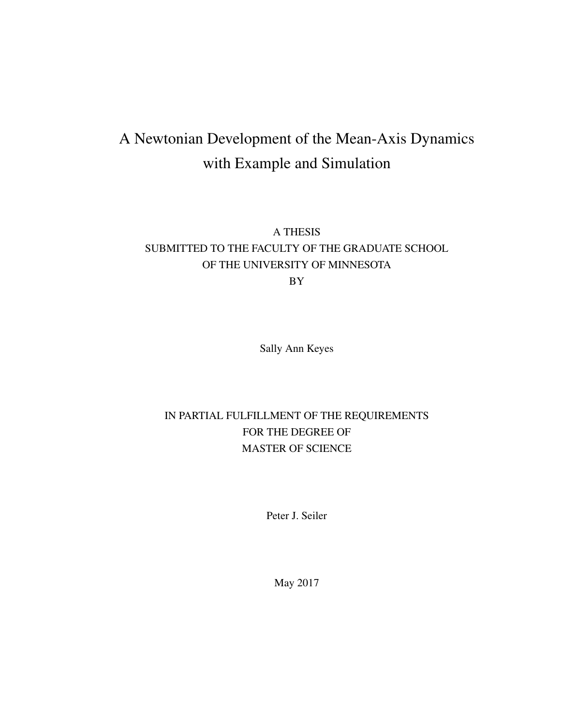### A Newtonian Development of the Mean-Axis Dynamics with Example and Simulation

### A THESIS SUBMITTED TO THE FACULTY OF THE GRADUATE SCHOOL OF THE UNIVERSITY OF MINNESOTA BY

Sally Ann Keyes

### IN PARTIAL FULFILLMENT OF THE REQUIREMENTS FOR THE DEGREE OF MASTER OF SCIENCE

Peter J. Seiler

May 2017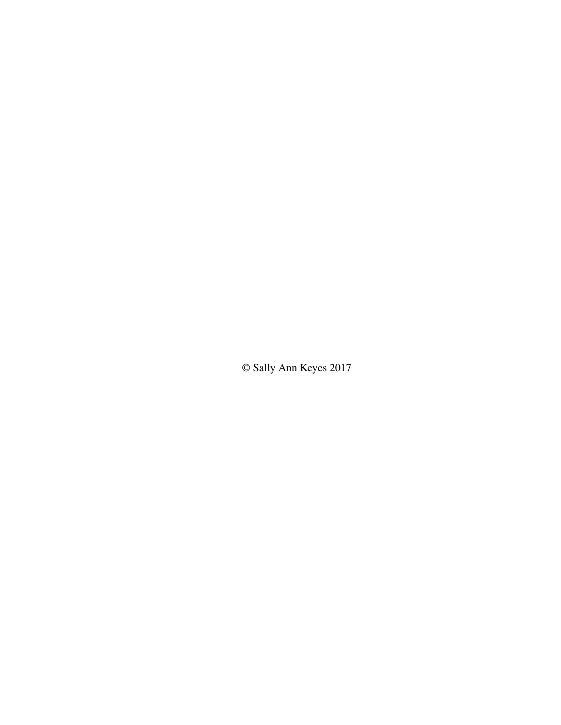© Sally Ann Keyes 2017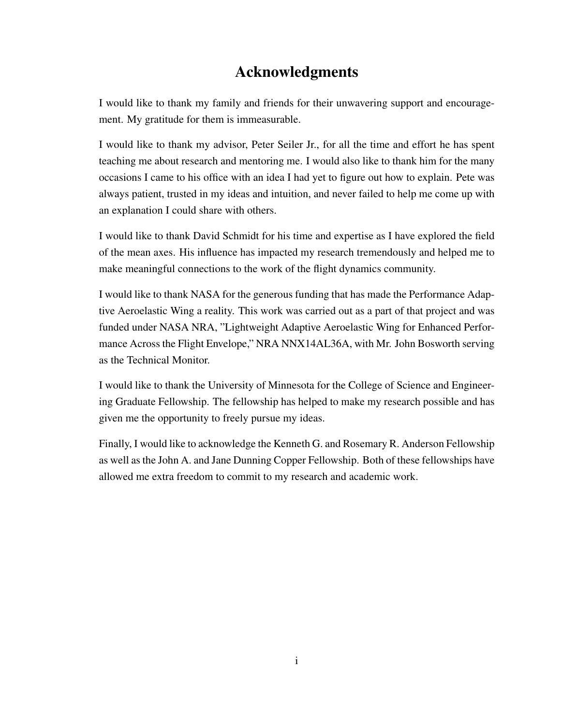### Acknowledgments

I would like to thank my family and friends for their unwavering support and encouragement. My gratitude for them is immeasurable.

I would like to thank my advisor, Peter Seiler Jr., for all the time and effort he has spent teaching me about research and mentoring me. I would also like to thank him for the many occasions I came to his office with an idea I had yet to figure out how to explain. Pete was always patient, trusted in my ideas and intuition, and never failed to help me come up with an explanation I could share with others.

I would like to thank David Schmidt for his time and expertise as I have explored the field of the mean axes. His influence has impacted my research tremendously and helped me to make meaningful connections to the work of the flight dynamics community.

I would like to thank NASA for the generous funding that has made the Performance Adaptive Aeroelastic Wing a reality. This work was carried out as a part of that project and was funded under NASA NRA, "Lightweight Adaptive Aeroelastic Wing for Enhanced Performance Across the Flight Envelope," NRA NNX14AL36A, with Mr. John Bosworth serving as the Technical Monitor.

I would like to thank the University of Minnesota for the College of Science and Engineering Graduate Fellowship. The fellowship has helped to make my research possible and has given me the opportunity to freely pursue my ideas.

Finally, I would like to acknowledge the Kenneth G. and Rosemary R. Anderson Fellowship as well as the John A. and Jane Dunning Copper Fellowship. Both of these fellowships have allowed me extra freedom to commit to my research and academic work.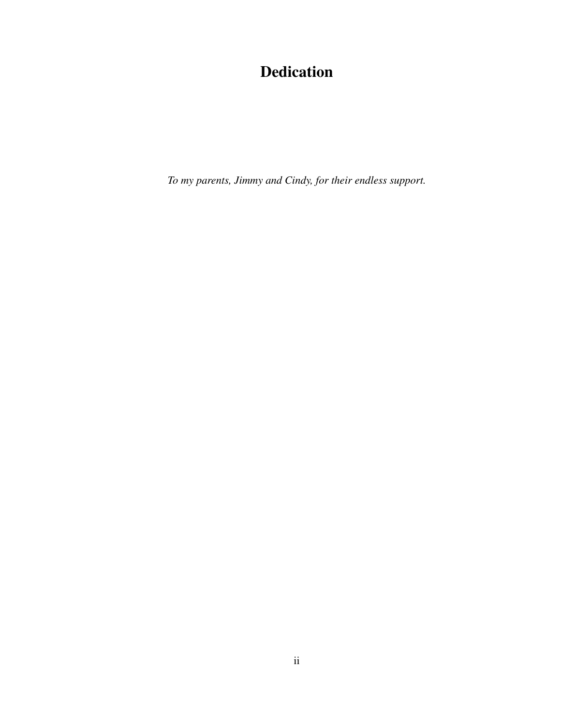### Dedication

*To my parents, Jimmy and Cindy, for their endless support.*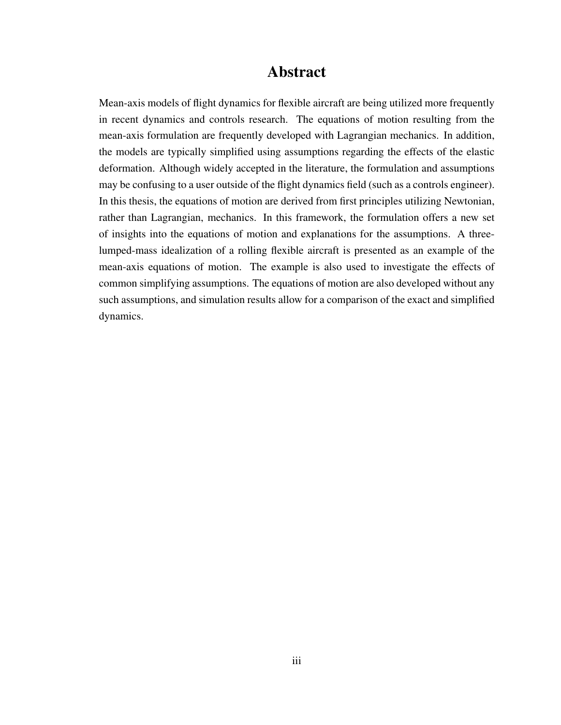### Abstract

Mean-axis models of flight dynamics for flexible aircraft are being utilized more frequently in recent dynamics and controls research. The equations of motion resulting from the mean-axis formulation are frequently developed with Lagrangian mechanics. In addition, the models are typically simplified using assumptions regarding the effects of the elastic deformation. Although widely accepted in the literature, the formulation and assumptions may be confusing to a user outside of the flight dynamics field (such as a controls engineer). In this thesis, the equations of motion are derived from first principles utilizing Newtonian, rather than Lagrangian, mechanics. In this framework, the formulation offers a new set of insights into the equations of motion and explanations for the assumptions. A threelumped-mass idealization of a rolling flexible aircraft is presented as an example of the mean-axis equations of motion. The example is also used to investigate the effects of common simplifying assumptions. The equations of motion are also developed without any such assumptions, and simulation results allow for a comparison of the exact and simplified dynamics.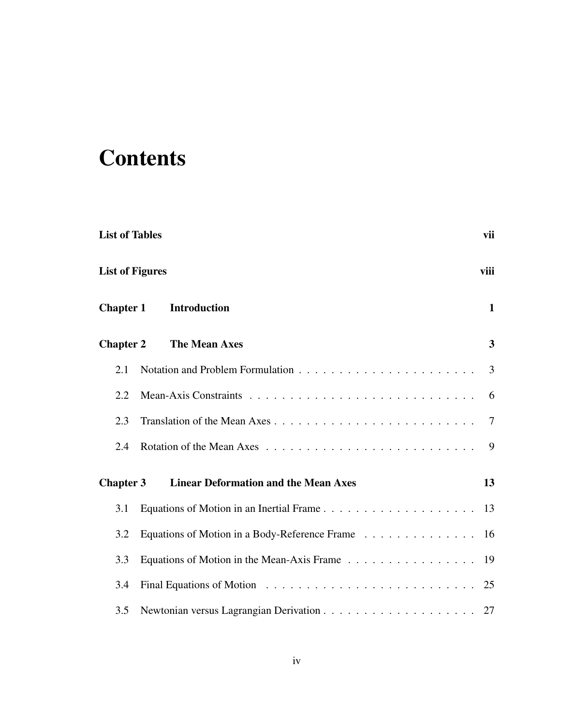# **Contents**

| <b>List of Tables</b>  |                                               | vii          |
|------------------------|-----------------------------------------------|--------------|
| <b>List of Figures</b> |                                               | viii         |
| <b>Chapter 1</b>       | <b>Introduction</b>                           | $\mathbf{1}$ |
| <b>Chapter 2</b>       | <b>The Mean Axes</b>                          | $\mathbf{3}$ |
| 2.1                    |                                               | 3            |
| 2.2                    |                                               | 6            |
| 2.3                    |                                               | 7            |
| 2.4                    |                                               | 9            |
| <b>Chapter 3</b>       | <b>Linear Deformation and the Mean Axes</b>   | 13           |
| 3.1                    |                                               |              |
| 3.2                    | Equations of Motion in a Body-Reference Frame | 16           |
| 3.3                    | Equations of Motion in the Mean-Axis Frame 19 |              |
| 3.4                    |                                               | 25           |
| 3.5                    |                                               | 27           |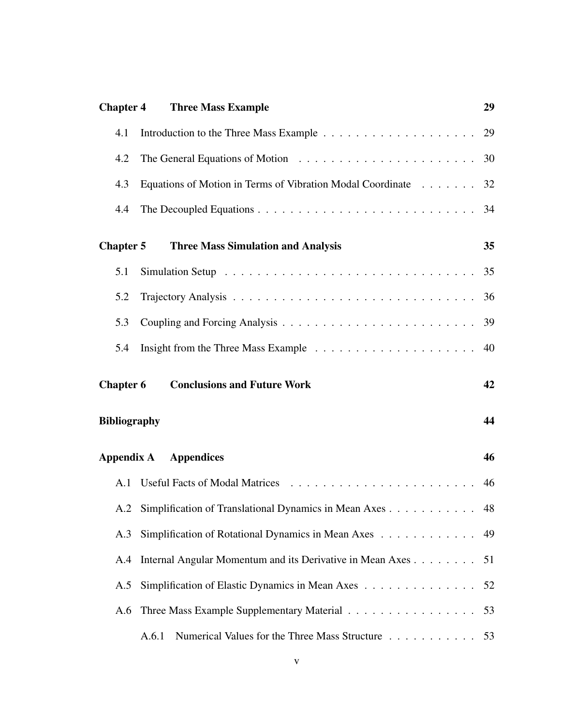| <b>Chapter 4</b>    | <b>Three Mass Example</b>                                     | 29 |
|---------------------|---------------------------------------------------------------|----|
| 4.1                 |                                                               |    |
| 4.2                 |                                                               |    |
| 4.3                 | Equations of Motion in Terms of Vibration Modal Coordinate 32 |    |
| 4.4                 |                                                               |    |
| <b>Chapter 5</b>    | <b>Three Mass Simulation and Analysis</b>                     | 35 |
| 5.1                 |                                                               |    |
| 5.2                 |                                                               |    |
| 5.3                 |                                                               |    |
| 5.4                 |                                                               | 40 |
|                     |                                                               |    |
| <b>Chapter 6</b>    | <b>Conclusions and Future Work</b>                            | 42 |
| <b>Bibliography</b> |                                                               | 44 |
| Appendix A          | <b>Appendices</b>                                             | 46 |
| A.1                 |                                                               |    |
|                     | A.2 Simplification of Translational Dynamics in Mean Axes     | 48 |
| A.3                 | Simplification of Rotational Dynamics in Mean Axes 49         |    |
| A.4                 | Internal Angular Momentum and its Derivative in Mean Axes     | 51 |
| A.5                 | Simplification of Elastic Dynamics in Mean Axes               | 52 |
| A.6                 | Three Mass Example Supplementary Material                     | 53 |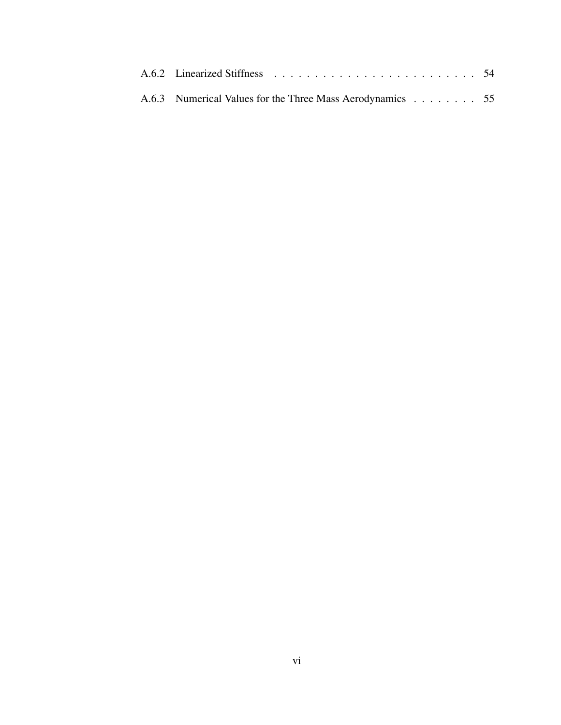| A.6.3 Numerical Values for the Three Mass Aerodynamics 55 |  |
|-----------------------------------------------------------|--|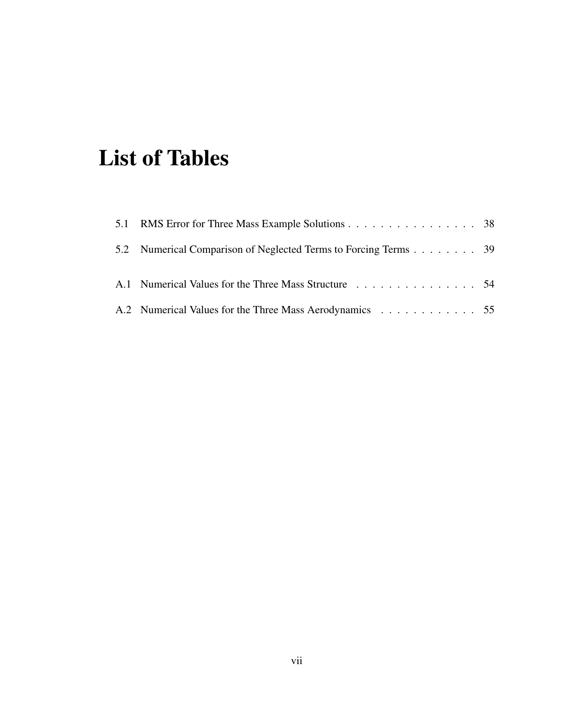# List of Tables

| 5.1 RMS Error for Three Mass Example Solutions 38               |  |
|-----------------------------------------------------------------|--|
| 5.2 Numerical Comparison of Neglected Terms to Forcing Terms 39 |  |
| A.1 Numerical Values for the Three Mass Structure 54            |  |
| A.2 Numerical Values for the Three Mass Aerodynamics 55         |  |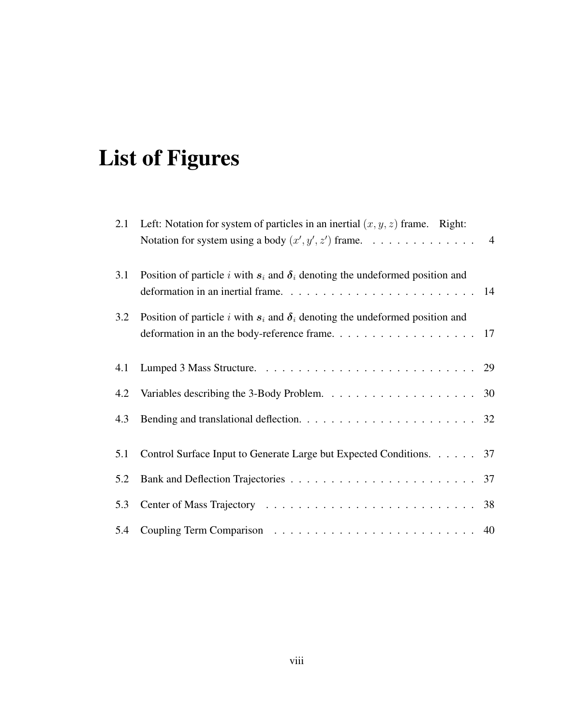# List of Figures

| 2.1 | Left: Notation for system of particles in an inertial $(x, y, z)$ frame. Right:<br>Notation for system using a body $(x', y', z')$ frame. 4 |  |
|-----|---------------------------------------------------------------------------------------------------------------------------------------------|--|
| 3.1 | Position of particle i with $s_i$ and $\delta_i$ denoting the undeformed position and                                                       |  |
| 3.2 | Position of particle i with $s_i$ and $\delta_i$ denoting the undeformed position and                                                       |  |
| 4.1 |                                                                                                                                             |  |
|     |                                                                                                                                             |  |
| 4.3 |                                                                                                                                             |  |
| 5.1 | Control Surface Input to Generate Large but Expected Conditions. 37                                                                         |  |
| 5.2 |                                                                                                                                             |  |
| 5.3 |                                                                                                                                             |  |
|     |                                                                                                                                             |  |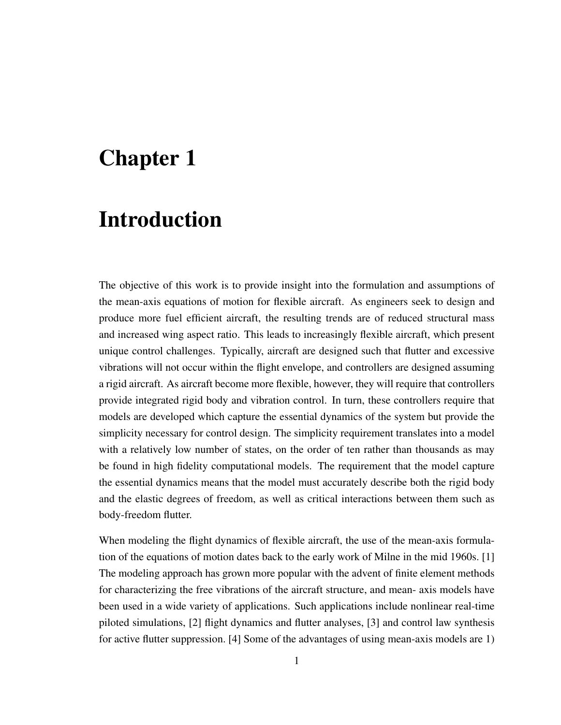## Chapter 1

### Introduction

The objective of this work is to provide insight into the formulation and assumptions of the mean-axis equations of motion for flexible aircraft. As engineers seek to design and produce more fuel efficient aircraft, the resulting trends are of reduced structural mass and increased wing aspect ratio. This leads to increasingly flexible aircraft, which present unique control challenges. Typically, aircraft are designed such that flutter and excessive vibrations will not occur within the flight envelope, and controllers are designed assuming a rigid aircraft. As aircraft become more flexible, however, they will require that controllers provide integrated rigid body and vibration control. In turn, these controllers require that models are developed which capture the essential dynamics of the system but provide the simplicity necessary for control design. The simplicity requirement translates into a model with a relatively low number of states, on the order of ten rather than thousands as may be found in high fidelity computational models. The requirement that the model capture the essential dynamics means that the model must accurately describe both the rigid body and the elastic degrees of freedom, as well as critical interactions between them such as body-freedom flutter.

When modeling the flight dynamics of flexible aircraft, the use of the mean-axis formulation of the equations of motion dates back to the early work of Milne in the mid 1960s. [1] The modeling approach has grown more popular with the advent of finite element methods for characterizing the free vibrations of the aircraft structure, and mean- axis models have been used in a wide variety of applications. Such applications include nonlinear real-time piloted simulations, [2] flight dynamics and flutter analyses, [3] and control law synthesis for active flutter suppression. [4] Some of the advantages of using mean-axis models are 1)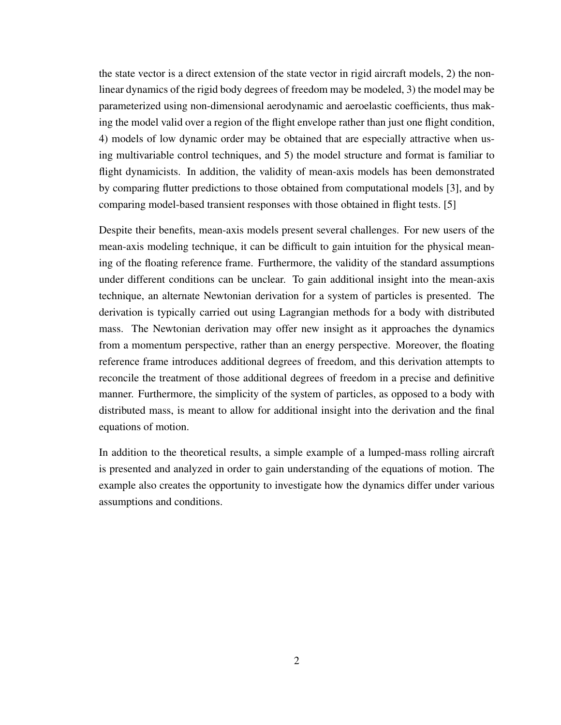the state vector is a direct extension of the state vector in rigid aircraft models, 2) the nonlinear dynamics of the rigid body degrees of freedom may be modeled, 3) the model may be parameterized using non-dimensional aerodynamic and aeroelastic coefficients, thus making the model valid over a region of the flight envelope rather than just one flight condition, 4) models of low dynamic order may be obtained that are especially attractive when using multivariable control techniques, and 5) the model structure and format is familiar to flight dynamicists. In addition, the validity of mean-axis models has been demonstrated by comparing flutter predictions to those obtained from computational models [3], and by comparing model-based transient responses with those obtained in flight tests. [5]

Despite their benefits, mean-axis models present several challenges. For new users of the mean-axis modeling technique, it can be difficult to gain intuition for the physical meaning of the floating reference frame. Furthermore, the validity of the standard assumptions under different conditions can be unclear. To gain additional insight into the mean-axis technique, an alternate Newtonian derivation for a system of particles is presented. The derivation is typically carried out using Lagrangian methods for a body with distributed mass. The Newtonian derivation may offer new insight as it approaches the dynamics from a momentum perspective, rather than an energy perspective. Moreover, the floating reference frame introduces additional degrees of freedom, and this derivation attempts to reconcile the treatment of those additional degrees of freedom in a precise and definitive manner. Furthermore, the simplicity of the system of particles, as opposed to a body with distributed mass, is meant to allow for additional insight into the derivation and the final equations of motion.

In addition to the theoretical results, a simple example of a lumped-mass rolling aircraft is presented and analyzed in order to gain understanding of the equations of motion. The example also creates the opportunity to investigate how the dynamics differ under various assumptions and conditions.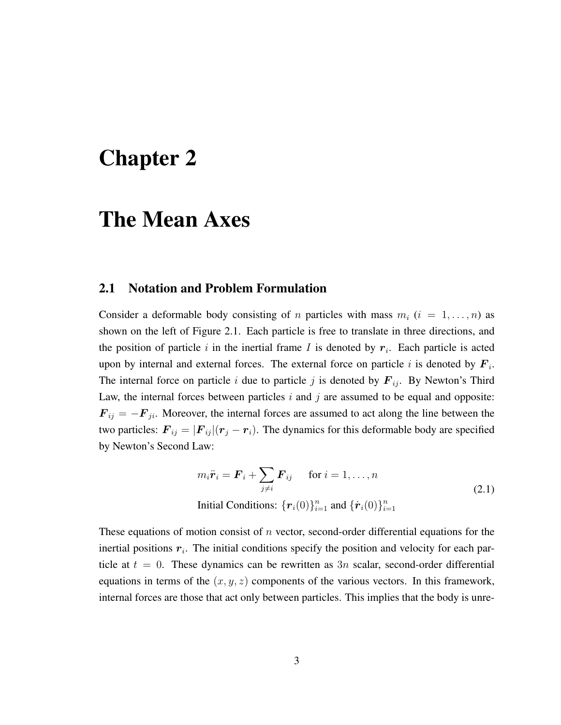## Chapter 2

### The Mean Axes

#### 2.1 Notation and Problem Formulation

Consider a deformable body consisting of n particles with mass  $m_i$   $(i = 1, \ldots, n)$  as shown on the left of Figure 2.1. Each particle is free to translate in three directions, and the position of particle i in the inertial frame I is denoted by  $r_i$ . Each particle is acted upon by internal and external forces. The external force on particle i is denoted by  $F_i$ . The internal force on particle i due to particle j is denoted by  $F_{ij}$ . By Newton's Third Law, the internal forces between particles  $i$  and  $j$  are assumed to be equal and opposite:  $\mathbf{F}_{ij} = -\mathbf{F}_{ji}$ . Moreover, the internal forces are assumed to act along the line between the two particles:  $\mathbf{F}_{ij} = |\mathbf{F}_{ij}|(\mathbf{r}_j - \mathbf{r}_i)$ . The dynamics for this deformable body are specified by Newton's Second Law:

$$
m_i \ddot{\boldsymbol{r}}_i = \boldsymbol{F}_i + \sum_{j \neq i} \boldsymbol{F}_{ij} \quad \text{for } i = 1, \dots, n
$$
  
Initial Conditions:  $\{\boldsymbol{r}_i(0)\}_{i=1}^n$  and  $\{\dot{\boldsymbol{r}}_i(0)\}_{i=1}^n$  (2.1)

These equations of motion consist of  $n$  vector, second-order differential equations for the inertial positions  $r_i$ . The initial conditions specify the position and velocity for each particle at  $t = 0$ . These dynamics can be rewritten as 3n scalar, second-order differential equations in terms of the  $(x, y, z)$  components of the various vectors. In this framework, internal forces are those that act only between particles. This implies that the body is unre-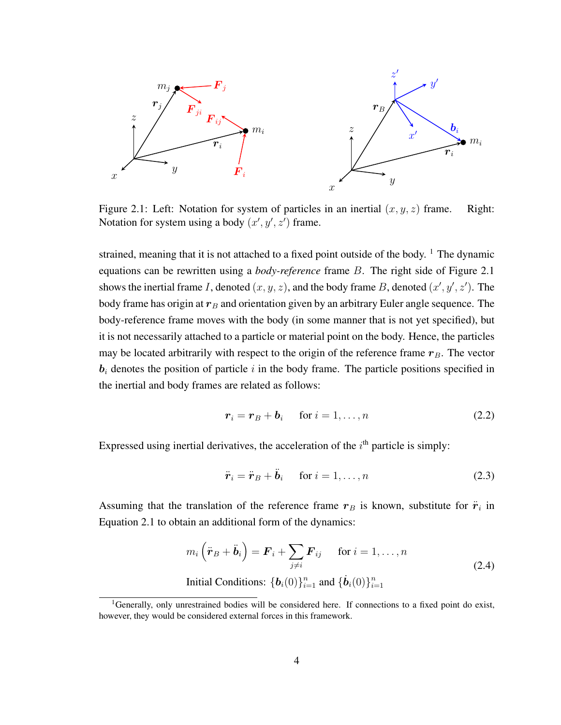

Figure 2.1: Left: Notation for system of particles in an inertial  $(x, y, z)$  frame. Right: Notation for system using a body  $(x', y', z')$  frame.

strained, meaning that it is not attached to a fixed point outside of the body.  $\frac{1}{1}$  The dynamic equations can be rewritten using a *body-reference* frame B. The right side of Figure 2.1 shows the inertial frame I, denoted  $(x, y, z)$ , and the body frame B, denoted  $(x', y', z')$ . The body frame has origin at  $r_B$  and orientation given by an arbitrary Euler angle sequence. The body-reference frame moves with the body (in some manner that is not yet specified), but it is not necessarily attached to a particle or material point on the body. Hence, the particles may be located arbitrarily with respect to the origin of the reference frame  $r_B$ . The vector  $b_i$  denotes the position of particle i in the body frame. The particle positions specified in the inertial and body frames are related as follows:

$$
r_i = r_B + b_i \quad \text{for } i = 1, \dots, n \tag{2.2}
$$

Expressed using inertial derivatives, the acceleration of the  $i<sup>th</sup>$  particle is simply:

$$
\ddot{\boldsymbol{r}}_i = \ddot{\boldsymbol{r}}_B + \ddot{\boldsymbol{b}}_i \quad \text{ for } i = 1, \dots, n \tag{2.3}
$$

Assuming that the translation of the reference frame  $r_B$  is known, substitute for  $\ddot{r}_i$  in Equation 2.1 to obtain an additional form of the dynamics:

$$
m_i\left(\ddot{\boldsymbol{r}}_B + \ddot{\boldsymbol{b}}_i\right) = \boldsymbol{F}_i + \sum_{j \neq i} \boldsymbol{F}_{ij} \quad \text{for } i = 1, \dots, n
$$
  
Initial Conditions:  $\{\boldsymbol{b}_i(0)\}_{i=1}^n$  and  $\{\dot{\boldsymbol{b}}_i(0)\}_{i=1}^n$  (2.4)

<sup>&</sup>lt;sup>1</sup>Generally, only unrestrained bodies will be considered here. If connections to a fixed point do exist, however, they would be considered external forces in this framework.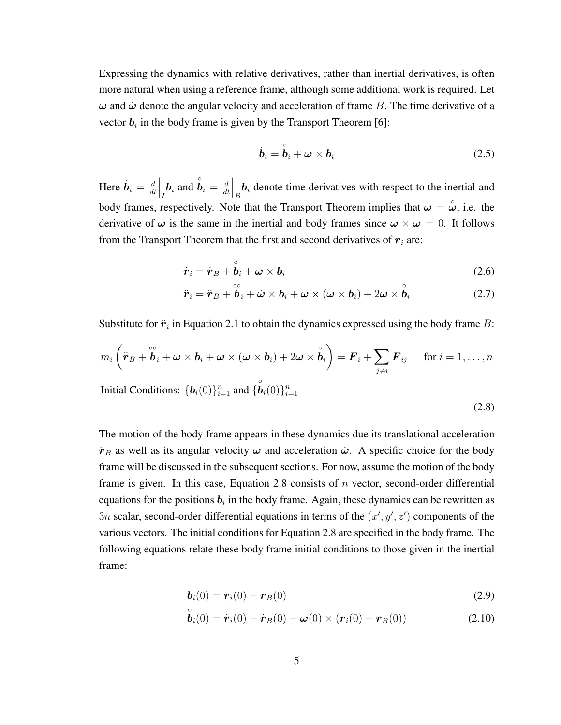Expressing the dynamics with relative derivatives, rather than inertial derivatives, is often more natural when using a reference frame, although some additional work is required. Let  $\omega$  and  $\dot{\omega}$  denote the angular velocity and acceleration of frame B. The time derivative of a vector  $b_i$  in the body frame is given by the Transport Theorem [6]:

$$
\dot{\boldsymbol{b}}_i = \overset{\circ}{\boldsymbol{b}}_i + \boldsymbol{\omega} \times \boldsymbol{b}_i
$$
 (2.5)

Here  $\dot{b}_i = \frac{d}{dt}$ dt  $\int_I$ **b**<sub>i</sub> and  $\hat{b}_i = \frac{d}{dt}$ dt  $\left| \begin{array}{c} b_i \end{array} \right|_B$  denote time derivatives with respect to the inertial and body frames, respectively. Note that the Transport Theorem implies that  $\dot{\omega} = \overset{\circ}{\omega}$ , i.e. the derivative of  $\omega$  is the same in the inertial and body frames since  $\omega \times \omega = 0$ . It follows from the Transport Theorem that the first and second derivatives of  $r_i$  are:

$$
\dot{\boldsymbol{r}}_i = \dot{\boldsymbol{r}}_B + \stackrel{\circ}{\boldsymbol{b}}_i + \boldsymbol{\omega} \times \boldsymbol{b}_i
$$
 (2.6)

$$
\ddot{\boldsymbol{r}}_i = \ddot{\boldsymbol{r}}_B + \overset{\circ\circ}{\boldsymbol{b}}_i + \dot{\boldsymbol{\omega}} \times \boldsymbol{b}_i + \boldsymbol{\omega} \times (\boldsymbol{\omega} \times \boldsymbol{b}_i) + 2\boldsymbol{\omega} \times \overset{\circ}{\boldsymbol{b}}_i \tag{2.7}
$$

Substitute for  $\ddot{r}_i$  in Equation 2.1 to obtain the dynamics expressed using the body frame B:

$$
m_i\left(\ddot{\boldsymbol{r}}_B + \overset{\circ}{\boldsymbol{b}}_i + \dot{\boldsymbol{\omega}} \times \boldsymbol{b}_i + \boldsymbol{\omega} \times (\boldsymbol{\omega} \times \boldsymbol{b}_i) + 2\boldsymbol{\omega} \times \overset{\circ}{\boldsymbol{b}}_i\right) = \boldsymbol{F}_i + \sum_{j \neq i} \boldsymbol{F}_{ij} \quad \text{ for } i = 1, \ldots, n
$$

Initial Conditions:  $\{\boldsymbol{b}_i(0)\}_{i=1}^n$  and  $\{\stackrel{\circ}{\boldsymbol{b}}_i(0)\}_{i=1}^n$ 

(2.8)

The motion of the body frame appears in these dynamics due its translational acceleration  $\ddot{r}_B$  as well as its angular velocity  $\omega$  and acceleration  $\dot{\omega}$ . A specific choice for the body frame will be discussed in the subsequent sections. For now, assume the motion of the body frame is given. In this case, Equation 2.8 consists of  $n$  vector, second-order differential equations for the positions  $b_i$  in the body frame. Again, these dynamics can be rewritten as 3n scalar, second-order differential equations in terms of the  $(x', y', z')$  components of the various vectors. The initial conditions for Equation 2.8 are specified in the body frame. The following equations relate these body frame initial conditions to those given in the inertial frame:

$$
\boldsymbol{b}_i(0) = \boldsymbol{r}_i(0) - \boldsymbol{r}_B(0) \tag{2.9}
$$

$$
\stackrel{\circ}{\bm{b}}_i(0) = \dot{\bm{r}}_i(0) - \dot{\bm{r}}_B(0) - \bm{\omega}(0) \times (\bm{r}_i(0) - \bm{r}_B(0))
$$
\n(2.10)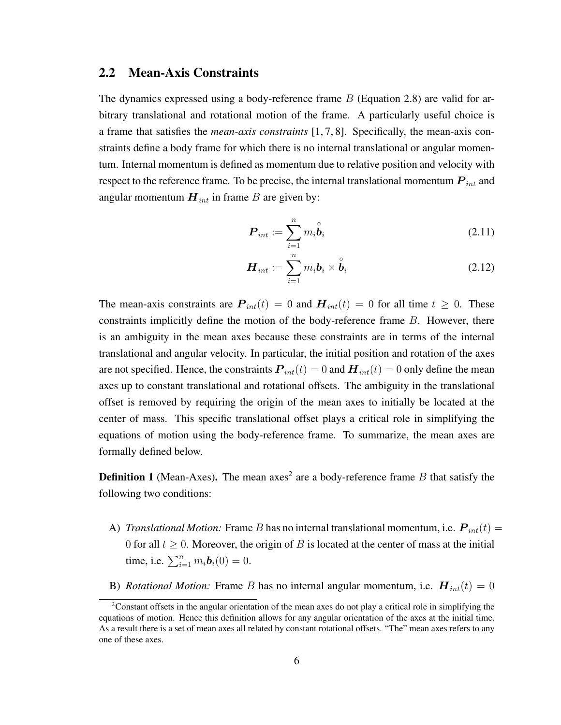#### 2.2 Mean-Axis Constraints

The dynamics expressed using a body-reference frame B (Equation 2.8) are valid for arbitrary translational and rotational motion of the frame. A particularly useful choice is a frame that satisfies the *mean-axis constraints* [1, 7, 8]. Specifically, the mean-axis constraints define a body frame for which there is no internal translational or angular momentum. Internal momentum is defined as momentum due to relative position and velocity with respect to the reference frame. To be precise, the internal translational momentum  $P_{int}$  and angular momentum  $H_{int}$  in frame B are given by:

$$
\boldsymbol{P}_{int} := \sum_{i=1}^{n} m_i \overset{\circ}{\boldsymbol{b}}_i \tag{2.11}
$$

$$
\boldsymbol{H}_{int} := \sum_{i=1}^{n} m_i \boldsymbol{b}_i \times \overset{\circ}{\boldsymbol{b}}_i
$$
 (2.12)

The mean-axis constraints are  $P_{int}(t) = 0$  and  $H_{int}(t) = 0$  for all time  $t \ge 0$ . These constraints implicitly define the motion of the body-reference frame  $B$ . However, there is an ambiguity in the mean axes because these constraints are in terms of the internal translational and angular velocity. In particular, the initial position and rotation of the axes are not specified. Hence, the constraints  $P_{int}(t) = 0$  and  $H_{int}(t) = 0$  only define the mean axes up to constant translational and rotational offsets. The ambiguity in the translational offset is removed by requiring the origin of the mean axes to initially be located at the center of mass. This specific translational offset plays a critical role in simplifying the equations of motion using the body-reference frame. To summarize, the mean axes are formally defined below.

**Definition 1** (Mean-Axes). The mean axes<sup>2</sup> are a body-reference frame B that satisfy the following two conditions:

- A) *Translational Motion:* Frame B has no internal translational momentum, i.e.  $P_{int}(t) =$ 0 for all  $t \geq 0$ . Moreover, the origin of B is located at the center of mass at the initial time, i.e.  $\sum_{i=1}^{n} m_i \mathbf{b}_i(0) = 0$ .
- B) *Rotational Motion:* Frame B has no internal angular momentum, i.e.  $H_{int}(t) = 0$

<sup>&</sup>lt;sup>2</sup>Constant offsets in the angular orientation of the mean axes do not play a critical role in simplifying the equations of motion. Hence this definition allows for any angular orientation of the axes at the initial time. As a result there is a set of mean axes all related by constant rotational offsets. "The" mean axes refers to any one of these axes.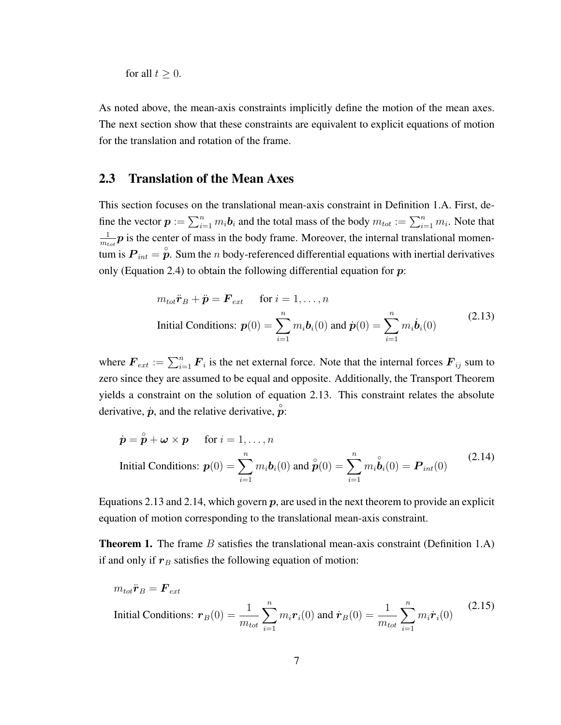for all  $t \geq 0$ .

As noted above, the mean-axis constraints implicitly define the motion of the mean axes. The next section show that these constraints are equivalent to explicit equations of motion for the translation and rotation of the frame.

#### 2.3 Translation of the Mean Axes

This section focuses on the translational mean-axis constraint in Definition 1.A. First, define the vector  $p := \sum_{i=1}^n m_i b_i$  and the total mass of the body  $m_{tot} := \sum_{i=1}^n m_i$ . Note that 1  $\frac{1}{m_{tot}}p$  is the center of mass in the body frame. Moreover, the internal translational momentum is  $P_{int} = \overset{\circ}{p}$ . Sum the *n* body-referenced differential equations with inertial derivatives only (Equation 2.4) to obtain the following differential equation for  $p$ :

$$
m_{tot}\ddot{\boldsymbol{r}}_B + \ddot{\boldsymbol{p}} = \boldsymbol{F}_{ext} \quad \text{for } i = 1, ..., n
$$
  
Initial Conditions:  $\boldsymbol{p}(0) = \sum_{i=1}^n m_i \boldsymbol{b}_i(0)$  and  $\dot{\boldsymbol{p}}(0) = \sum_{i=1}^n m_i \dot{\boldsymbol{b}}_i(0)$  (2.13)

where  $\mathbf{F}_{ext} := \sum_{i=1}^{n} \mathbf{F}_i$  is the net external force. Note that the internal forces  $\mathbf{F}_{ij}$  sum to zero since they are assumed to be equal and opposite. Additionally, the Transport Theorem yields a constraint on the solution of equation 2.13. This constraint relates the absolute derivative,  $\dot{p}$ , and the relative derivative,  $\hat{p}$ :

$$
\dot{\mathbf{p}} = \overset{\circ}{\mathbf{p}} + \boldsymbol{\omega} \times \mathbf{p} \quad \text{for } i = 1, ..., n
$$
\nInitial Conditions: 
$$
\mathbf{p}(0) = \sum_{i=1}^{n} m_i \mathbf{b}_i(0) \text{ and } \overset{\circ}{\mathbf{p}}(0) = \sum_{i=1}^{n} m_i \overset{\circ}{\mathbf{b}}_i(0) = \mathbf{P}_{int}(0) \tag{2.14}
$$

Equations 2.13 and 2.14, which govern  $p$ , are used in the next theorem to provide an explicit equation of motion corresponding to the translational mean-axis constraint.

**Theorem 1.** The frame  $B$  satisfies the translational mean-axis constraint (Definition 1.A) if and only if  $r_B$  satisfies the following equation of motion:

$$
m_{tot}\ddot{\boldsymbol{r}}_B = \boldsymbol{F}_{ext}
$$
  
Initial Conditions:  $\boldsymbol{r}_B(0) = \frac{1}{m_{tot}} \sum_{i=1}^n m_i \boldsymbol{r}_i(0)$  and  $\dot{\boldsymbol{r}}_B(0) = \frac{1}{m_{tot}} \sum_{i=1}^n m_i \dot{\boldsymbol{r}}_i(0)$  (2.15)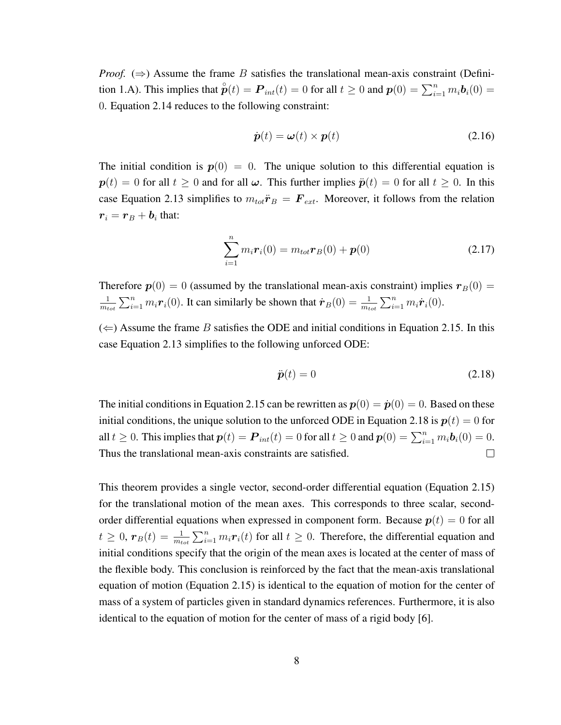*Proof.*  $(\Rightarrow)$  Assume the frame B satisfies the translational mean-axis constraint (Definition 1.A). This implies that  $\overset{\circ}{\mathbf{p}}(t) = \mathbf{P}_{int}(t) = 0$  for all  $t \ge 0$  and  $\mathbf{p}(0) = \sum_{i=1}^{n} m_i \mathbf{b}_i(0) =$ 0. Equation 2.14 reduces to the following constraint:

$$
\dot{\mathbf{p}}(t) = \boldsymbol{\omega}(t) \times \mathbf{p}(t) \tag{2.16}
$$

The initial condition is  $p(0) = 0$ . The unique solution to this differential equation is  $p(t) = 0$  for all  $t \ge 0$  and for all  $\omega$ . This further implies  $\ddot{p}(t) = 0$  for all  $t \ge 0$ . In this case Equation 2.13 simplifies to  $m_{tot}\ddot{\mathbf{r}}_B = \mathbf{F}_{ext}$ . Moreover, it follows from the relation  $\boldsymbol{r}_i = \boldsymbol{r}_B + \boldsymbol{b}_i$  that:

$$
\sum_{i=1}^{n} m_i \boldsymbol{r}_i(0) = m_{tot} \boldsymbol{r}_B(0) + \boldsymbol{p}(0)
$$
 (2.17)

Therefore  $p(0) = 0$  (assumed by the translational mean-axis constraint) implies  $r_B(0) =$ 1  $\frac{1}{m_{tot}}\sum_{i=1}^{n}m_i\dot{r}_i(0)$ . It can similarly be shown that  $\dot{\boldsymbol{r}}_B(0) = \frac{1}{m_{tot}}\sum_{i=1}^{n}m_i\dot{\boldsymbol{r}}_i(0)$ .

 $(\Leftarrow)$  Assume the frame B satisfies the ODE and initial conditions in Equation 2.15. In this case Equation 2.13 simplifies to the following unforced ODE:

$$
\ddot{\boldsymbol{p}}(t) = 0 \tag{2.18}
$$

The initial conditions in Equation 2.15 can be rewritten as  $p(0) = \dot{p}(0) = 0$ . Based on these initial conditions, the unique solution to the unforced ODE in Equation 2.18 is  $p(t) = 0$  for all  $t \geq 0$ . This implies that  $p(t) = P_{int}(t) = 0$  for all  $t \geq 0$  and  $p(0) = \sum_{i=1}^{n} m_i \mathbf{b}_i(0) = 0$ . Thus the translational mean-axis constraints are satisfied.  $\Box$ 

This theorem provides a single vector, second-order differential equation (Equation 2.15) for the translational motion of the mean axes. This corresponds to three scalar, secondorder differential equations when expressed in component form. Because  $p(t) = 0$  for all  $t \geq 0$ ,  $r_B(t) = \frac{1}{m_{tot}} \sum_{i=1}^n m_i \mathbf{r}_i(t)$  for all  $t \geq 0$ . Therefore, the differential equation and initial conditions specify that the origin of the mean axes is located at the center of mass of the flexible body. This conclusion is reinforced by the fact that the mean-axis translational equation of motion (Equation 2.15) is identical to the equation of motion for the center of mass of a system of particles given in standard dynamics references. Furthermore, it is also identical to the equation of motion for the center of mass of a rigid body [6].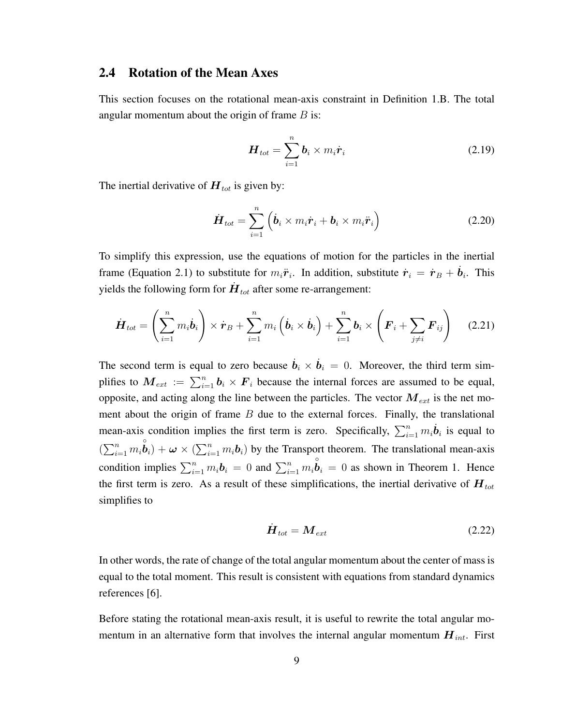#### 2.4 Rotation of the Mean Axes

This section focuses on the rotational mean-axis constraint in Definition 1.B. The total angular momentum about the origin of frame  $B$  is:

$$
\boldsymbol{H}_{tot} = \sum_{i=1}^{n} \boldsymbol{b}_i \times m_i \dot{\boldsymbol{r}}_i \tag{2.19}
$$

The inertial derivative of  $H_{tot}$  is given by:

$$
\dot{\boldsymbol{H}}_{tot} = \sum_{i=1}^{n} \left( \dot{\boldsymbol{b}}_i \times m_i \dot{\boldsymbol{r}}_i + \boldsymbol{b}_i \times m_i \ddot{\boldsymbol{r}}_i \right)
$$
(2.20)

To simplify this expression, use the equations of motion for the particles in the inertial frame (Equation 2.1) to substitute for  $m_i \ddot{\boldsymbol{r}}_i$ . In addition, substitute  $\dot{\boldsymbol{r}}_i = \dot{\boldsymbol{r}}_B + \dot{\boldsymbol{b}}_i$ . This yields the following form for  $\dot{H}_{\text{tot}}$  after some re-arrangement:

$$
\dot{\boldsymbol{H}}_{tot} = \left(\sum_{i=1}^n m_i \dot{\boldsymbol{b}}_i\right) \times \dot{\boldsymbol{r}}_B + \sum_{i=1}^n m_i \left(\dot{\boldsymbol{b}}_i \times \dot{\boldsymbol{b}}_i\right) + \sum_{i=1}^n \boldsymbol{b}_i \times \left(\boldsymbol{F}_i + \sum_{j \neq i} \boldsymbol{F}_{ij}\right) \quad (2.21)
$$

The second term is equal to zero because  $\dot{b}_i \times \dot{b}_i = 0$ . Moreover, the third term simplifies to  $M_{ext} := \sum_{i=1}^{n} b_i \times F_i$  because the internal forces are assumed to be equal, opposite, and acting along the line between the particles. The vector  $M_{ext}$  is the net moment about the origin of frame  $B$  due to the external forces. Finally, the translational mean-axis condition implies the first term is zero. Specifically,  $\sum_{i=1}^{n} m_i \dot{\boldsymbol{b}}_i$  is equal to  $(\sum_{i=1}^n m_i \overset{\circ}{\boldsymbol{b}}_i) + \boldsymbol{\omega} \times (\sum_{i=1}^n m_i \boldsymbol{b}_i)$  by the Transport theorem. The translational mean-axis condition implies  $\sum_{i=1}^{n} m_i \mathbf{b}_i = 0$  and  $\sum_{i=1}^{n} m_i \mathbf{b}_i = 0$  as shown in Theorem 1. Hence the first term is zero. As a result of these simplifications, the inertial derivative of  $H_{tot}$ simplifies to

$$
\dot{H}_{tot} = M_{ext} \tag{2.22}
$$

In other words, the rate of change of the total angular momentum about the center of mass is equal to the total moment. This result is consistent with equations from standard dynamics references [6].

Before stating the rotational mean-axis result, it is useful to rewrite the total angular momentum in an alternative form that involves the internal angular momentum  $H_{int}$ . First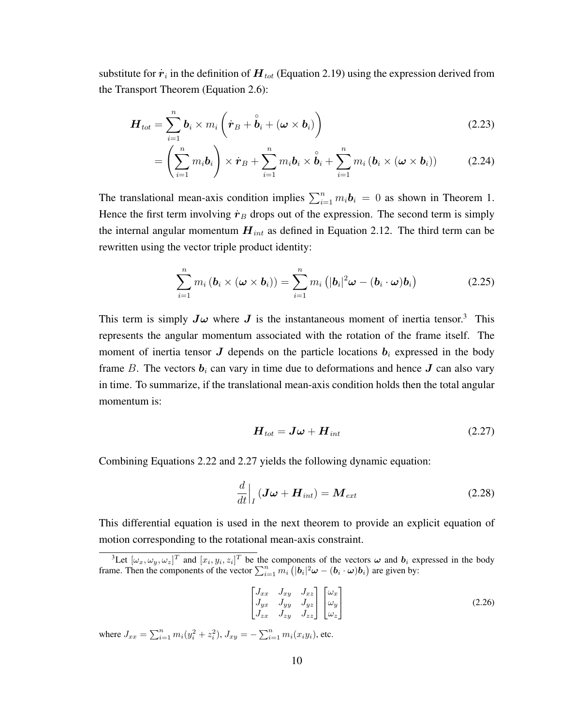substitute for  $\dot{\bm{r}}_i$  in the definition of  $\bm{H}_{tot}$  (Equation 2.19) using the expression derived from the Transport Theorem (Equation 2.6):

$$
\boldsymbol{H}_{tot} = \sum_{i=1}^{n} \boldsymbol{b}_i \times m_i \left( \dot{\boldsymbol{r}}_B + \overset{\circ}{\boldsymbol{b}}_i + (\boldsymbol{\omega} \times \boldsymbol{b}_i) \right)
$$
(2.23)

$$
= \left(\sum_{i=1}^n m_i \mathbf{b}_i\right) \times \dot{\mathbf{r}}_B + \sum_{i=1}^n m_i \mathbf{b}_i \times \overset{\circ}{\mathbf{b}}_i + \sum_{i=1}^n m_i \left(\mathbf{b}_i \times (\boldsymbol{\omega} \times \mathbf{b}_i)\right) \tag{2.24}
$$

The translational mean-axis condition implies  $\sum_{i=1}^{n} m_i \mathbf{b}_i = 0$  as shown in Theorem 1. Hence the first term involving  $\dot{\mathbf{r}}_B$  drops out of the expression. The second term is simply the internal angular momentum  $H_{int}$  as defined in Equation 2.12. The third term can be rewritten using the vector triple product identity:

$$
\sum_{i=1}^{n} m_i (\boldsymbol{b}_i \times (\boldsymbol{\omega} \times \boldsymbol{b}_i)) = \sum_{i=1}^{n} m_i \left( |\boldsymbol{b}_i|^2 \boldsymbol{\omega} - (\boldsymbol{b}_i \cdot \boldsymbol{\omega}) \boldsymbol{b}_i \right)
$$
(2.25)

This term is simply  $J\omega$  where  $J$  is the instantaneous moment of inertia tensor.<sup>3</sup> This represents the angular momentum associated with the rotation of the frame itself. The moment of inertia tensor  $J$  depends on the particle locations  $b_i$  expressed in the body frame B. The vectors  $b_i$  can vary in time due to deformations and hence  $J$  can also vary in time. To summarize, if the translational mean-axis condition holds then the total angular momentum is:

$$
\boldsymbol{H}_{tot} = \boldsymbol{J}\boldsymbol{\omega} + \boldsymbol{H}_{int} \tag{2.27}
$$

Combining Equations 2.22 and 2.27 yields the following dynamic equation:

$$
\frac{d}{dt}\Big|_{I} \left( \boldsymbol{J}\boldsymbol{\omega} + \boldsymbol{H}_{int} \right) = \boldsymbol{M}_{ext} \tag{2.28}
$$

This differential equation is used in the next theorem to provide an explicit equation of motion corresponding to the rotational mean-axis constraint.

$$
\begin{bmatrix} J_{xx} & J_{xy} & J_{xz} \\ J_{yx} & J_{yy} & J_{yz} \\ J_{zx} & J_{zy} & J_{zz} \end{bmatrix} \begin{bmatrix} \omega_x \\ \omega_y \\ \omega_z \end{bmatrix}
$$
 (2.26)

where  $J_{xx} = \sum_{i=1}^{n} m_i (y_i^2 + z_i^2)$ ,  $J_{xy} = -\sum_{i=1}^{n} m_i (x_i y_i)$ , etc.

<sup>&</sup>lt;sup>3</sup>Let  $[\omega_x, \omega_y, \omega_z]^T$  and  $[x_i, y_i, z_i]^T$  be the components of the vectors  $\omega$  and  $b_i$  expressed in the body frame. Then the components of the vector  $\sum_{i=1}^{n} m_i (|\mathbf{b}_i|^2 \boldsymbol{\omega} - (\mathbf{b}_i \cdot \boldsymbol{\omega}) \mathbf{b}_i)$  are given by: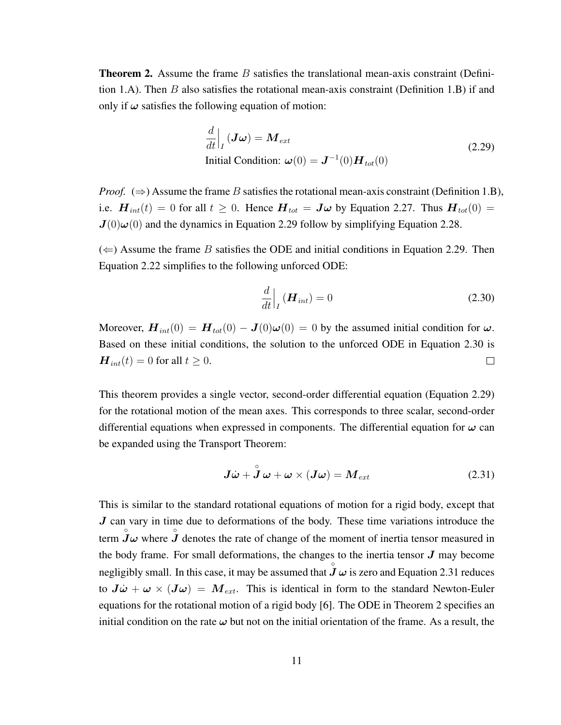**Theorem 2.** Assume the frame  $B$  satisfies the translational mean-axis constraint (Definition 1.A). Then  $B$  also satisfies the rotational mean-axis constraint (Definition 1.B) if and only if  $\omega$  satisfies the following equation of motion:

$$
\frac{d}{dt}\Big|_{I}(J\omega) = M_{ext}
$$
\nInitial Condition:  $\omega(0) = J^{-1}(0)H_{tot}(0)$ \n(2.29)

*Proof.*  $(\Rightarrow)$  Assume the frame B satisfies the rotational mean-axis constraint (Definition 1.B), i.e.  $\mathbf{H}_{int}(t) = 0$  for all  $t \ge 0$ . Hence  $\mathbf{H}_{tot} = \mathbf{J}\boldsymbol{\omega}$  by Equation 2.27. Thus  $\mathbf{H}_{tot}(0) =$  $J(0)\omega(0)$  and the dynamics in Equation 2.29 follow by simplifying Equation 2.28.

 $(\Leftarrow)$  Assume the frame B satisfies the ODE and initial conditions in Equation 2.29. Then Equation 2.22 simplifies to the following unforced ODE:

$$
\frac{d}{dt}\Big|_{I} \left(\boldsymbol{H}_{int}\right) = 0 \tag{2.30}
$$

Moreover,  $\mathbf{H}_{int}(0) = \mathbf{H}_{tot}(0) - \mathbf{J}(0)\boldsymbol{\omega}(0) = 0$  by the assumed initial condition for  $\boldsymbol{\omega}$ . Based on these initial conditions, the solution to the unforced ODE in Equation 2.30 is  $H_{int}(t) = 0$  for all  $t \ge 0$ .  $\Box$ 

This theorem provides a single vector, second-order differential equation (Equation 2.29) for the rotational motion of the mean axes. This corresponds to three scalar, second-order differential equations when expressed in components. The differential equation for  $\omega$  can be expanded using the Transport Theorem:

$$
\mathbf{J}\dot{\boldsymbol{\omega}} + \overset{\circ}{\mathbf{J}}\boldsymbol{\omega} + \boldsymbol{\omega} \times (\mathbf{J}\boldsymbol{\omega}) = \mathbf{M}_{ext}
$$
 (2.31)

This is similar to the standard rotational equations of motion for a rigid body, except that  $J$  can vary in time due to deformations of the body. These time variations introduce the term  $\hat{J}\omega$  where  $\hat{J}$  denotes the rate of change of the moment of inertia tensor measured in the body frame. For small deformations, the changes to the inertia tensor  $J$  may become negligibly small. In this case, it may be assumed that  $\overrightarrow{J} \omega$  is zero and Equation 2.31 reduces to  $J\dot{\omega} + \omega \times (J\omega) = M_{ext}$ . This is identical in form to the standard Newton-Euler equations for the rotational motion of a rigid body [6]. The ODE in Theorem 2 specifies an initial condition on the rate  $\omega$  but not on the initial orientation of the frame. As a result, the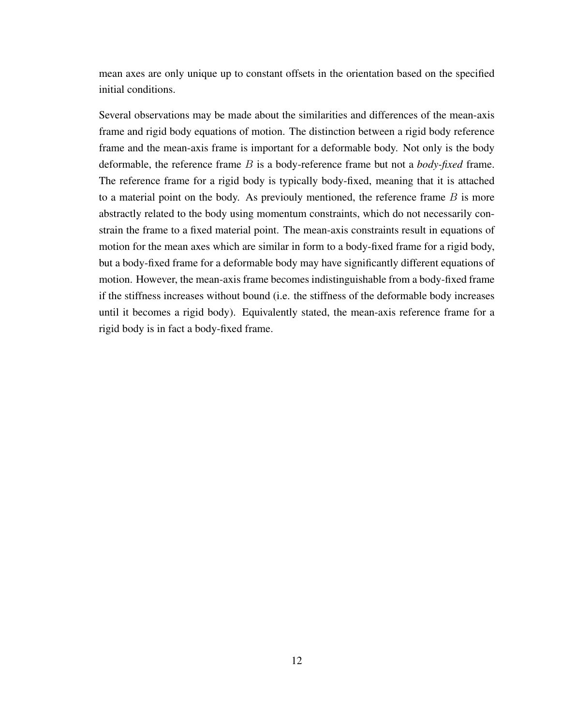mean axes are only unique up to constant offsets in the orientation based on the specified initial conditions.

Several observations may be made about the similarities and differences of the mean-axis frame and rigid body equations of motion. The distinction between a rigid body reference frame and the mean-axis frame is important for a deformable body. Not only is the body deformable, the reference frame B is a body-reference frame but not a *body-fixed* frame. The reference frame for a rigid body is typically body-fixed, meaning that it is attached to a material point on the body. As previouly mentioned, the reference frame  $B$  is more abstractly related to the body using momentum constraints, which do not necessarily constrain the frame to a fixed material point. The mean-axis constraints result in equations of motion for the mean axes which are similar in form to a body-fixed frame for a rigid body, but a body-fixed frame for a deformable body may have significantly different equations of motion. However, the mean-axis frame becomes indistinguishable from a body-fixed frame if the stiffness increases without bound (i.e. the stiffness of the deformable body increases until it becomes a rigid body). Equivalently stated, the mean-axis reference frame for a rigid body is in fact a body-fixed frame.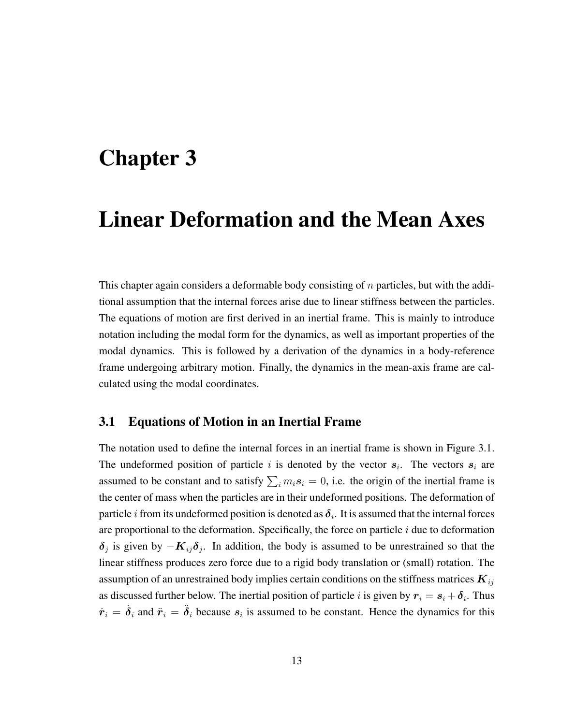### Chapter 3

## Linear Deformation and the Mean Axes

This chapter again considers a deformable body consisting of  $n$  particles, but with the additional assumption that the internal forces arise due to linear stiffness between the particles. The equations of motion are first derived in an inertial frame. This is mainly to introduce notation including the modal form for the dynamics, as well as important properties of the modal dynamics. This is followed by a derivation of the dynamics in a body-reference frame undergoing arbitrary motion. Finally, the dynamics in the mean-axis frame are calculated using the modal coordinates.

#### 3.1 Equations of Motion in an Inertial Frame

The notation used to define the internal forces in an inertial frame is shown in Figure 3.1. The undeformed position of particle i is denoted by the vector  $s_i$ . The vectors  $s_i$  are assumed to be constant and to satisfy  $\sum_i m_i s_i = 0$ , i.e. the origin of the inertial frame is the center of mass when the particles are in their undeformed positions. The deformation of particle i from its undeformed position is denoted as  $\pmb{\delta}_i$ . It is assumed that the internal forces are proportional to the deformation. Specifically, the force on particle  $i$  due to deformation  $\delta_j$  is given by  $-K_{ij}\delta_j$ . In addition, the body is assumed to be unrestrained so that the linear stiffness produces zero force due to a rigid body translation or (small) rotation. The assumption of an unrestrained body implies certain conditions on the stiffness matrices  $K_{ij}$ as discussed further below. The inertial position of particle i is given by  $r_i = s_i + \delta_i$ . Thus  $\dot{r}_i = \dot{\delta}_i$  and  $\ddot{r}_i = \ddot{\delta}_i$  because  $s_i$  is assumed to be constant. Hence the dynamics for this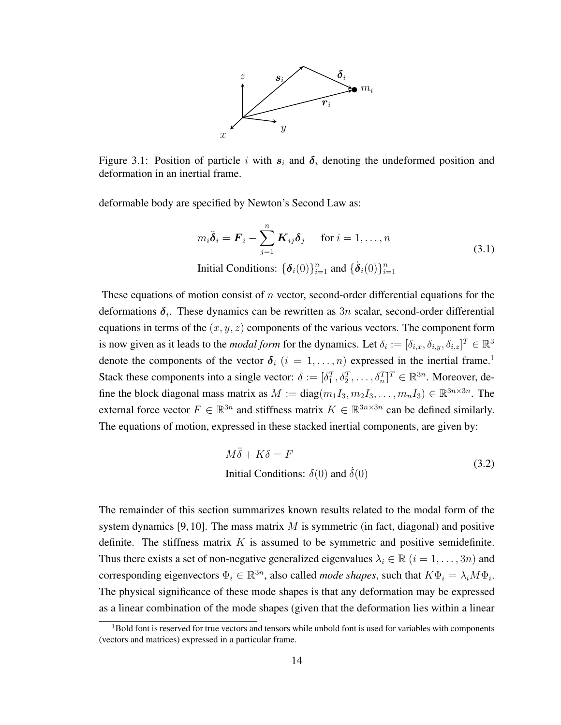

Figure 3.1: Position of particle i with  $s_i$  and  $\delta_i$  denoting the undeformed position and deformation in an inertial frame.

deformable body are specified by Newton's Second Law as:

$$
m_i \ddot{\delta}_i = \boldsymbol{F}_i - \sum_{j=1}^n \boldsymbol{K}_{ij} \delta_j \quad \text{for } i = 1, \dots, n
$$
  
Initial Conditions:  $\{\boldsymbol{\delta}_i(0)\}_{i=1}^n$  and  $\{\dot{\boldsymbol{\delta}}_i(0)\}_{i=1}^n$  (3.1)

These equations of motion consist of n vector, second-order differential equations for the deformations  $\delta_i$ . These dynamics can be rewritten as  $3n$  scalar, second-order differential equations in terms of the  $(x, y, z)$  components of the various vectors. The component form is now given as it leads to the *modal form* for the dynamics. Let  $\delta_i := [\delta_{i,x}, \delta_{i,y}, \delta_{i,z}]^T \in \mathbb{R}^3$ denote the components of the vector  $\delta_i$   $(i = 1, \ldots, n)$  expressed in the inertial frame.<sup>1</sup> Stack these components into a single vector:  $\delta := [\delta_1^T, \delta_2^T, \dots, \delta_n^T]^T \in \mathbb{R}^{3n}$ . Moreover, define the block diagonal mass matrix as  $M := diag(m_1 I_3, m_2 I_3, \dots, m_n I_3) \in \mathbb{R}^{3n \times 3n}$ . The external force vector  $F \in \mathbb{R}^{3n}$  and stiffness matrix  $K \in \mathbb{R}^{3n \times 3n}$  can be defined similarly. The equations of motion, expressed in these stacked inertial components, are given by:

$$
M\ddot{\delta} + K\delta = F
$$
  
Initial Conditions:  $\delta(0)$  and  $\dot{\delta}(0)$  (3.2)

The remainder of this section summarizes known results related to the modal form of the system dynamics [9, 10]. The mass matrix  $M$  is symmetric (in fact, diagonal) and positive definite. The stiffness matrix  $K$  is assumed to be symmetric and positive semidefinite. Thus there exists a set of non-negative generalized eigenvalues  $\lambda_i \in \mathbb{R}$   $(i = 1, \ldots, 3n)$  and corresponding eigenvectors  $\Phi_i \in \mathbb{R}^{3n}$ , also called *mode shapes*, such that  $K\Phi_i = \lambda_i M\Phi_i$ . The physical significance of these mode shapes is that any deformation may be expressed as a linear combination of the mode shapes (given that the deformation lies within a linear

<sup>&</sup>lt;sup>1</sup>Bold font is reserved for true vectors and tensors while unbold font is used for variables with components (vectors and matrices) expressed in a particular frame.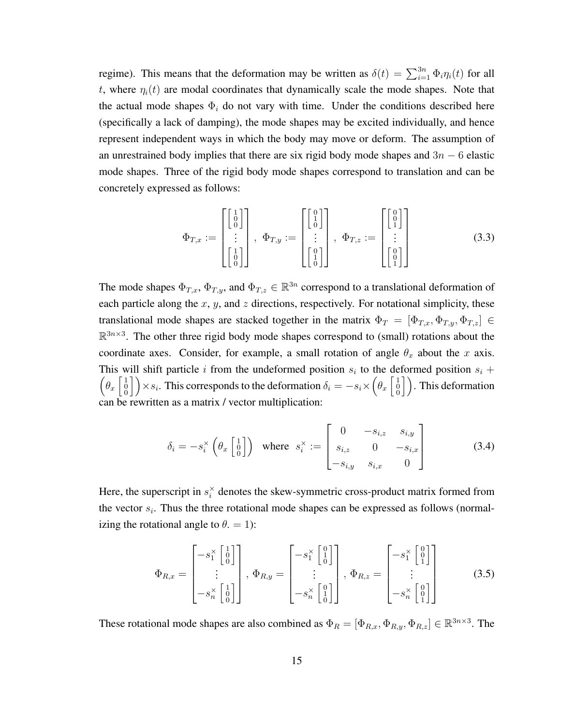regime). This means that the deformation may be written as  $\delta(t) = \sum_{i=1}^{3n} \Phi_i \eta_i(t)$  for all t, where  $\eta_i(t)$  are modal coordinates that dynamically scale the mode shapes. Note that the actual mode shapes  $\Phi_i$  do not vary with time. Under the conditions described here (specifically a lack of damping), the mode shapes may be excited individually, and hence represent independent ways in which the body may move or deform. The assumption of an unrestrained body implies that there are six rigid body mode shapes and  $3n - 6$  elastic mode shapes. Three of the rigid body mode shapes correspond to translation and can be concretely expressed as follows:

$$
\Phi_{T,x} := \begin{bmatrix} \begin{bmatrix} 1 \\ 0 \\ \vdots \\ 0 \end{bmatrix} \end{bmatrix}, \ \Phi_{T,y} := \begin{bmatrix} \begin{bmatrix} 0 \\ 1 \\ \vdots \\ 0 \end{bmatrix} \end{bmatrix}, \ \Phi_{T,z} := \begin{bmatrix} \begin{bmatrix} 0 \\ 0 \\ \vdots \\ 1 \end{bmatrix} \end{bmatrix}
$$
(3.3)

The mode shapes  $\Phi_{T,x}$ ,  $\Phi_{T,y}$ , and  $\Phi_{T,z} \in \mathbb{R}^{3n}$  correspond to a translational deformation of each particle along the  $x$ ,  $y$ , and  $z$  directions, respectively. For notational simplicity, these translational mode shapes are stacked together in the matrix  $\Phi_T = [\Phi_{T,x}, \Phi_{T,y}, \Phi_{T,z}] \in$  $\mathbb{R}^{3n \times 3}$ . The other three rigid body mode shapes correspond to (small) rotations about the coordinate axes. Consider, for example, a small rotation of angle  $\theta_x$  about the x axis. This will shift particle i from the undeformed position  $s_i$  to the deformed position  $s_i$  +  $\left(\theta_x \begin{bmatrix} 1 \\ 0 \\ 0 \end{bmatrix}\right) \times s_i$ . This corresponds to the deformation  $\delta_i = -s_i \times \left(\theta_x \begin{bmatrix} 1 \\ 0 \\ 0 \end{bmatrix}\right)$ . This deformation can be rewritten as a matrix / vector multiplication:

$$
\delta_{i} = -s_{i}^{\times} \left( \theta_{x} \begin{bmatrix} 1 \\ 0 \\ 0 \end{bmatrix} \right) \text{ where } s_{i}^{\times} := \begin{bmatrix} 0 & -s_{i,z} & s_{i,y} \\ s_{i,z} & 0 & -s_{i,x} \\ -s_{i,y} & s_{i,x} & 0 \end{bmatrix}
$$
(3.4)

Here, the superscript in  $s_i^{\times}$  $\chi^*$  denotes the skew-symmetric cross-product matrix formed from the vector  $s_i$ . Thus the three rotational mode shapes can be expressed as follows (normalizing the rotational angle to  $\theta = 1$ :

$$
\Phi_{R,x} = \begin{bmatrix} -s_1^{\times} \begin{bmatrix} 1 \\ 0 \end{bmatrix} \\ \vdots \\ -s_n^{\times} \begin{bmatrix} 1 \\ 0 \end{bmatrix} \end{bmatrix}, \ \Phi_{R,y} = \begin{bmatrix} -s_1^{\times} \begin{bmatrix} 0 \\ 1 \end{bmatrix} \\ \vdots \\ -s_n^{\times} \begin{bmatrix} 0 \\ 1 \end{bmatrix} \end{bmatrix}, \ \Phi_{R,z} = \begin{bmatrix} -s_1^{\times} \begin{bmatrix} 0 \\ 1 \end{bmatrix} \\ \vdots \\ -s_n^{\times} \begin{bmatrix} 0 \\ 0 \end{bmatrix} \end{bmatrix}
$$
(3.5)

These rotational mode shapes are also combined as  $\Phi_R = [\Phi_{R,x}, \Phi_{R,y}, \Phi_{R,z}] \in \mathbb{R}^{3n \times 3}$ . The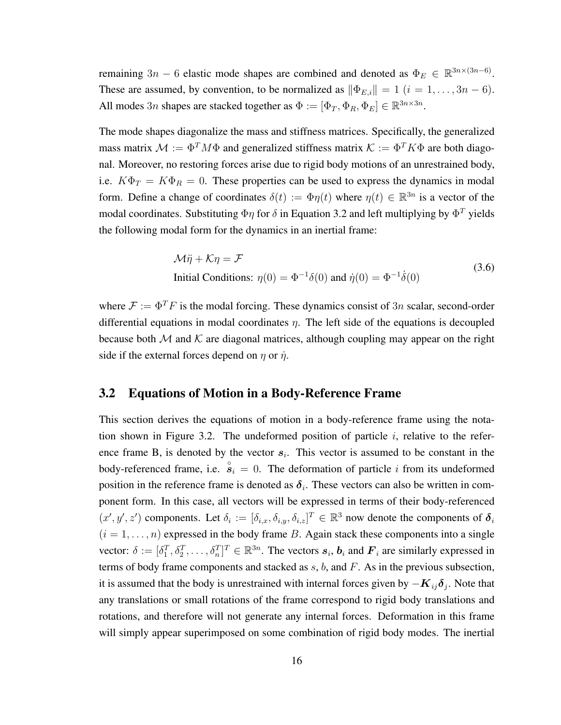remaining 3n – 6 elastic mode shapes are combined and denoted as  $\Phi_E \in \mathbb{R}^{3n \times (3n-6)}$ . These are assumed, by convention, to be normalized as  $\|\Phi_{E,i}\| = 1$   $(i = 1, \ldots, 3n - 6)$ . All modes  $3n$  shapes are stacked together as  $\Phi := [\Phi_T, \Phi_R, \Phi_E] \in \mathbb{R}^{3n \times 3n}$ .

The mode shapes diagonalize the mass and stiffness matrices. Specifically, the generalized mass matrix  $M := \Phi^T M \Phi$  and generalized stiffness matrix  $\mathcal{K} := \Phi^T K \Phi$  are both diagonal. Moreover, no restoring forces arise due to rigid body motions of an unrestrained body, i.e.  $K\Phi_T = K\Phi_R = 0$ . These properties can be used to express the dynamics in modal form. Define a change of coordinates  $\delta(t) := \Phi \eta(t)$  where  $\eta(t) \in \mathbb{R}^{3n}$  is a vector of the modal coordinates. Substituting  $\Phi \eta$  for  $\delta$  in Equation 3.2 and left multiplying by  $\Phi^T$  yields the following modal form for the dynamics in an inertial frame:

$$
\mathcal{M}\ddot{\eta} + \mathcal{K}\eta = \mathcal{F}
$$
  
Initial Conditions:  $\eta(0) = \Phi^{-1}\delta(0)$  and  $\dot{\eta}(0) = \Phi^{-1}\dot{\delta}(0)$  (3.6)

where  $\mathcal{F} := \Phi^T F$  is the modal forcing. These dynamics consist of 3n scalar, second-order differential equations in modal coordinates  $\eta$ . The left side of the equations is decoupled because both  $M$  and  $K$  are diagonal matrices, although coupling may appear on the right side if the external forces depend on  $\eta$  or  $\dot{\eta}$ .

#### 3.2 Equations of Motion in a Body-Reference Frame

This section derives the equations of motion in a body-reference frame using the notation shown in Figure 3.2. The undeformed position of particle  $i$ , relative to the reference frame B, is denoted by the vector  $s_i$ . This vector is assumed to be constant in the body-referenced frame, i.e.  $\hat{s}_i = 0$ . The deformation of particle i from its undeformed position in the reference frame is denoted as  $\delta_i$ . These vectors can also be written in component form. In this case, all vectors will be expressed in terms of their body-referenced  $(x', y', z')$  components. Let  $\delta_i := [\delta_{i,x}, \delta_{i,y}, \delta_{i,z}]^T \in \mathbb{R}^3$  now denote the components of  $\delta_i$  $(i = 1, \ldots, n)$  expressed in the body frame B. Again stack these components into a single vector:  $\delta := [\delta_1^T, \delta_2^T, \dots, \delta_n^T]^T \in \mathbb{R}^{3n}$ . The vectors  $s_i, b_i$  and  $F_i$  are similarly expressed in terms of body frame components and stacked as s, b, and F. As in the previous subsection, it is assumed that the body is unrestrained with internal forces given by  $-K_{ij}\delta_j$ . Note that any translations or small rotations of the frame correspond to rigid body translations and rotations, and therefore will not generate any internal forces. Deformation in this frame will simply appear superimposed on some combination of rigid body modes. The inertial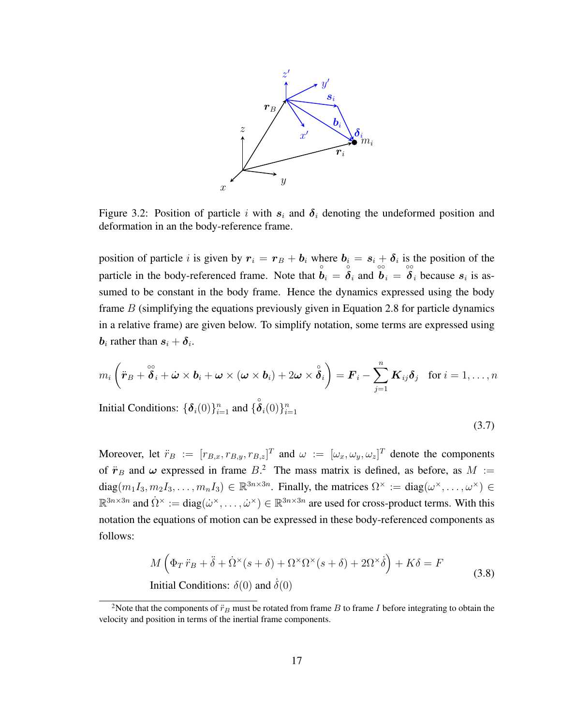

Figure 3.2: Position of particle i with  $s_i$  and  $\delta_i$  denoting the undeformed position and deformation in an the body-reference frame.

position of particle *i* is given by  $r_i = r_B + b_i$  where  $b_i = s_i + \delta_i$  is the position of the particle in the body-referenced frame. Note that  $\hat{b}_i = \hat{\delta}_i$  and  $\hat{b}_i = \hat{\delta}_i$  because  $s_i$  is assumed to be constant in the body frame. Hence the dynamics expressed using the body frame  $B$  (simplifying the equations previously given in Equation 2.8 for particle dynamics in a relative frame) are given below. To simplify notation, some terms are expressed using  $\boldsymbol{b}_i$  rather than  $\boldsymbol{s}_i + \boldsymbol{\delta}_i$ .

$$
m_i\left(\ddot{\boldsymbol{r}}_B + \overset{\circ\circ}{\boldsymbol{\delta}}_i + \dot{\boldsymbol{\omega}} \times \boldsymbol{b}_i + \boldsymbol{\omega} \times (\boldsymbol{\omega} \times \boldsymbol{b}_i) + 2\boldsymbol{\omega} \times \overset{\circ}{\boldsymbol{\delta}}_i\right) = \boldsymbol{F}_i - \sum_{j=1}^n \boldsymbol{K}_{ij}\boldsymbol{\delta}_j \quad \text{for } i = 1,\ldots,n
$$

Initial Conditions:  $\{\boldsymbol{\delta}_i(0)\}_{i=1}^n$  and  $\{\overset{\circ}{\boldsymbol{\delta}}_i(0)\}_{i=1}^n$ 

$$
(3.7)
$$

Moreover, let  $\ddot{r}_B := [r_{B,x}, r_{B,y}, r_{B,z}]^T$  and  $\omega := [\omega_x, \omega_y, \omega_z]^T$  denote the components of  $\ddot{\mathbf{r}}_B$  and  $\boldsymbol{\omega}$  expressed in frame  $B$ <sup>2</sup>. The mass matrix is defined, as before, as  $M :=$ diag $(m_1I_3, m_2I_3, \ldots, m_nI_3) \in \mathbb{R}^{3n \times 3n}$ . Finally, the matrices  $\Omega^{\times} := \text{diag}(\omega^{\times}, \ldots, \omega^{\times}) \in$  $\mathbb{R}^{3n\times3n}$  and  $\dot{\Omega}^{\times}:=\text{diag}(\dot{\omega}^{\times},\ldots,\dot{\omega}^{\times})\in\mathbb{R}^{3n\times3n}$  are used for cross-product terms. With this notation the equations of motion can be expressed in these body-referenced components as follows:

$$
M\left(\Phi_T\ddot{r}_B + \ddot{\delta} + \dot{\Omega}^{\times}(s+\delta) + \Omega^{\times}\Omega^{\times}(s+\delta) + 2\Omega^{\times}\dot{\delta}\right) + K\delta = F
$$
\nInitial Conditions:

\n
$$
\delta(0) \text{ and } \dot{\delta}(0)
$$
\n(3.8)

<sup>&</sup>lt;sup>2</sup>Note that the components of  $\ddot{r}_B$  must be rotated from frame B to frame I before integrating to obtain the velocity and position in terms of the inertial frame components.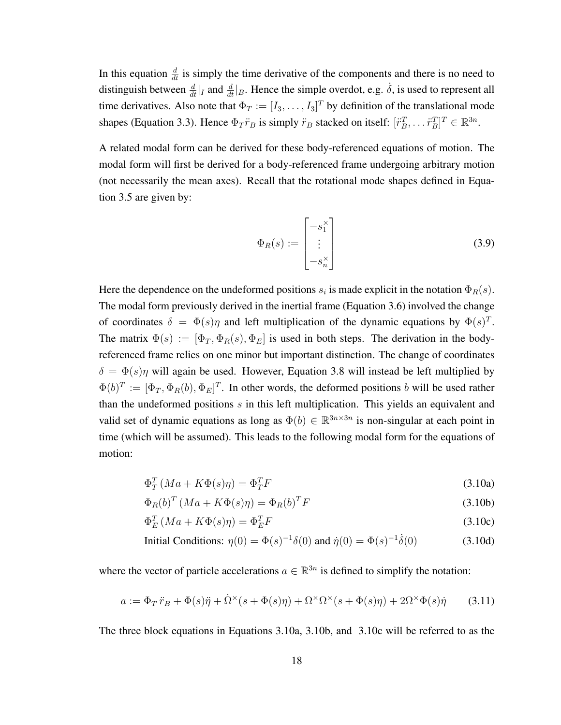In this equation  $\frac{d}{dt}$  is simply the time derivative of the components and there is no need to distinguish between  $\frac{d}{dt}|_I$  and  $\frac{d}{dt}|_B$ . Hence the simple overdot, e.g.  $\dot{\delta}$ , is used to represent all time derivatives. Also note that  $\Phi_T := [I_3, \dots, I_3]^T$  by definition of the translational mode shapes (Equation 3.3). Hence  $\Phi_T \ddot{r}_B$  is simply  $\ddot{r}_B$  stacked on itself:  $[\ddot{r}_B^T, \dots \ddot{r}_B^T]^T \in \mathbb{R}^{3n}$ .

A related modal form can be derived for these body-referenced equations of motion. The modal form will first be derived for a body-referenced frame undergoing arbitrary motion (not necessarily the mean axes). Recall that the rotational mode shapes defined in Equation 3.5 are given by:

$$
\Phi_R(s) := \begin{bmatrix} -s_1^\times \\ \vdots \\ -s_n^\times \end{bmatrix} \tag{3.9}
$$

Here the dependence on the undeformed positions  $s_i$  is made explicit in the notation  $\Phi_R(s)$ . The modal form previously derived in the inertial frame (Equation 3.6) involved the change of coordinates  $\delta = \Phi(s)\eta$  and left multiplication of the dynamic equations by  $\Phi(s)^T$ . The matrix  $\Phi(s) := [\Phi_T, \Phi_R(s), \Phi_E]$  is used in both steps. The derivation in the bodyreferenced frame relies on one minor but important distinction. The change of coordinates  $\delta = \Phi(s)\eta$  will again be used. However, Equation 3.8 will instead be left multiplied by  $\Phi(b)^T := [\Phi_T, \Phi_R(b), \Phi_E]^T$ . In other words, the deformed positions b will be used rather than the undeformed positions  $s$  in this left multiplication. This yields an equivalent and valid set of dynamic equations as long as  $\Phi(b) \in \mathbb{R}^{3n \times 3n}$  is non-singular at each point in time (which will be assumed). This leads to the following modal form for the equations of motion:

$$
\Phi_T^T (Ma + K\Phi(s)\eta) = \Phi_T^T F \tag{3.10a}
$$

$$
\Phi_R(b)^T \left( Ma + K\Phi(s)\eta \right) = \Phi_R(b)^T F \tag{3.10b}
$$

$$
\Phi_E^T (Ma + K\Phi(s)\eta) = \Phi_E^T F \tag{3.10c}
$$

Initial Conditions: 
$$
\eta(0) = \Phi(s)^{-1}\delta(0)
$$
 and  $\dot{\eta}(0) = \Phi(s)^{-1}\dot{\delta}(0)$  (3.10d)

where the vector of particle accelerations  $a \in \mathbb{R}^{3n}$  is defined to simplify the notation:

$$
a := \Phi_T \ddot{r}_B + \Phi(s)\ddot{\eta} + \dot{\Omega}^\times(s + \Phi(s)\eta) + \Omega^\times \Omega^\times(s + \Phi(s)\eta) + 2\Omega^\times \Phi(s)\dot{\eta}
$$
 (3.11)

The three block equations in Equations 3.10a, 3.10b, and 3.10c will be referred to as the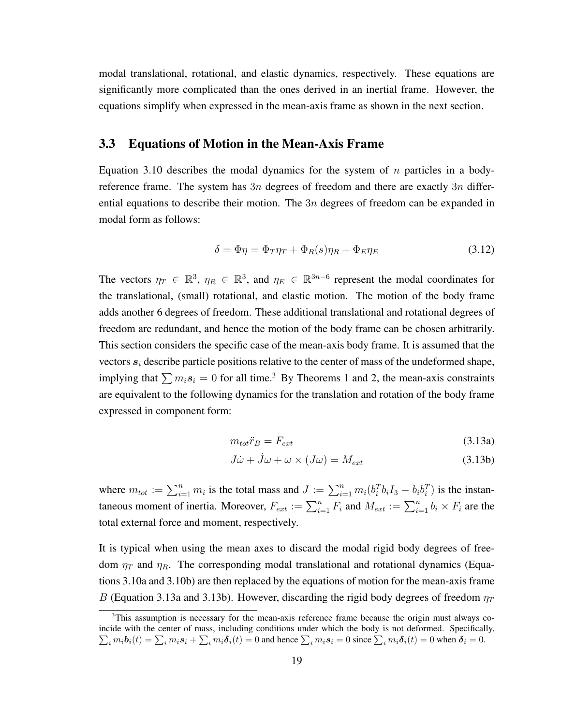modal translational, rotational, and elastic dynamics, respectively. These equations are significantly more complicated than the ones derived in an inertial frame. However, the equations simplify when expressed in the mean-axis frame as shown in the next section.

#### 3.3 Equations of Motion in the Mean-Axis Frame

Equation 3.10 describes the modal dynamics for the system of  $n$  particles in a bodyreference frame. The system has  $3n$  degrees of freedom and there are exactly  $3n$  differential equations to describe their motion. The  $3n$  degrees of freedom can be expanded in modal form as follows:

$$
\delta = \Phi \eta = \Phi_T \eta_T + \Phi_R(s) \eta_R + \Phi_E \eta_E \tag{3.12}
$$

The vectors  $\eta_T \in \mathbb{R}^3$ ,  $\eta_R \in \mathbb{R}^3$ , and  $\eta_E \in \mathbb{R}^{3n-6}$  represent the modal coordinates for the translational, (small) rotational, and elastic motion. The motion of the body frame adds another 6 degrees of freedom. These additional translational and rotational degrees of freedom are redundant, and hence the motion of the body frame can be chosen arbitrarily. This section considers the specific case of the mean-axis body frame. It is assumed that the vectors  $s_i$  describe particle positions relative to the center of mass of the undeformed shape, implying that  $\sum m_i s_i = 0$  for all time.<sup>3</sup> By Theorems 1 and 2, the mean-axis constraints are equivalent to the following dynamics for the translation and rotation of the body frame expressed in component form:

$$
m_{tot}\ddot{r}_B = F_{ext} \tag{3.13a}
$$

$$
J\dot{\omega} + \dot{J}\omega + \omega \times (J\omega) = M_{ext}
$$
 (3.13b)

where  $m_{tot} := \sum_{i=1}^n m_i$  is the total mass and  $J := \sum_{i=1}^n m_i (b_i^T b_i I_3 - b_i b_i^T)$  is the instantaneous moment of inertia. Moreover,  $F_{ext} := \sum_{i=1}^{n} F_i$  and  $M_{ext} := \sum_{i=1}^{n} b_i \times F_i$  are the total external force and moment, respectively.

It is typical when using the mean axes to discard the modal rigid body degrees of freedom  $\eta_T$  and  $\eta_R$ . The corresponding modal translational and rotational dynamics (Equations 3.10a and 3.10b) are then replaced by the equations of motion for the mean-axis frame B (Equation 3.13a and 3.13b). However, discarding the rigid body degrees of freedom  $\eta_T$ 

 $3$ This assumption is necessary for the mean-axis reference frame because the origin must always coincide with the center of mass, including conditions under which the body is not deformed. Specifically,  $\sum_i m_i \boldsymbol{b}_i(t) = \sum_i m_i \boldsymbol{s}_i + \sum_i m_i \boldsymbol{\delta}_i(t) = 0$  and hence  $\sum_i m_i \boldsymbol{s}_i = 0$  since  $\sum_i m_i \boldsymbol{\delta}_i(t) = 0$  when  $\boldsymbol{\delta}_i = 0$ .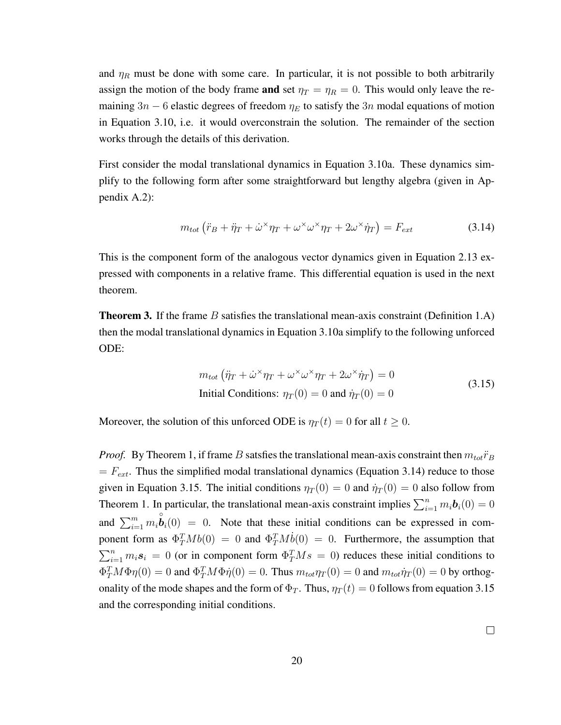and  $\eta_R$  must be done with some care. In particular, it is not possible to both arbitrarily assign the motion of the body frame and set  $\eta_T = \eta_R = 0$ . This would only leave the remaining 3n – 6 elastic degrees of freedom  $\eta_E$  to satisfy the 3n modal equations of motion in Equation 3.10, i.e. it would overconstrain the solution. The remainder of the section works through the details of this derivation.

First consider the modal translational dynamics in Equation 3.10a. These dynamics simplify to the following form after some straightforward but lengthy algebra (given in Appendix A.2):

$$
m_{tot} \left( \ddot{r}_B + \ddot{\eta}_T + \dot{\omega}^\times \eta_T + \omega^\times \omega^\times \eta_T + 2\omega^\times \dot{\eta}_T \right) = F_{ext}
$$
\n(3.14)

This is the component form of the analogous vector dynamics given in Equation 2.13 expressed with components in a relative frame. This differential equation is used in the next theorem.

**Theorem 3.** If the frame B satisfies the translational mean-axis constraint (Definition 1.A) then the modal translational dynamics in Equation 3.10a simplify to the following unforced ODE:

$$
m_{tot} (\ddot{\eta}_T + \dot{\omega}^\times \eta_T + \omega^\times \omega^\times \eta_T + 2\omega^\times \dot{\eta}_T) = 0
$$
  
Initial Conditions:  $\eta_T(0) = 0$  and  $\dot{\eta}_T(0) = 0$  (3.15)

Moreover, the solution of this unforced ODE is  $\eta_T(t) = 0$  for all  $t \geq 0$ .

*Proof.* By Theorem 1, if frame B satsfies the translational mean-axis constraint then  $m_{tot} \ddot{r}_B$  $= F_{ext}$ . Thus the simplified modal translational dynamics (Equation 3.14) reduce to those given in Equation 3.15. The initial conditions  $\eta_T(0) = 0$  and  $\dot{\eta}_T(0) = 0$  also follow from Theorem 1. In particular, the translational mean-axis constraint implies  $\sum_{i=1}^{n} m_i \boldsymbol{b}_i(0) = 0$ and  $\sum_{i=1}^{m} m_i \overset{\circ}{\bm{b}}_i(0) = 0$ . Note that these initial conditions can be expressed in component form as  $\Phi_T^T M b(0) = 0$  and  $\Phi_T^T M \dot{b}(0) = 0$ . Furthermore, the assumption that  $\sum_{i=1}^{n} m_i s_i = 0$  (or in component form  $\Phi_T^T M s = 0$ ) reduces these initial conditions to  $\Phi_T^T M \Phi \eta(0) = 0$  and  $\Phi_T^T M \Phi \dot{\eta}(0) = 0$ . Thus  $m_{tot} \eta_T(0) = 0$  and  $m_{tot} \dot{\eta}_T(0) = 0$  by orthogonality of the mode shapes and the form of  $\Phi_T$ . Thus,  $\eta_T(t) = 0$  follows from equation 3.15 and the corresponding initial conditions.

 $\Box$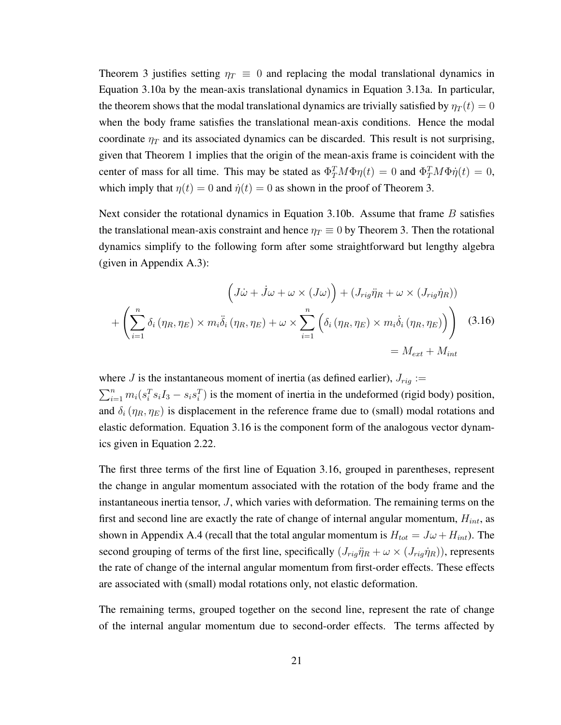Theorem 3 justifies setting  $\eta_T \equiv 0$  and replacing the modal translational dynamics in Equation 3.10a by the mean-axis translational dynamics in Equation 3.13a. In particular, the theorem shows that the modal translational dynamics are trivially satisfied by  $\eta_T(t) = 0$ when the body frame satisfies the translational mean-axis conditions. Hence the modal coordinate  $\eta_T$  and its associated dynamics can be discarded. This result is not surprising, given that Theorem 1 implies that the origin of the mean-axis frame is coincident with the center of mass for all time. This may be stated as  $\Phi_T^T M \Phi \eta(t) = 0$  and  $\Phi_T^T M \Phi \dot{\eta}(t) = 0$ , which imply that  $\eta(t) = 0$  and  $\dot{\eta}(t) = 0$  as shown in the proof of Theorem 3.

Next consider the rotational dynamics in Equation 3.10b. Assume that frame  $B$  satisfies the translational mean-axis constraint and hence  $\eta_T \equiv 0$  by Theorem 3. Then the rotational dynamics simplify to the following form after some straightforward but lengthy algebra (given in Appendix A.3):

$$
\left(J\dot{\omega} + \dot{J}\omega + \omega \times (J\omega)\right) + \left(J_{rig}\ddot{\eta}_R + \omega \times (J_{rig}\dot{\eta}_R)\right)
$$

$$
+ \left(\sum_{i=1}^n \delta_i \left(\eta_R, \eta_E\right) \times m_i \ddot{\delta}_i \left(\eta_R, \eta_E\right) + \omega \times \sum_{i=1}^n \left(\delta_i \left(\eta_R, \eta_E\right) \times m_i \dot{\delta}_i \left(\eta_R, \eta_E\right)\right)\right) \tag{3.16}
$$

$$
= M_{ext} + M_{int}
$$

where J is the instantaneous moment of inertia (as defined earlier),  $J_{rig} :=$  $\sum_{i=1}^{n} m_i (s_i^T s_i I_3 - s_i s_i^T)$  is the moment of inertia in the undeformed (rigid body) position, and  $\delta_i(\eta_R, \eta_E)$  is displacement in the reference frame due to (small) modal rotations and elastic deformation. Equation 3.16 is the component form of the analogous vector dynamics given in Equation 2.22.

The first three terms of the first line of Equation 3.16, grouped in parentheses, represent the change in angular momentum associated with the rotation of the body frame and the instantaneous inertia tensor, J, which varies with deformation. The remaining terms on the first and second line are exactly the rate of change of internal angular momentum,  $H_{int}$ , as shown in Appendix A.4 (recall that the total angular momentum is  $H_{tot} = J\omega + H_{int}$ ). The second grouping of terms of the first line, specifically  $(J_{rig}\ddot{\eta}_R + \omega \times (J_{rig}\dot{\eta}_R))$ , represents the rate of change of the internal angular momentum from first-order effects. These effects are associated with (small) modal rotations only, not elastic deformation.

The remaining terms, grouped together on the second line, represent the rate of change of the internal angular momentum due to second-order effects. The terms affected by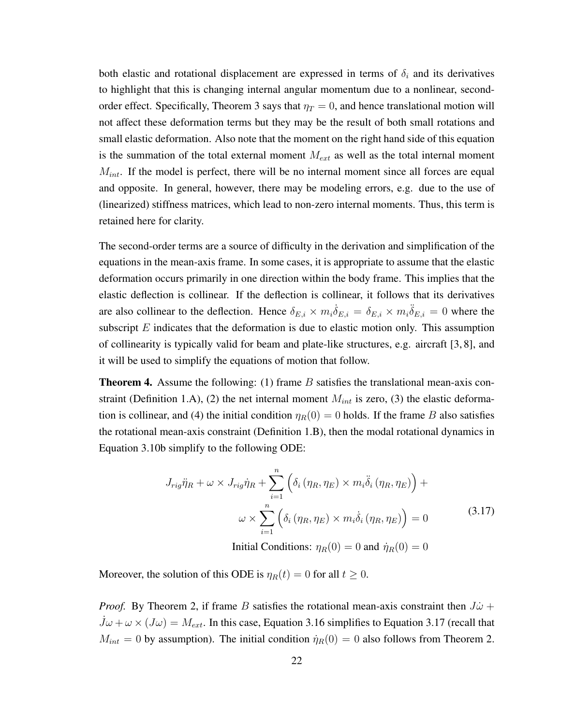both elastic and rotational displacement are expressed in terms of  $\delta_i$  and its derivatives to highlight that this is changing internal angular momentum due to a nonlinear, secondorder effect. Specifically, Theorem 3 says that  $\eta_T = 0$ , and hence translational motion will not affect these deformation terms but they may be the result of both small rotations and small elastic deformation. Also note that the moment on the right hand side of this equation is the summation of the total external moment  $M_{ext}$  as well as the total internal moment  $M_{int}$ . If the model is perfect, there will be no internal moment since all forces are equal and opposite. In general, however, there may be modeling errors, e.g. due to the use of (linearized) stiffness matrices, which lead to non-zero internal moments. Thus, this term is retained here for clarity.

The second-order terms are a source of difficulty in the derivation and simplification of the equations in the mean-axis frame. In some cases, it is appropriate to assume that the elastic deformation occurs primarily in one direction within the body frame. This implies that the elastic deflection is collinear. If the deflection is collinear, it follows that its derivatives are also collinear to the deflection. Hence  $\delta_{E,i} \times m_i \dot{\delta}_{E,i} = \delta_{E,i} \times m_i \ddot{\delta}_{E,i} = 0$  where the subscript  $E$  indicates that the deformation is due to elastic motion only. This assumption of collinearity is typically valid for beam and plate-like structures, e.g. aircraft [3, 8], and it will be used to simplify the equations of motion that follow.

**Theorem 4.** Assume the following: (1) frame  $B$  satisfies the translational mean-axis constraint (Definition 1.A), (2) the net internal moment  $M_{int}$  is zero, (3) the elastic deformation is collinear, and (4) the initial condition  $\eta_R(0) = 0$  holds. If the frame B also satisfies the rotational mean-axis constraint (Definition 1.B), then the modal rotational dynamics in Equation 3.10b simplify to the following ODE:

$$
J_{rig}\ddot{\eta}_R + \omega \times J_{rig}\dot{\eta}_R + \sum_{i=1}^n \left( \delta_i \left( \eta_R, \eta_E \right) \times m_i \ddot{\delta}_i \left( \eta_R, \eta_E \right) \right) +
$$
  

$$
\omega \times \sum_{i=1}^n \left( \delta_i \left( \eta_R, \eta_E \right) \times m_i \dot{\delta}_i \left( \eta_R, \eta_E \right) \right) = 0 \tag{3.17}
$$

Initial Conditions:  $\eta_R(0) = 0$  and  $\dot{\eta}_R(0) = 0$ 

Moreover, the solution of this ODE is  $\eta_R(t) = 0$  for all  $t \geq 0$ .

*Proof.* By Theorem 2, if frame B satisfies the rotational mean-axis constraint then  $J\dot{\omega}$  +  $J\omega + \omega \times (J\omega) = M_{ext}$ . In this case, Equation 3.16 simplifies to Equation 3.17 (recall that  $M_{int} = 0$  by assumption). The initial condition  $\dot{\eta}_R(0) = 0$  also follows from Theorem 2.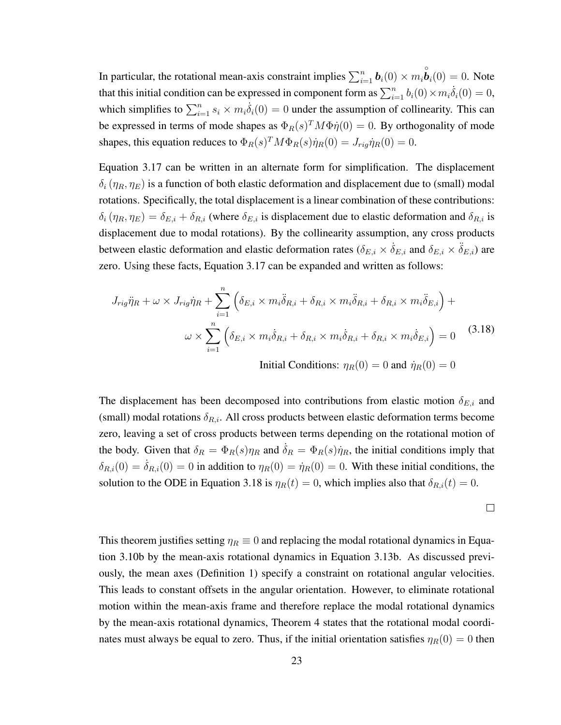In particular, the rotational mean-axis constraint implies  $\sum_{i=1}^{n} \mathbf{b}_i(0) \times m_i \overset{\circ}{\mathbf{b}}_i(0) = 0$ . Note that this initial condition can be expressed in component form as  $\sum_{i=1}^{n} b_i(0) \times m_i \dot{\delta}_i(0) = 0$ , which simplifies to  $\sum_{i=1}^{n} s_i \times m_i \dot{\delta}_i(0) = 0$  under the assumption of collinearity. This can be expressed in terms of mode shapes as  $\Phi_R(s)^T M \Phi \dot{\eta}(0) = 0$ . By orthogonality of mode shapes, this equation reduces to  $\Phi_R(s)^T M \Phi_R(s) \dot{\eta}_R(0) = J_{rig} \dot{\eta}_R(0) = 0.$ 

Equation 3.17 can be written in an alternate form for simplification. The displacement  $\delta_i$  ( $\eta_R$ ,  $\eta_F$ ) is a function of both elastic deformation and displacement due to (small) modal rotations. Specifically, the total displacement is a linear combination of these contributions:  $\delta_i(\eta_R, \eta_E) = \delta_{E,i} + \delta_{R,i}$  (where  $\delta_{E,i}$  is displacement due to elastic deformation and  $\delta_{R,i}$  is displacement due to modal rotations). By the collinearity assumption, any cross products between elastic deformation and elastic deformation rates ( $\delta_{E,i} \times \delta_{E,i}$  and  $\delta_{E,i} \times \delta_{E,i}$ ) are zero. Using these facts, Equation 3.17 can be expanded and written as follows:

$$
J_{rig}\ddot{\eta}_R + \omega \times J_{rig}\dot{\eta}_R + \sum_{i=1}^n \left( \delta_{E,i} \times m_i \ddot{\delta}_{R,i} + \delta_{R,i} \times m_i \ddot{\delta}_{R,i} + \delta_{R,i} \times m_i \ddot{\delta}_{E,i} \right) +
$$
  

$$
\omega \times \sum_{i=1}^n \left( \delta_{E,i} \times m_i \dot{\delta}_{R,i} + \delta_{R,i} \times m_i \dot{\delta}_{R,i} + \delta_{R,i} \times m_i \dot{\delta}_{E,i} \right) = 0 \quad (3.18)
$$
  
Initial Conditions:  $\eta_R(0) = 0$  and  $\dot{\eta}_R(0) = 0$ 

The displacement has been decomposed into contributions from elastic motion  $\delta_{E,i}$  and (small) modal rotations  $\delta_{R,i}$ . All cross products between elastic deformation terms become zero, leaving a set of cross products between terms depending on the rotational motion of the body. Given that  $\delta_R = \Phi_R(s)\eta_R$  and  $\dot{\delta}_R = \Phi_R(s)\dot{\eta}_R$ , the initial conditions imply that  $\delta_{R,i}(0) = \dot{\delta}_{R,i}(0) = 0$  in addition to  $\eta_R(0) = \dot{\eta}_R(0) = 0$ . With these initial conditions, the solution to the ODE in Equation 3.18 is  $\eta_R(t) = 0$ , which implies also that  $\delta_{R,i}(t) = 0$ .

$$
\qquad \qquad \Box
$$

This theorem justifies setting  $\eta_R \equiv 0$  and replacing the modal rotational dynamics in Equation 3.10b by the mean-axis rotational dynamics in Equation 3.13b. As discussed previously, the mean axes (Definition 1) specify a constraint on rotational angular velocities. This leads to constant offsets in the angular orientation. However, to eliminate rotational motion within the mean-axis frame and therefore replace the modal rotational dynamics by the mean-axis rotational dynamics, Theorem 4 states that the rotational modal coordinates must always be equal to zero. Thus, if the initial orientation satisfies  $\eta_R(0) = 0$  then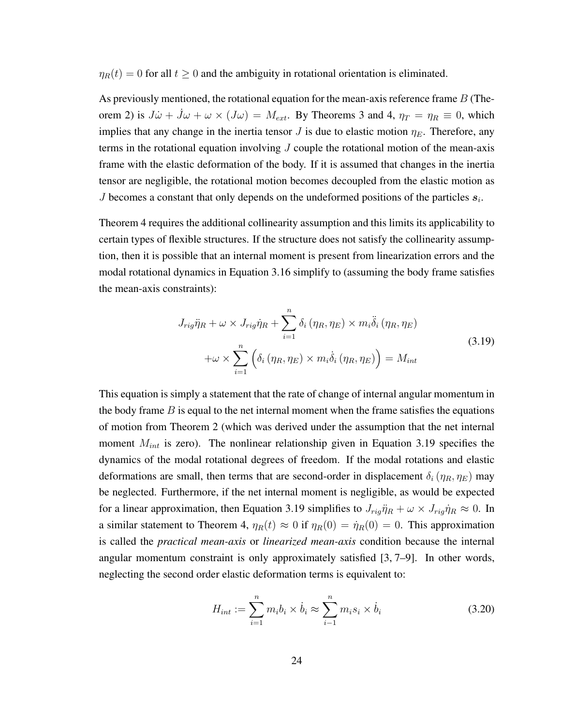$\eta_R(t) = 0$  for all  $t \geq 0$  and the ambiguity in rotational orientation is eliminated.

As previously mentioned, the rotational equation for the mean-axis reference frame  $B$  (Theorem 2) is  $J\dot{\omega} + \dot{J}\omega + \omega \times (J\omega) = M_{ext}$ . By Theorems 3 and 4,  $\eta_T = \eta_R \equiv 0$ , which implies that any change in the inertia tensor J is due to elastic motion  $\eta_E$ . Therefore, any terms in the rotational equation involving  $J$  couple the rotational motion of the mean-axis frame with the elastic deformation of the body. If it is assumed that changes in the inertia tensor are negligible, the rotational motion becomes decoupled from the elastic motion as J becomes a constant that only depends on the undeformed positions of the particles  $s_i$ .

Theorem 4 requires the additional collinearity assumption and this limits its applicability to certain types of flexible structures. If the structure does not satisfy the collinearity assumption, then it is possible that an internal moment is present from linearization errors and the modal rotational dynamics in Equation 3.16 simplify to (assuming the body frame satisfies the mean-axis constraints):

$$
J_{rig}\ddot{\eta}_R + \omega \times J_{rig}\dot{\eta}_R + \sum_{i=1}^n \delta_i (\eta_R, \eta_E) \times m_i \ddot{\delta}_i (\eta_R, \eta_E)
$$
  
+
$$
\omega \times \sum_{i=1}^n \left( \delta_i (\eta_R, \eta_E) \times m_i \dot{\delta}_i (\eta_R, \eta_E) \right) = M_{int}
$$
(3.19)

This equation is simply a statement that the rate of change of internal angular momentum in the body frame  $B$  is equal to the net internal moment when the frame satisfies the equations of motion from Theorem 2 (which was derived under the assumption that the net internal moment  $M_{int}$  is zero). The nonlinear relationship given in Equation 3.19 specifies the dynamics of the modal rotational degrees of freedom. If the modal rotations and elastic deformations are small, then terms that are second-order in displacement  $\delta_i$  ( $\eta_R$ ,  $\eta_E$ ) may be neglected. Furthermore, if the net internal moment is negligible, as would be expected for a linear approximation, then Equation 3.19 simplifies to  $J_{riq}\ddot{\eta}_R + \omega \times J_{riq}\dot{\eta}_R \approx 0$ . In a similar statement to Theorem 4,  $\eta_R(t) \approx 0$  if  $\eta_R(0) = \dot{\eta}_R(0) = 0$ . This approximation is called the *practical mean-axis* or *linearized mean-axis* condition because the internal angular momentum constraint is only approximately satisfied [3, 7–9]. In other words, neglecting the second order elastic deformation terms is equivalent to:

$$
H_{int} := \sum_{i=1}^{n} m_i b_i \times \dot{b}_i \approx \sum_{i=1}^{n} m_i s_i \times \dot{b}_i
$$
 (3.20)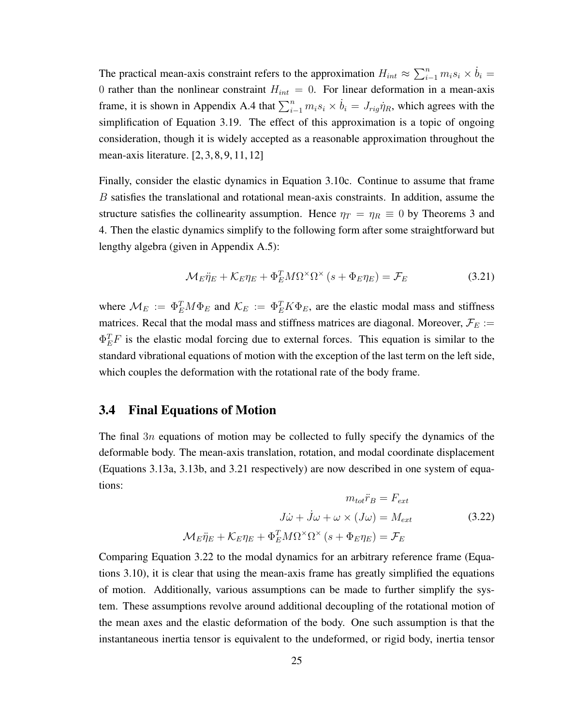The practical mean-axis constraint refers to the approximation  $H_{int} \approx \sum_{i=1}^{n} m_i s_i \times \dot{b}_i =$ 0 rather than the nonlinear constraint  $H_{int} = 0$ . For linear deformation in a mean-axis frame, it is shown in Appendix A.4 that  $\sum_{i=1}^{n} m_i s_i \times \dot{b}_i = J_{rig} \dot{\eta}_R$ , which agrees with the simplification of Equation 3.19. The effect of this approximation is a topic of ongoing consideration, though it is widely accepted as a reasonable approximation throughout the mean-axis literature. [2, 3, 8, 9, 11, 12]

Finally, consider the elastic dynamics in Equation 3.10c. Continue to assume that frame B satisfies the translational and rotational mean-axis constraints. In addition, assume the structure satisfies the collinearity assumption. Hence  $\eta_T = \eta_R \equiv 0$  by Theorems 3 and 4. Then the elastic dynamics simplify to the following form after some straightforward but lengthy algebra (given in Appendix A.5):

$$
\mathcal{M}_{E}\ddot{\eta}_{E} + \mathcal{K}_{E}\eta_{E} + \Phi_{E}^{T}M\Omega^{\times}\Omega^{\times}\left(s + \Phi_{E}\eta_{E}\right) = \mathcal{F}_{E}
$$
\n(3.21)

where  $\mathcal{M}_E := \Phi_E^T M \Phi_E$  and  $\mathcal{K}_E := \Phi_E^T K \Phi_E$ , are the elastic modal mass and stiffness matrices. Recal that the modal mass and stiffness matrices are diagonal. Moreover,  $\mathcal{F}_E$  :=  $\Phi_E^T F$  is the elastic modal forcing due to external forces. This equation is similar to the standard vibrational equations of motion with the exception of the last term on the left side, which couples the deformation with the rotational rate of the body frame.

#### 3.4 Final Equations of Motion

The final 3n equations of motion may be collected to fully specify the dynamics of the deformable body. The mean-axis translation, rotation, and modal coordinate displacement (Equations 3.13a, 3.13b, and 3.21 respectively) are now described in one system of equations:

$$
m_{tot}\ddot{r}_B = F_{ext}
$$

$$
J\dot{\omega} + \dot{J}\omega + \omega \times (J\omega) = M_{ext}
$$
(3.22)
$$
\mathcal{M}_E \ddot{\eta}_E + \mathcal{K}_E \eta_E + \Phi_E^T M \Omega^\times \Omega^\times (s + \Phi_E \eta_E) = \mathcal{F}_E
$$

Comparing Equation 3.22 to the modal dynamics for an arbitrary reference frame (Equations 3.10), it is clear that using the mean-axis frame has greatly simplified the equations of motion. Additionally, various assumptions can be made to further simplify the system. These assumptions revolve around additional decoupling of the rotational motion of the mean axes and the elastic deformation of the body. One such assumption is that the instantaneous inertia tensor is equivalent to the undeformed, or rigid body, inertia tensor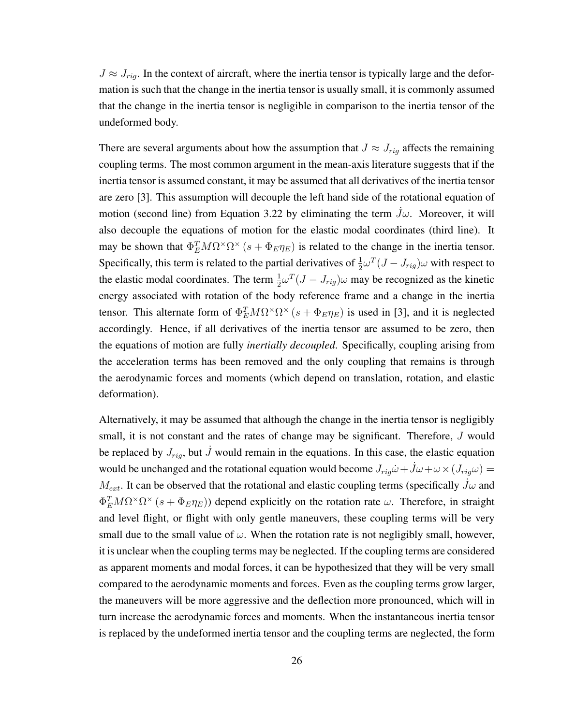$J \approx J_{riq}$ . In the context of aircraft, where the inertia tensor is typically large and the deformation is such that the change in the inertia tensor is usually small, it is commonly assumed that the change in the inertia tensor is negligible in comparison to the inertia tensor of the undeformed body.

There are several arguments about how the assumption that  $J \approx J_{rig}$  affects the remaining coupling terms. The most common argument in the mean-axis literature suggests that if the inertia tensor is assumed constant, it may be assumed that all derivatives of the inertia tensor are zero [3]. This assumption will decouple the left hand side of the rotational equation of motion (second line) from Equation 3.22 by eliminating the term  $\dot{J}\omega$ . Moreover, it will also decouple the equations of motion for the elastic modal coordinates (third line). It may be shown that  $\Phi_E^T M \Omega^\times \Omega^\times (s + \Phi_E \eta_E)$  is related to the change in the inertia tensor. Specifically, this term is related to the partial derivatives of  $\frac{1}{2}\omega^T(J-J_{rig})\omega$  with respect to the elastic modal coordinates. The term  $\frac{1}{2}\omega^T(J - J_{rig})\omega$  may be recognized as the kinetic energy associated with rotation of the body reference frame and a change in the inertia tensor. This alternate form of  $\Phi_E^T M \Omega^\times \Omega^\times (s + \Phi_E \eta_E)$  is used in [3], and it is neglected accordingly. Hence, if all derivatives of the inertia tensor are assumed to be zero, then the equations of motion are fully *inertially decoupled*. Specifically, coupling arising from the acceleration terms has been removed and the only coupling that remains is through the aerodynamic forces and moments (which depend on translation, rotation, and elastic deformation).

Alternatively, it may be assumed that although the change in the inertia tensor is negligibly small, it is not constant and the rates of change may be significant. Therefore, J would be replaced by  $J_{riq}$ , but  $\dot{J}$  would remain in the equations. In this case, the elastic equation would be unchanged and the rotational equation would become  $J_{rig}\dot{\omega} + \dot{J}\omega + \omega \times (J_{rig}\omega) =$  $M_{ext}$ . It can be observed that the rotational and elastic coupling terms (specifically  $\dot{J}\omega$  and  $\Phi_E^T M \Omega^\times \Omega^\times (s + \Phi_E \eta_E)$ ) depend explicitly on the rotation rate  $\omega$ . Therefore, in straight and level flight, or flight with only gentle maneuvers, these coupling terms will be very small due to the small value of  $\omega$ . When the rotation rate is not negligibly small, however, it is unclear when the coupling terms may be neglected. If the coupling terms are considered as apparent moments and modal forces, it can be hypothesized that they will be very small compared to the aerodynamic moments and forces. Even as the coupling terms grow larger, the maneuvers will be more aggressive and the deflection more pronounced, which will in turn increase the aerodynamic forces and moments. When the instantaneous inertia tensor is replaced by the undeformed inertia tensor and the coupling terms are neglected, the form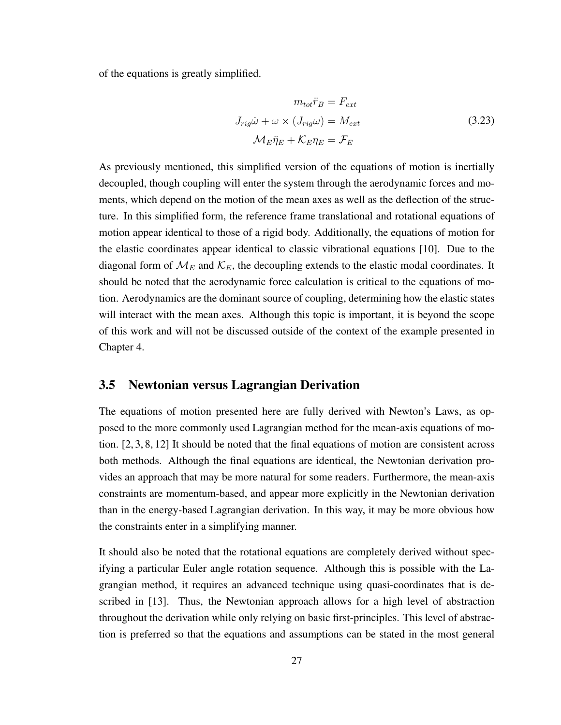of the equations is greatly simplified.

$$
m_{tot}\ddot{r}_B = F_{ext}
$$
  

$$
J_{rig}\dot{\omega} + \omega \times (J_{rig}\omega) = M_{ext}
$$
  

$$
\mathcal{M}_E \ddot{\eta}_E + \mathcal{K}_E \eta_E = \mathcal{F}_E
$$
  
(3.23)

As previously mentioned, this simplified version of the equations of motion is inertially decoupled, though coupling will enter the system through the aerodynamic forces and moments, which depend on the motion of the mean axes as well as the deflection of the structure. In this simplified form, the reference frame translational and rotational equations of motion appear identical to those of a rigid body. Additionally, the equations of motion for the elastic coordinates appear identical to classic vibrational equations [10]. Due to the diagonal form of  $\mathcal{M}_{E}$  and  $\mathcal{K}_{E}$ , the decoupling extends to the elastic modal coordinates. It should be noted that the aerodynamic force calculation is critical to the equations of motion. Aerodynamics are the dominant source of coupling, determining how the elastic states will interact with the mean axes. Although this topic is important, it is beyond the scope of this work and will not be discussed outside of the context of the example presented in Chapter 4.

#### 3.5 Newtonian versus Lagrangian Derivation

The equations of motion presented here are fully derived with Newton's Laws, as opposed to the more commonly used Lagrangian method for the mean-axis equations of motion. [2, 3, 8, 12] It should be noted that the final equations of motion are consistent across both methods. Although the final equations are identical, the Newtonian derivation provides an approach that may be more natural for some readers. Furthermore, the mean-axis constraints are momentum-based, and appear more explicitly in the Newtonian derivation than in the energy-based Lagrangian derivation. In this way, it may be more obvious how the constraints enter in a simplifying manner.

It should also be noted that the rotational equations are completely derived without specifying a particular Euler angle rotation sequence. Although this is possible with the Lagrangian method, it requires an advanced technique using quasi-coordinates that is described in [13]. Thus, the Newtonian approach allows for a high level of abstraction throughout the derivation while only relying on basic first-principles. This level of abstraction is preferred so that the equations and assumptions can be stated in the most general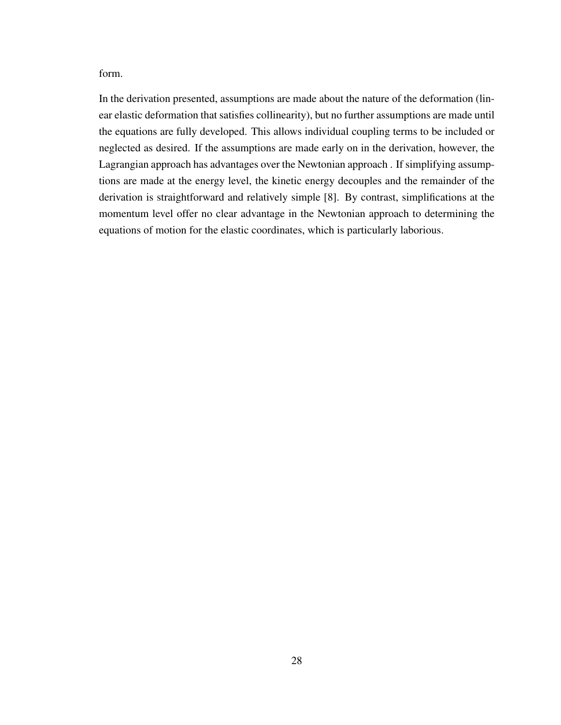form.

In the derivation presented, assumptions are made about the nature of the deformation (linear elastic deformation that satisfies collinearity), but no further assumptions are made until the equations are fully developed. This allows individual coupling terms to be included or neglected as desired. If the assumptions are made early on in the derivation, however, the Lagrangian approach has advantages over the Newtonian approach . If simplifying assumptions are made at the energy level, the kinetic energy decouples and the remainder of the derivation is straightforward and relatively simple [8]. By contrast, simplifications at the momentum level offer no clear advantage in the Newtonian approach to determining the equations of motion for the elastic coordinates, which is particularly laborious.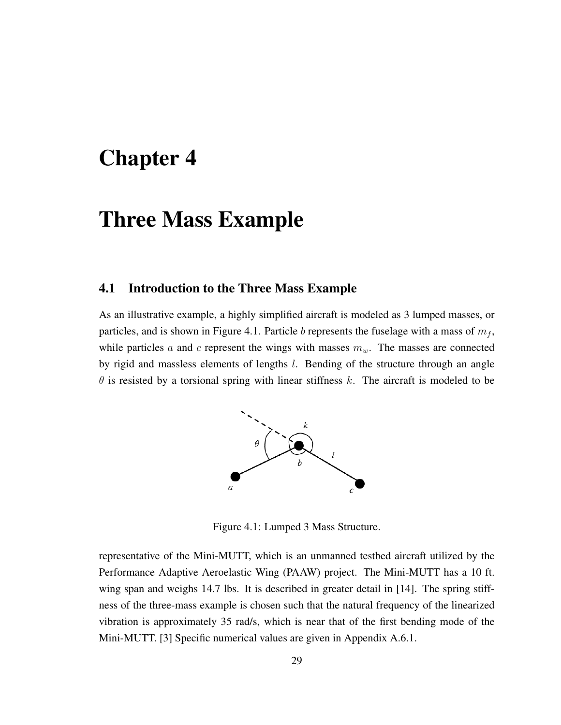### Chapter 4

### Three Mass Example

#### 4.1 Introduction to the Three Mass Example

As an illustrative example, a highly simplified aircraft is modeled as 3 lumped masses, or particles, and is shown in Figure 4.1. Particle b represents the fuselage with a mass of  $m_f$ , while particles a and c represent the wings with masses  $m<sub>w</sub>$ . The masses are connected by rigid and massless elements of lengths *l*. Bending of the structure through an angle  $\theta$  is resisted by a torsional spring with linear stiffness k. The aircraft is modeled to be



Figure 4.1: Lumped 3 Mass Structure.

representative of the Mini-MUTT, which is an unmanned testbed aircraft utilized by the Performance Adaptive Aeroelastic Wing (PAAW) project. The Mini-MUTT has a 10 ft. wing span and weighs 14.7 lbs. It is described in greater detail in [14]. The spring stiffness of the three-mass example is chosen such that the natural frequency of the linearized vibration is approximately 35 rad/s, which is near that of the first bending mode of the Mini-MUTT. [3] Specific numerical values are given in Appendix A.6.1.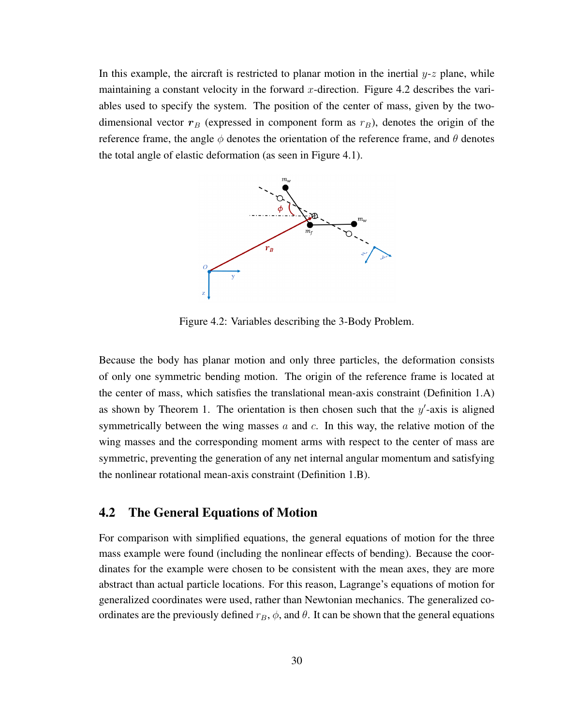In this example, the aircraft is restricted to planar motion in the inertial  $y-z$  plane, while maintaining a constant velocity in the forward x-direction. Figure 4.2 describes the variables used to specify the system. The position of the center of mass, given by the twodimensional vector  $r_B$  (expressed in component form as  $r_B$ ), denotes the origin of the reference frame, the angle  $\phi$  denotes the orientation of the reference frame, and  $\theta$  denotes the total angle of elastic deformation (as seen in Figure 4.1).



Figure 4.2: Variables describing the 3-Body Problem.

Because the body has planar motion and only three particles, the deformation consists of only one symmetric bending motion. The origin of the reference frame is located at the center of mass, which satisfies the translational mean-axis constraint (Definition 1.A) as shown by Theorem 1. The orientation is then chosen such that the  $y'$ -axis is aligned symmetrically between the wing masses  $a$  and  $c$ . In this way, the relative motion of the wing masses and the corresponding moment arms with respect to the center of mass are symmetric, preventing the generation of any net internal angular momentum and satisfying the nonlinear rotational mean-axis constraint (Definition 1.B).

#### 4.2 The General Equations of Motion

For comparison with simplified equations, the general equations of motion for the three mass example were found (including the nonlinear effects of bending). Because the coordinates for the example were chosen to be consistent with the mean axes, they are more abstract than actual particle locations. For this reason, Lagrange's equations of motion for generalized coordinates were used, rather than Newtonian mechanics. The generalized coordinates are the previously defined  $r_B$ ,  $\phi$ , and  $\theta$ . It can be shown that the general equations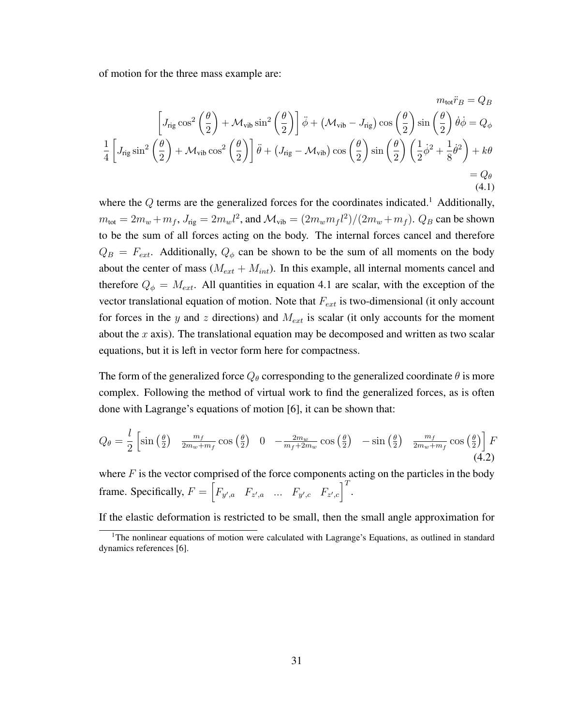of motion for the three mass example are:

$$
m_{\text{tot}}\ddot{r}_B = Q_B
$$
  
\n
$$
\left[J_{\text{rig}}\cos^2\left(\frac{\theta}{2}\right) + \mathcal{M}_{\text{vib}}\sin^2\left(\frac{\theta}{2}\right)\right]\ddot{\phi} + \left(\mathcal{M}_{\text{vib}} - J_{\text{rig}}\right)\cos\left(\frac{\theta}{2}\right)\sin\left(\frac{\theta}{2}\right)\dot{\theta}\dot{\phi} = Q_\phi
$$
  
\n
$$
\frac{1}{4}\left[J_{\text{rig}}\sin^2\left(\frac{\theta}{2}\right) + \mathcal{M}_{\text{vib}}\cos^2\left(\frac{\theta}{2}\right)\right]\ddot{\theta} + \left(J_{\text{rig}} - \mathcal{M}_{\text{vib}}\right)\cos\left(\frac{\theta}{2}\right)\sin\left(\frac{\theta}{2}\right)\left(\frac{1}{2}\dot{\phi}^2 + \frac{1}{8}\dot{\theta}^2\right) + k\theta
$$
  
\n
$$
= Q_\theta
$$
  
\n(4.1)

where the  $Q$  terms are the generalized forces for the coordinates indicated.<sup>1</sup> Additionally,  $m_{\text{tot}} = 2m_w + m_f$ ,  $J_{\text{rig}} = 2m_w l^2$ , and  $\mathcal{M}_{\text{vib}} = (2m_w m_f l^2)/(2m_w + m_f)$ .  $Q_B$  can be shown to be the sum of all forces acting on the body. The internal forces cancel and therefore  $Q_B = F_{ext}$ . Additionally,  $Q_{\phi}$  can be shown to be the sum of all moments on the body about the center of mass  $(M_{ext} + M_{int})$ . In this example, all internal moments cancel and therefore  $Q_{\phi} = M_{ext}$ . All quantities in equation 4.1 are scalar, with the exception of the vector translational equation of motion. Note that  $F_{ext}$  is two-dimensional (it only account for forces in the y and z directions) and  $M_{ext}$  is scalar (it only accounts for the moment about the x axis). The translational equation may be decomposed and written as two scalar equations, but it is left in vector form here for compactness.

The form of the generalized force  $Q_{\theta}$  corresponding to the generalized coordinate  $\theta$  is more complex. Following the method of virtual work to find the generalized forces, as is often done with Lagrange's equations of motion [6], it can be shown that:

$$
Q_{\theta} = \frac{l}{2} \left[ \sin\left(\frac{\theta}{2}\right) \frac{m_f}{2m_w + m_f} \cos\left(\frac{\theta}{2}\right) \quad 0 \quad -\frac{2m_w}{m_f + 2m_w} \cos\left(\frac{\theta}{2}\right) \quad -\sin\left(\frac{\theta}{2}\right) \quad \frac{m_f}{2m_w + m_f} \cos\left(\frac{\theta}{2}\right) \right] F \tag{4.2}
$$

where  $F$  is the vector comprised of the force components acting on the particles in the body frame. Specifically,  $F = \begin{bmatrix} F_{y',a} & F_{z',a} & \dots & F_{y',c} & F_{z',c} \end{bmatrix}^T$ .

If the elastic deformation is restricted to be small, then the small angle approximation for

<sup>&</sup>lt;sup>1</sup>The nonlinear equations of motion were calculated with Lagrange's Equations, as outlined in standard dynamics references [6].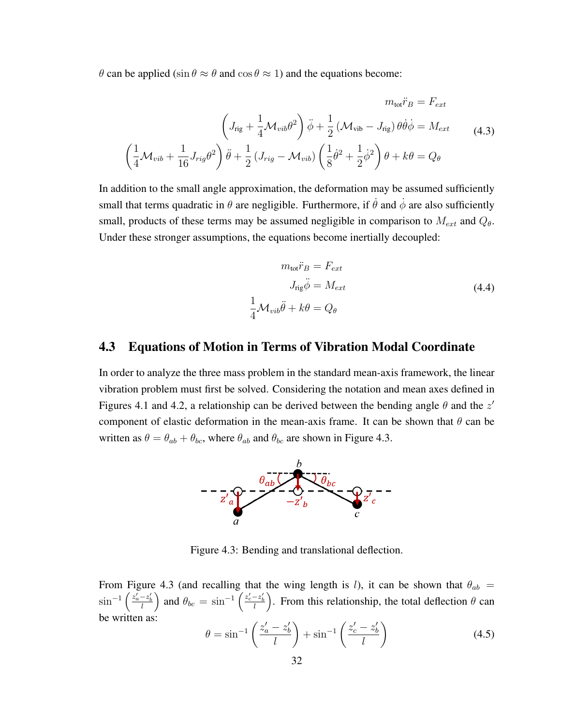θ can be applied (sin θ ≈ θ and cos θ ≈ 1) and the equations become:

$$
m_{\text{tot}}\ddot{r}_B = F_{ext}
$$

$$
\left(J_{\text{rig}} + \frac{1}{4}\mathcal{M}_{vib}\theta^2\right)\ddot{\phi} + \frac{1}{2}\left(\mathcal{M}_{\text{vib}} - J_{\text{rig}}\right)\theta\dot{\theta}\dot{\phi} = M_{ext}
$$
(4.3)
$$
\left(\frac{1}{4}\mathcal{M}_{vib} + \frac{1}{16}J_{\text{rig}}\theta^2\right)\ddot{\theta} + \frac{1}{2}\left(J_{\text{rig}} - \mathcal{M}_{vib}\right)\left(\frac{1}{8}\dot{\theta}^2 + \frac{1}{2}\dot{\phi}^2\right)\theta + k\theta = Q_\theta
$$

In addition to the small angle approximation, the deformation may be assumed sufficiently small that terms quadratic in  $\theta$  are negligible. Furthermore, if  $\dot{\theta}$  and  $\dot{\phi}$  are also sufficiently small, products of these terms may be assumed negligible in comparison to  $M_{ext}$  and  $Q_{\theta}$ . Under these stronger assumptions, the equations become inertially decoupled:

$$
m_{\text{tot}}\ddot{r}_B = F_{ext}
$$
  
\n
$$
J_{\text{rig}}\ddot{\phi} = M_{ext}
$$
  
\n
$$
\frac{1}{4}\mathcal{M}_{vib}\ddot{\theta} + k\theta = Q_{\theta}
$$
\n(4.4)

#### 4.3 Equations of Motion in Terms of Vibration Modal Coordinate

In order to analyze the three mass problem in the standard mean-axis framework, the linear vibration problem must first be solved. Considering the notation and mean axes defined in Figures 4.1 and 4.2, a relationship can be derived between the bending angle  $\theta$  and the  $z'$ component of elastic deformation in the mean-axis frame. It can be shown that  $\theta$  can be written as  $\theta = \theta_{ab} + \theta_{bc}$ , where  $\theta_{ab}$  and  $\theta_{bc}$  are shown in Figure 4.3.



Figure 4.3: Bending and translational deflection.

From Figure 4.3 (and recalling that the wing length is l), it can be shown that  $\theta_{ab}$  =  $\sin^{-1}\left(\frac{z'_a-z'_b}{l}\right)$  and  $\theta_{bc}=\sin^{-1}\left(\frac{z'_c-z'_b}{l}\right)$ . From this relationship, the total deflection  $\theta$  can be written as:

$$
\theta = \sin^{-1}\left(\frac{z_a' - z_b'}{l}\right) + \sin^{-1}\left(\frac{z_c' - z_b'}{l}\right) \tag{4.5}
$$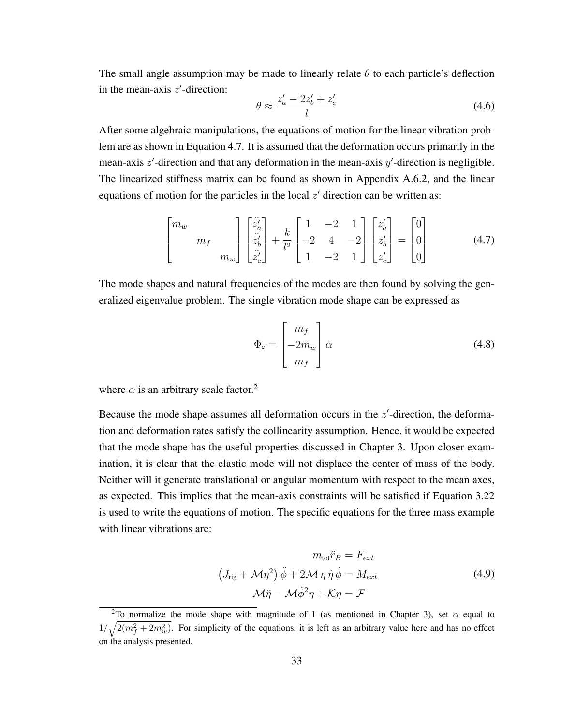The small angle assumption may be made to linearly relate  $\theta$  to each particle's deflection in the mean-axis  $z'$ -direction:

$$
\theta \approx \frac{z_a' - 2z_b' + z_c'}{l} \tag{4.6}
$$

After some algebraic manipulations, the equations of motion for the linear vibration problem are as shown in Equation 4.7. It is assumed that the deformation occurs primarily in the mean-axis  $z'$ -direction and that any deformation in the mean-axis  $y'$ -direction is negligible. The linearized stiffness matrix can be found as shown in Appendix A.6.2, and the linear equations of motion for the particles in the local  $z'$  direction can be written as:

$$
\begin{bmatrix} m_w & & \\ & m_f & \\ & & m_w \end{bmatrix} \begin{bmatrix} \ddot{z}'_a \\ \ddot{z}'_b \\ \ddot{z}'_c \end{bmatrix} + \frac{k}{l^2} \begin{bmatrix} 1 & -2 & 1 \\ -2 & 4 & -2 \\ 1 & -2 & 1 \end{bmatrix} \begin{bmatrix} z'_a \\ z'_b \\ z'_c \end{bmatrix} = \begin{bmatrix} 0 \\ 0 \\ 0 \end{bmatrix}
$$
(4.7)

The mode shapes and natural frequencies of the modes are then found by solving the generalized eigenvalue problem. The single vibration mode shape can be expressed as

$$
\Phi_{\mathbf{e}} = \begin{bmatrix} m_f \\ -2m_w \\ m_f \end{bmatrix} \alpha \tag{4.8}
$$

where  $\alpha$  is an arbitrary scale factor.<sup>2</sup>

Because the mode shape assumes all deformation occurs in the  $z'$ -direction, the deformation and deformation rates satisfy the collinearity assumption. Hence, it would be expected that the mode shape has the useful properties discussed in Chapter 3. Upon closer examination, it is clear that the elastic mode will not displace the center of mass of the body. Neither will it generate translational or angular momentum with respect to the mean axes, as expected. This implies that the mean-axis constraints will be satisfied if Equation 3.22 is used to write the equations of motion. The specific equations for the three mass example with linear vibrations are:

$$
m_{\text{tot}}\ddot{r}_B = F_{ext}
$$
  

$$
(J_{\text{rig}} + \mathcal{M}\eta^2)\ddot{\phi} + 2\mathcal{M}\eta\dot{\eta}\dot{\phi} = M_{ext}
$$
  

$$
\mathcal{M}\ddot{\eta} - \mathcal{M}\dot{\phi}^2\eta + \mathcal{K}\eta = \mathcal{F}
$$
 (4.9)

<sup>&</sup>lt;sup>2</sup>To normalize the mode shape with magnitude of 1 (as mentioned in Chapter 3), set  $\alpha$  equal to  $1/\sqrt{2(m_f^2+2m_w^2)}$ . For simplicity of the equations, it is left as an arbitrary value here and has no effect on the analysis presented.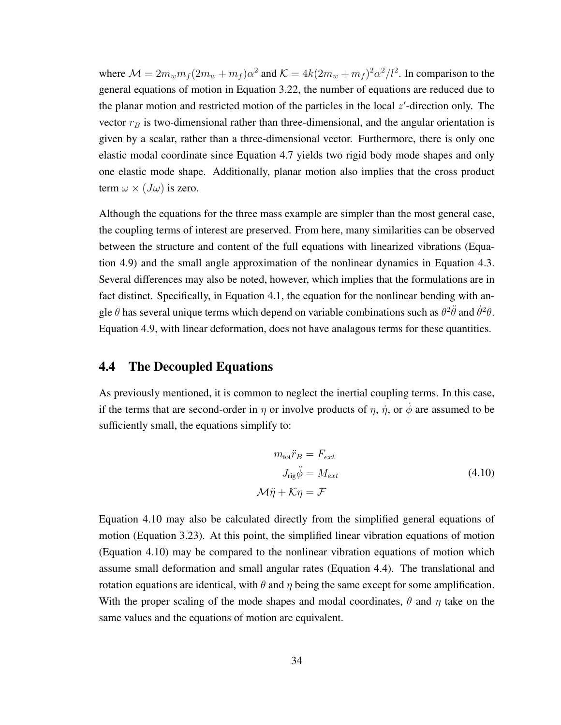where  $\mathcal{M} = 2m_w m_f (2m_w + m_f)\alpha^2$  and  $\mathcal{K} = 4k(2m_w + m_f)^2 \alpha^2/l^2$ . In comparison to the general equations of motion in Equation 3.22, the number of equations are reduced due to the planar motion and restricted motion of the particles in the local  $z'$ -direction only. The vector  $r_B$  is two-dimensional rather than three-dimensional, and the angular orientation is given by a scalar, rather than a three-dimensional vector. Furthermore, there is only one elastic modal coordinate since Equation 4.7 yields two rigid body mode shapes and only one elastic mode shape. Additionally, planar motion also implies that the cross product term  $\omega \times (J\omega)$  is zero.

Although the equations for the three mass example are simpler than the most general case, the coupling terms of interest are preserved. From here, many similarities can be observed between the structure and content of the full equations with linearized vibrations (Equation 4.9) and the small angle approximation of the nonlinear dynamics in Equation 4.3. Several differences may also be noted, however, which implies that the formulations are in fact distinct. Specifically, in Equation 4.1, the equation for the nonlinear bending with angle  $\theta$  has several unique terms which depend on variable combinations such as  $\theta^2 \ddot{\theta}$  and  $\dot{\theta}^2 \theta$ . Equation 4.9, with linear deformation, does not have analagous terms for these quantities.

#### 4.4 The Decoupled Equations

As previously mentioned, it is common to neglect the inertial coupling terms. In this case, if the terms that are second-order in  $\eta$  or involve products of  $\eta$ ,  $\dot{\eta}$ , or  $\dot{\phi}$  are assumed to be sufficiently small, the equations simplify to:

$$
m_{\text{tot}}\ddot{r}_B = F_{ext}
$$
  
\n
$$
J_{\text{rig}}\ddot{\phi} = M_{ext}
$$
  
\n
$$
\mathcal{M}\ddot{\eta} + \mathcal{K}\eta = \mathcal{F}
$$
\n(4.10)

Equation 4.10 may also be calculated directly from the simplified general equations of motion (Equation 3.23). At this point, the simplified linear vibration equations of motion (Equation 4.10) may be compared to the nonlinear vibration equations of motion which assume small deformation and small angular rates (Equation 4.4). The translational and rotation equations are identical, with  $\theta$  and  $\eta$  being the same except for some amplification. With the proper scaling of the mode shapes and modal coordinates,  $\theta$  and  $\eta$  take on the same values and the equations of motion are equivalent.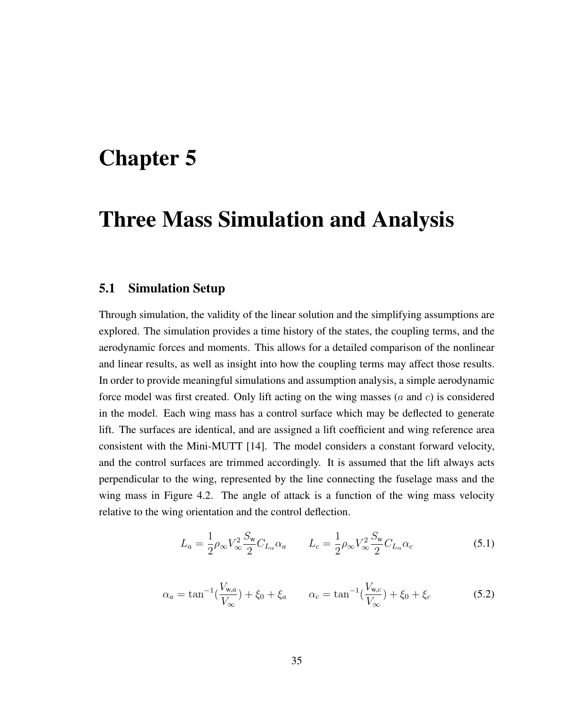## Chapter 5

### Three Mass Simulation and Analysis

#### 5.1 Simulation Setup

Through simulation, the validity of the linear solution and the simplifying assumptions are explored. The simulation provides a time history of the states, the coupling terms, and the aerodynamic forces and moments. This allows for a detailed comparison of the nonlinear and linear results, as well as insight into how the coupling terms may affect those results. In order to provide meaningful simulations and assumption analysis, a simple aerodynamic force model was first created. Only lift acting on the wing masses  $(a \text{ and } c)$  is considered in the model. Each wing mass has a control surface which may be deflected to generate lift. The surfaces are identical, and are assigned a lift coefficient and wing reference area consistent with the Mini-MUTT [14]. The model considers a constant forward velocity, and the control surfaces are trimmed accordingly. It is assumed that the lift always acts perpendicular to the wing, represented by the line connecting the fuselage mass and the wing mass in Figure 4.2. The angle of attack is a function of the wing mass velocity relative to the wing orientation and the control deflection.

$$
L_a = \frac{1}{2}\rho_\infty V_\infty^2 \frac{S_w}{2} C_{L_\alpha} \alpha_a \qquad L_c = \frac{1}{2}\rho_\infty V_\infty^2 \frac{S_w}{2} C_{L_\alpha} \alpha_c \tag{5.1}
$$

$$
\alpha_a = \tan^{-1}\left(\frac{V_{w,a}}{V_{\infty}}\right) + \xi_0 + \xi_a \qquad \alpha_c = \tan^{-1}\left(\frac{V_{w,c}}{V_{\infty}}\right) + \xi_0 + \xi_c \tag{5.2}
$$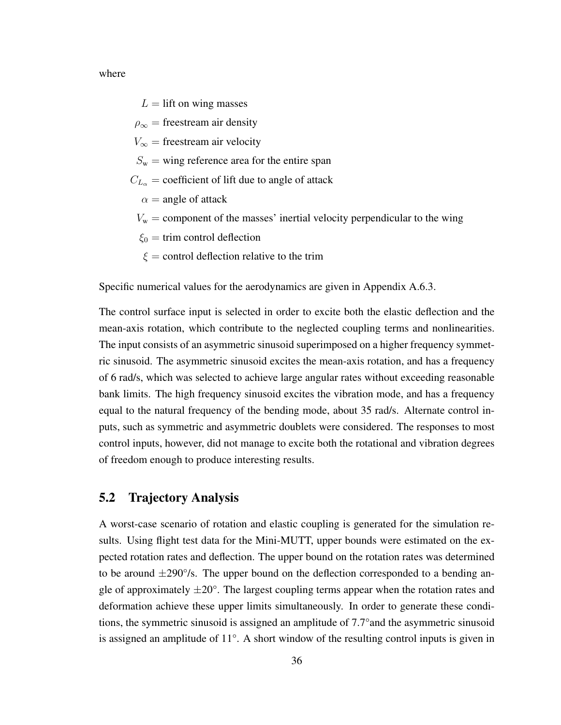where

 $L =$  lift on wing masses

 $\rho_{\infty}$  = freestream air density

 $V_{\infty}$  = freestream air velocity

 $S_{w}$  = wing reference area for the entire span

- $C_{L_{\alpha}}$  = coefficient of lift due to angle of attack
	- $\alpha$  = angle of attack
	- $V_w$  = component of the masses' inertial velocity perpendicular to the wing
	- $\xi_0$  = trim control deflection
	- $\xi$  = control deflection relative to the trim

Specific numerical values for the aerodynamics are given in Appendix A.6.3.

The control surface input is selected in order to excite both the elastic deflection and the mean-axis rotation, which contribute to the neglected coupling terms and nonlinearities. The input consists of an asymmetric sinusoid superimposed on a higher frequency symmetric sinusoid. The asymmetric sinusoid excites the mean-axis rotation, and has a frequency of 6 rad/s, which was selected to achieve large angular rates without exceeding reasonable bank limits. The high frequency sinusoid excites the vibration mode, and has a frequency equal to the natural frequency of the bending mode, about 35 rad/s. Alternate control inputs, such as symmetric and asymmetric doublets were considered. The responses to most control inputs, however, did not manage to excite both the rotational and vibration degrees of freedom enough to produce interesting results.

#### 5.2 Trajectory Analysis

A worst-case scenario of rotation and elastic coupling is generated for the simulation results. Using flight test data for the Mini-MUTT, upper bounds were estimated on the expected rotation rates and deflection. The upper bound on the rotation rates was determined to be around  $\pm 290^{\circ}/s$ . The upper bound on the deflection corresponded to a bending angle of approximately  $\pm 20^{\circ}$ . The largest coupling terms appear when the rotation rates and deformation achieve these upper limits simultaneously. In order to generate these conditions, the symmetric sinusoid is assigned an amplitude of 7.7°and the asymmetric sinusoid is assigned an amplitude of 11°. A short window of the resulting control inputs is given in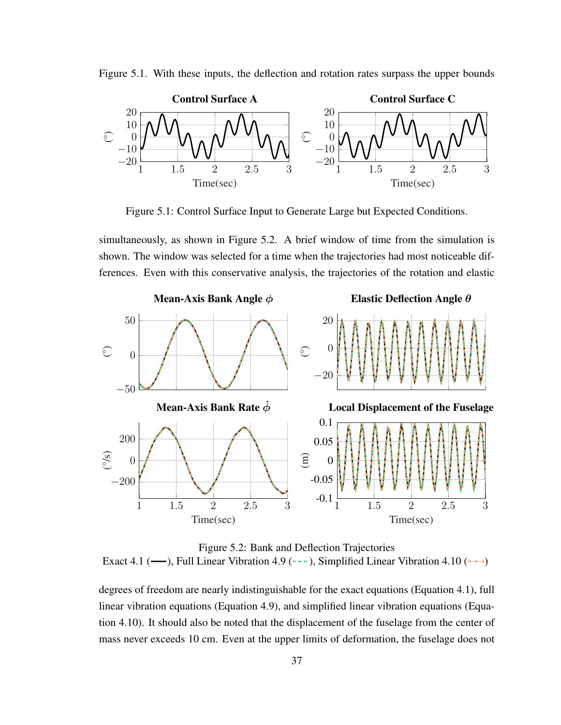



Figure 5.1: Control Surface Input to Generate Large but Expected Conditions.

simultaneously, as shown in Figure 5.2. A brief window of time from the simulation is shown. The window was selected for a time when the trajectories had most noticeable differences. Even with this conservative analysis, the trajectories of the rotation and elastic



Figure 5.2: Bank and Deflection Trajectories Exact 4.1 ( $\longrightarrow$ ), Full Linear Vibration 4.9 (---), Simplified Linear Vibration 4.10 (----)

degrees of freedom are nearly indistinguishable for the exact equations (Equation 4.1), full linear vibration equations (Equation 4.9), and simplified linear vibration equations (Equation 4.10). It should also be noted that the displacement of the fuselage from the center of mass never exceeds 10 cm. Even at the upper limits of deformation, the fuselage does not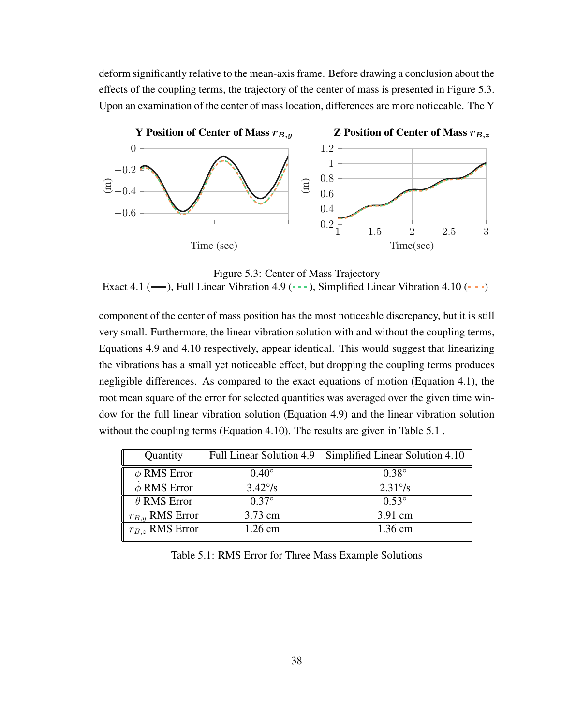deform significantly relative to the mean-axis frame. Before drawing a conclusion about the effects of the coupling terms, the trajectory of the center of mass is presented in Figure 5.3. Upon an examination of the center of mass location, differences are more noticeable. The Y



Figure 5.3: Center of Mass Trajectory

Exact 4.1 ( $\rightarrow$ ), Full Linear Vibration 4.9 (---), Simplified Linear Vibration 4.10 (----)

component of the center of mass position has the most noticeable discrepancy, but it is still very small. Furthermore, the linear vibration solution with and without the coupling terms, Equations 4.9 and 4.10 respectively, appear identical. This would suggest that linearizing the vibrations has a small yet noticeable effect, but dropping the coupling terms produces negligible differences. As compared to the exact equations of motion (Equation 4.1), the root mean square of the error for selected quantities was averaged over the given time window for the full linear vibration solution (Equation 4.9) and the linear vibration solution without the coupling terms (Equation 4.10). The results are given in Table 5.1.

| Quantity            |                  | Full Linear Solution 4.9 Simplified Linear Solution 4.10 |
|---------------------|------------------|----------------------------------------------------------|
| $\phi$ RMS Error    | $0.40^\circ$     | $0.38^\circ$                                             |
| $\phi$ RMS Error    | $3.42\degree$ /s | $2.31\%$                                                 |
| $\theta$ RMS Error  | $0.37^{\circ}$   | $0.53^{\circ}$                                           |
| $r_{B,y}$ RMS Error | 3.73 cm          | 3.91 cm                                                  |
| $r_{B,z}$ RMS Error | $1.26$ cm        | $1.36$ cm                                                |

Table 5.1: RMS Error for Three Mass Example Solutions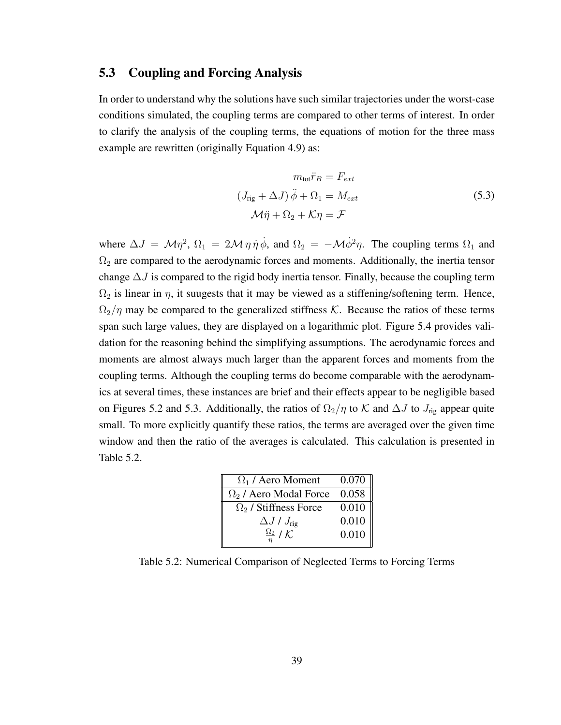#### 5.3 Coupling and Forcing Analysis

In order to understand why the solutions have such similar trajectories under the worst-case conditions simulated, the coupling terms are compared to other terms of interest. In order to clarify the analysis of the coupling terms, the equations of motion for the three mass example are rewritten (originally Equation 4.9) as:

$$
m_{\text{tot}}\ddot{r}_B = F_{ext}
$$
  

$$
(J_{\text{rig}} + \Delta J)\ddot{\phi} + \Omega_1 = M_{ext}
$$
  

$$
\mathcal{M}\ddot{\eta} + \Omega_2 + \mathcal{K}\eta = \mathcal{F}
$$
 (5.3)

where  $\Delta J = \mathcal{M}\eta^2$ ,  $\Omega_1 = 2\mathcal{M}\eta\dot{\eta}\dot{\phi}$ , and  $\Omega_2 = -\mathcal{M}\dot{\phi}^2\eta$ . The coupling terms  $\Omega_1$  and  $\Omega_2$  are compared to the aerodynamic forces and moments. Additionally, the inertia tensor change  $\Delta J$  is compared to the rigid body inertia tensor. Finally, because the coupling term  $\Omega_2$  is linear in  $\eta$ , it suugests that it may be viewed as a stiffening/softening term. Hence,  $\Omega_2/\eta$  may be compared to the generalized stiffness K. Because the ratios of these terms span such large values, they are displayed on a logarithmic plot. Figure 5.4 provides validation for the reasoning behind the simplifying assumptions. The aerodynamic forces and moments are almost always much larger than the apparent forces and moments from the coupling terms. Although the coupling terms do become comparable with the aerodynamics at several times, these instances are brief and their effects appear to be negligible based on Figures 5.2 and 5.3. Additionally, the ratios of  $\Omega_2/\eta$  to K and  $\Delta J$  to  $J_{\text{rig}}$  appear quite small. To more explicitly quantify these ratios, the terms are averaged over the given time window and then the ratio of the averages is calculated. This calculation is presented in Table 5.2.

| $\Omega_1$ / Aero Moment            | 0.070 |
|-------------------------------------|-------|
| $\Omega_2$ / Aero Modal Force       | 0.058 |
| $\Omega_2$ / Stiffness Force        | 0.010 |
| $\Delta J / J_{\text{rig}}$         | 0.010 |
| $\frac{\Omega_2}{\eta}/\mathcal{K}$ | 0.010 |

Table 5.2: Numerical Comparison of Neglected Terms to Forcing Terms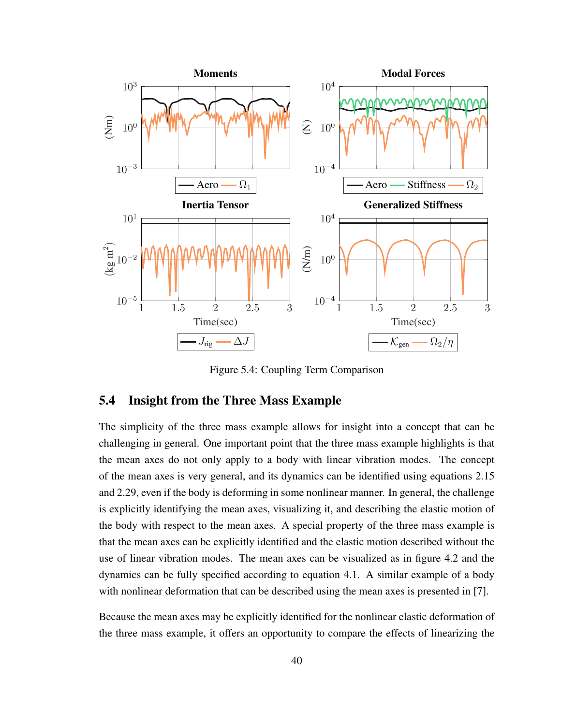

Figure 5.4: Coupling Term Comparison

#### 5.4 Insight from the Three Mass Example

The simplicity of the three mass example allows for insight into a concept that can be challenging in general. One important point that the three mass example highlights is that the mean axes do not only apply to a body with linear vibration modes. The concept of the mean axes is very general, and its dynamics can be identified using equations 2.15 and 2.29, even if the body is deforming in some nonlinear manner. In general, the challenge is explicitly identifying the mean axes, visualizing it, and describing the elastic motion of the body with respect to the mean axes. A special property of the three mass example is that the mean axes can be explicitly identified and the elastic motion described without the use of linear vibration modes. The mean axes can be visualized as in figure 4.2 and the dynamics can be fully specified according to equation 4.1. A similar example of a body with nonlinear deformation that can be described using the mean axes is presented in [7].

Because the mean axes may be explicitly identified for the nonlinear elastic deformation of the three mass example, it offers an opportunity to compare the effects of linearizing the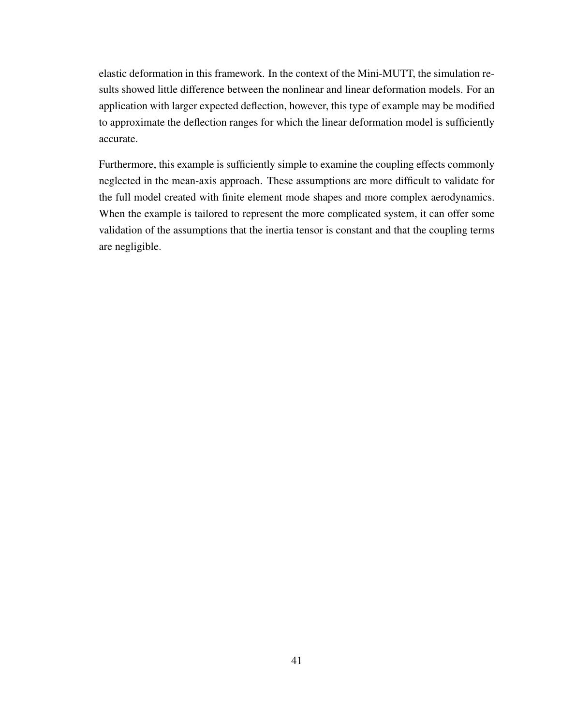elastic deformation in this framework. In the context of the Mini-MUTT, the simulation results showed little difference between the nonlinear and linear deformation models. For an application with larger expected deflection, however, this type of example may be modified to approximate the deflection ranges for which the linear deformation model is sufficiently accurate.

Furthermore, this example is sufficiently simple to examine the coupling effects commonly neglected in the mean-axis approach. These assumptions are more difficult to validate for the full model created with finite element mode shapes and more complex aerodynamics. When the example is tailored to represent the more complicated system, it can offer some validation of the assumptions that the inertia tensor is constant and that the coupling terms are negligible.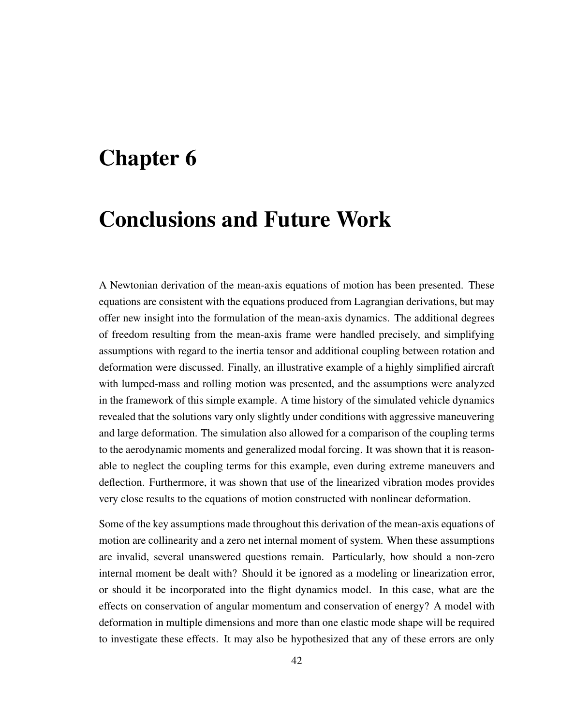## Chapter 6

## Conclusions and Future Work

A Newtonian derivation of the mean-axis equations of motion has been presented. These equations are consistent with the equations produced from Lagrangian derivations, but may offer new insight into the formulation of the mean-axis dynamics. The additional degrees of freedom resulting from the mean-axis frame were handled precisely, and simplifying assumptions with regard to the inertia tensor and additional coupling between rotation and deformation were discussed. Finally, an illustrative example of a highly simplified aircraft with lumped-mass and rolling motion was presented, and the assumptions were analyzed in the framework of this simple example. A time history of the simulated vehicle dynamics revealed that the solutions vary only slightly under conditions with aggressive maneuvering and large deformation. The simulation also allowed for a comparison of the coupling terms to the aerodynamic moments and generalized modal forcing. It was shown that it is reasonable to neglect the coupling terms for this example, even during extreme maneuvers and deflection. Furthermore, it was shown that use of the linearized vibration modes provides very close results to the equations of motion constructed with nonlinear deformation.

Some of the key assumptions made throughout this derivation of the mean-axis equations of motion are collinearity and a zero net internal moment of system. When these assumptions are invalid, several unanswered questions remain. Particularly, how should a non-zero internal moment be dealt with? Should it be ignored as a modeling or linearization error, or should it be incorporated into the flight dynamics model. In this case, what are the effects on conservation of angular momentum and conservation of energy? A model with deformation in multiple dimensions and more than one elastic mode shape will be required to investigate these effects. It may also be hypothesized that any of these errors are only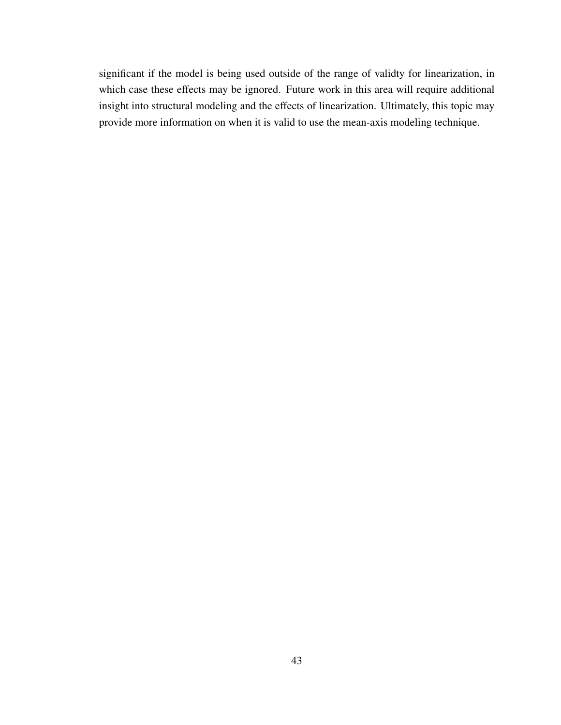significant if the model is being used outside of the range of validty for linearization, in which case these effects may be ignored. Future work in this area will require additional insight into structural modeling and the effects of linearization. Ultimately, this topic may provide more information on when it is valid to use the mean-axis modeling technique.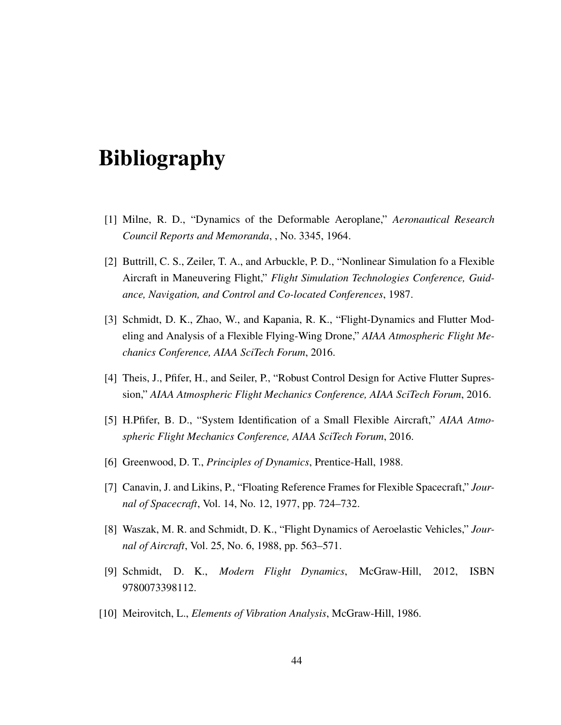## Bibliography

- [1] Milne, R. D., "Dynamics of the Deformable Aeroplane," *Aeronautical Research Council Reports and Memoranda*, , No. 3345, 1964.
- [2] Buttrill, C. S., Zeiler, T. A., and Arbuckle, P. D., "Nonlinear Simulation fo a Flexible Aircraft in Maneuvering Flight," *Flight Simulation Technologies Conference, Guidance, Navigation, and Control and Co-located Conferences*, 1987.
- [3] Schmidt, D. K., Zhao, W., and Kapania, R. K., "Flight-Dynamics and Flutter Modeling and Analysis of a Flexible Flying-Wing Drone," *AIAA Atmospheric Flight Mechanics Conference, AIAA SciTech Forum*, 2016.
- [4] Theis, J., Pfifer, H., and Seiler, P., "Robust Control Design for Active Flutter Supression," *AIAA Atmospheric Flight Mechanics Conference, AIAA SciTech Forum*, 2016.
- [5] H.Pfifer, B. D., "System Identification of a Small Flexible Aircraft," *AIAA Atmospheric Flight Mechanics Conference, AIAA SciTech Forum*, 2016.
- [6] Greenwood, D. T., *Principles of Dynamics*, Prentice-Hall, 1988.
- [7] Canavin, J. and Likins, P., "Floating Reference Frames for Flexible Spacecraft," *Journal of Spacecraft*, Vol. 14, No. 12, 1977, pp. 724–732.
- [8] Waszak, M. R. and Schmidt, D. K., "Flight Dynamics of Aeroelastic Vehicles," *Journal of Aircraft*, Vol. 25, No. 6, 1988, pp. 563–571.
- [9] Schmidt, D. K., *Modern Flight Dynamics*, McGraw-Hill, 2012, ISBN 9780073398112.
- [10] Meirovitch, L., *Elements of Vibration Analysis*, McGraw-Hill, 1986.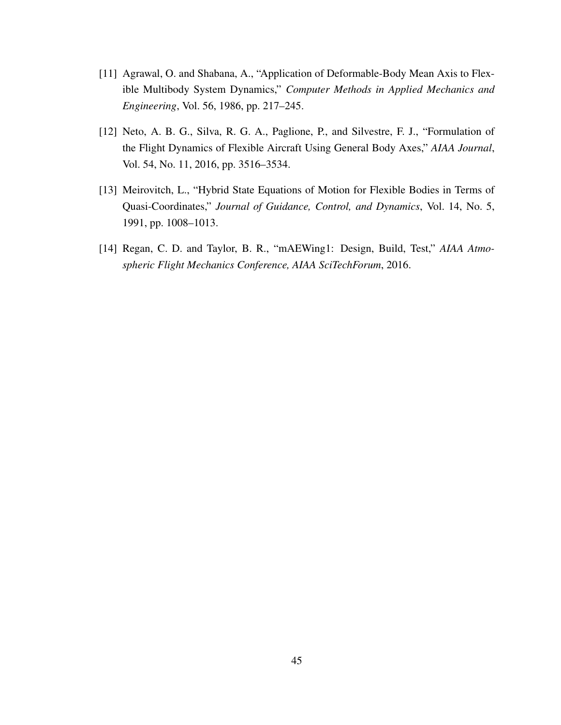- [11] Agrawal, O. and Shabana, A., "Application of Deformable-Body Mean Axis to Flexible Multibody System Dynamics," *Computer Methods in Applied Mechanics and Engineering*, Vol. 56, 1986, pp. 217–245.
- [12] Neto, A. B. G., Silva, R. G. A., Paglione, P., and Silvestre, F. J., "Formulation of the Flight Dynamics of Flexible Aircraft Using General Body Axes," *AIAA Journal*, Vol. 54, No. 11, 2016, pp. 3516–3534.
- [13] Meirovitch, L., "Hybrid State Equations of Motion for Flexible Bodies in Terms of Quasi-Coordinates," *Journal of Guidance, Control, and Dynamics*, Vol. 14, No. 5, 1991, pp. 1008–1013.
- [14] Regan, C. D. and Taylor, B. R., "mAEWing1: Design, Build, Test," *AIAA Atmospheric Flight Mechanics Conference, AIAA SciTechForum*, 2016.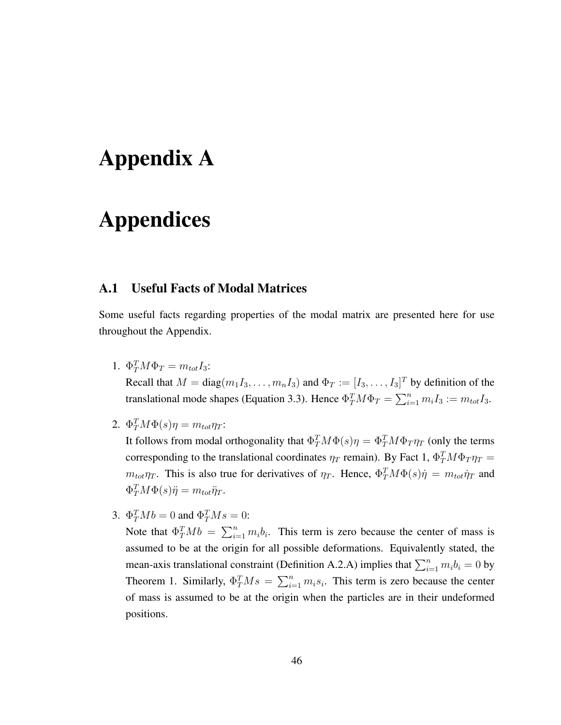# Appendix A

## Appendices

#### A.1 Useful Facts of Modal Matrices

Some useful facts regarding properties of the modal matrix are presented here for use throughout the Appendix.

- 1.  $\Phi_T^T M \Phi_T = m_{tot} I_3$ : Recall that  $M = diag(m_1 I_3, \dots, m_n I_3)$  and  $\Phi_T := [I_3, \dots, I_3]^T$  by definition of the translational mode shapes (Equation 3.3). Hence  $\Phi_T^T M \Phi_T = \sum_{i=1}^n m_i I_3 := m_{tot} I_3$ .
- 2.  $\Phi_T^T M \Phi(s) \eta = m_{tot} \eta_T$ :

It follows from modal orthogonality that  $\Phi_T^T M \Phi(s) \eta = \Phi_T^T M \Phi_T \eta_T$  (only the terms corresponding to the translational coordinates  $\eta_T$  remain). By Fact 1,  $\Phi_T^T M \Phi_T \eta_T =$  $m_{tot}\eta_T$ . This is also true for derivatives of  $\eta_T$ . Hence,  $\Phi_T^T M \Phi(s) \dot{\eta} = m_{tot} \dot{\eta}_T$  and  $\Phi_T^T M \Phi(s) \ddot{\eta} = m_{tot} \ddot{\eta}_T.$ 

3.  $\Phi_T^T M b = 0$  and  $\Phi_T^T M s = 0$ :

Note that  $\Phi_T^T M b = \sum_{i=1}^n m_i b_i$ . This term is zero because the center of mass is assumed to be at the origin for all possible deformations. Equivalently stated, the mean-axis translational constraint (Definition A.2.A) implies that  $\sum_{i=1}^{n} m_i b_i = 0$  by Theorem 1. Similarly,  $\Phi_T^T M s = \sum_{i=1}^n m_i s_i$ . This term is zero because the center of mass is assumed to be at the origin when the particles are in their undeformed positions.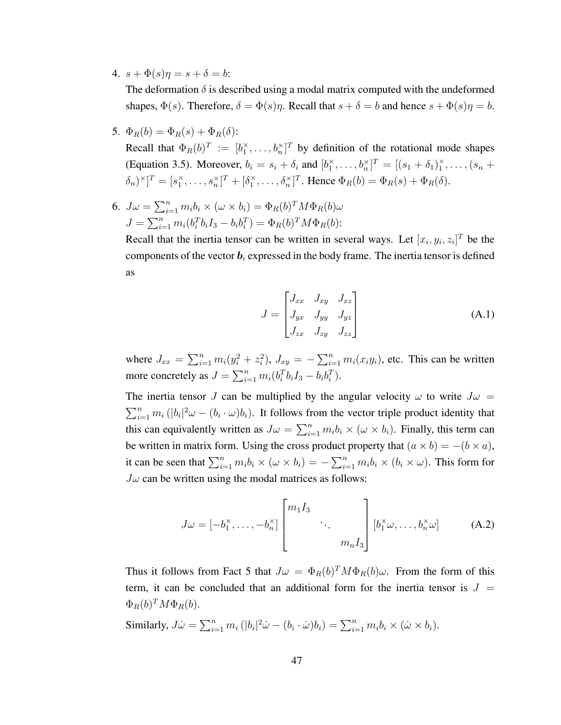4.  $s + \Phi(s)\eta = s + \delta = b$ :

The deformation  $\delta$  is described using a modal matrix computed with the undeformed shapes,  $\Phi(s)$ . Therefore,  $\delta = \Phi(s)\eta$ . Recall that  $s + \delta = b$  and hence  $s + \Phi(s)\eta = b$ .

5.  $\Phi_B(b) = \Phi_B(s) + \Phi_B(\delta)$ :

Recall that  $\Phi_R(b)^T := [b_1^{\times}, \dots, b_n^{\times}]^T$  by definition of the rotational mode shapes (Equation 3.5). Moreover,  $b_i = s_i + \delta_i$  and  $[b_1^{\times}, \ldots, b_n^{\times}]^T = [(s_1 + \delta_1)_1^{\times}, \ldots, (s_n +$  $[\delta_n]^\times]^T = [s_1^\times, \dots, s_n^\times]^T + [\delta_1^\times, \dots, \delta_n^\times]^T$ . Hence  $\Phi_R(b) = \Phi_R(s) + \Phi_R(\delta)$ .

6.  $J\omega = \sum_{i=1}^{n} m_i b_i \times (\omega \times b_i) = \Phi_R(b)^T M \Phi_R(b) \omega$  $J = \sum_{i=1}^{n} m_i (b_i^T b_i I_3 - b_i b_i^T) = \Phi_R(b)^T M \Phi_R(b)$ :

Recall that the inertia tensor can be written in several ways. Let  $[x_i, y_i, z_i]^T$  be the components of the vector  $\mathbf{b}_i$  expressed in the body frame. The inertia tensor is defined as

$$
J = \begin{bmatrix} J_{xx} & J_{xy} & J_{xz} \\ J_{yx} & J_{yy} & J_{yz} \\ J_{zx} & J_{zy} & J_{zz} \end{bmatrix} \tag{A.1}
$$

where  $J_{xx} = \sum_{i=1}^{n} m_i(y_i^2 + z_i^2)$ ,  $J_{xy} = -\sum_{i=1}^{n} m_i(x_iy_i)$ , etc. This can be written more concretely as  $J = \sum_{i=1}^{n} m_i (b_i^T b_i I_3 - b_i b_i^T)$ .

The inertia tensor J can be multiplied by the angular velocity  $\omega$  to write  $J\omega =$  $\sum_{i=1}^n m_i (|b_i|^2 \omega - (b_i \cdot \omega) b_i)$ . It follows from the vector triple product identity that this can equivalently written as  $J\omega = \sum_{i=1}^n m_i b_i \times (\omega \times b_i)$ . Finally, this term can be written in matrix form. Using the cross product property that  $(a \times b) = -(b \times a)$ , it can be seen that  $\sum_{i=1}^n m_i b_i \times (\omega \times b_i) = -\sum_{i=1}^n m_i b_i \times (b_i \times \omega)$ . This form for  $J\omega$  can be written using the modal matrices as follows:

$$
J\omega = [-b_1^{\times}, \dots, -b_n^{\times}] \begin{bmatrix} m_1 I_3 & & \\ & \ddots & \\ & & m_n I_3 \end{bmatrix} [b_1^{\times} \omega, \dots, b_n^{\times} \omega]
$$
 (A.2)

Thus it follows from Fact 5 that  $J\omega = \Phi_R(b)^T M \Phi_R(b)\omega$ . From the form of this term, it can be concluded that an additional form for the inertia tensor is  $J =$  $\Phi_R(b)^T M \Phi_R(b)$ .

Similarly,  $J\dot{\omega} = \sum_{i=1}^n m_i (|b_i|^2 \dot{\omega} - (b_i \cdot \dot{\omega}) b_i) = \sum_{i=1}^n m_i b_i \times (\dot{\omega} \times b_i).$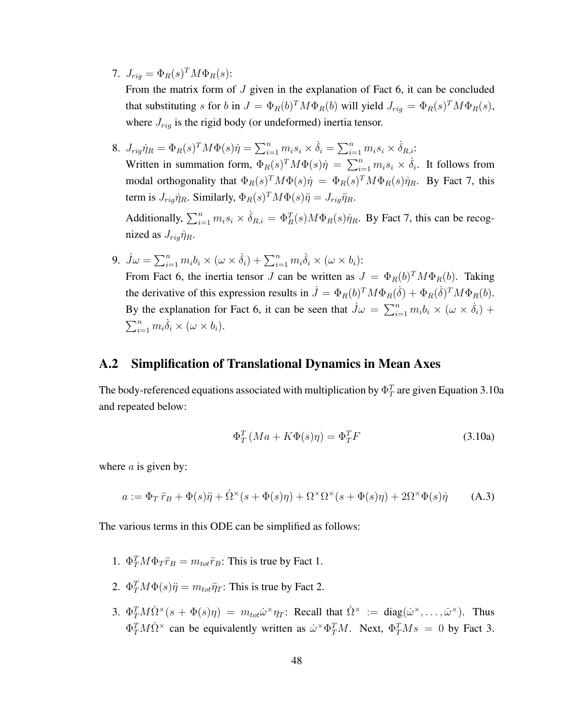7.  $J_{rig} = \Phi_R(s)^T M \Phi_R(s)$ :

From the matrix form of J given in the explanation of Fact 6, it can be concluded that substituting s for b in  $J = \Phi_R(b)^T M \Phi_R(b)$  will yield  $J_{rig} = \Phi_R(s)^T M \Phi_R(s)$ , where  $J_{rig}$  is the rigid body (or undeformed) inertia tensor.

- 8.  $J_{rig} \eta_R = \Phi_R(s)^T M \Phi(s) \dot{\eta} = \sum_{i=1}^n m_i s_i \times \dot{\delta}_i = \sum_{i=1}^n m_i s_i \times \dot{\delta}_{R,i}$ : Written in summation form,  $\Phi_R(s)^T M \Phi(s) \dot{\eta} = \sum_{i=1}^n m_i s_i \times \dot{\delta}_i$ . It follows from modal orthogonality that  $\Phi_R(s)^T M \Phi(s) \dot{\eta} = \Phi_R(s)^T M \Phi_R(s) \dot{\eta}_R$ . By Fact 7, this term is  $J_{rig} \dot{\eta}_R$ . Similarly,  $\Phi_R(s)^T M \Phi(s) \ddot{\eta} = J_{rig} \ddot{\eta}_R$ . Additionally,  $\sum_{i=1}^{n} m_i s_i \times \dot{\delta}_{R,i} = \Phi_R^T(s) M \Phi_R(s) \dot{\eta}_R$ . By Fact 7, this can be recognized as  $J_{riq}\dot{\eta}_R$ .
- 9.  $\dot{J}\omega = \sum_{i=1}^n m_i b_i \times (\omega \times \dot{\delta}_i) + \sum_{i=1}^n m_i \dot{\delta}_i \times (\omega \times b_i)$ : From Fact 6, the inertia tensor J can be written as  $J = \Phi_R(b)^T M \Phi_R(b)$ . Taking the derivative of this expression results in  $\dot{J} = \Phi_R(b)^T M \Phi_R(\dot{\delta}) + \Phi_R(\dot{\delta})^T M \Phi_R(b)$ . By the explanation for Fact 6, it can be seen that  $\dot{J}\omega = \sum_{i=1}^n m_i b_i \times (\omega \times \dot{\delta}_i) +$  $\sum_{i=1}^n m_i \dot{\delta}_i \times (\omega \times b_i).$

#### A.2 Simplification of Translational Dynamics in Mean Axes

The body-referenced equations associated with multiplication by  $\Phi_T^T$  are given Equation 3.10a and repeated below:

$$
\Phi_T^T (Ma + K\Phi(s)\eta) = \Phi_T^T F \tag{3.10a}
$$

where  $a$  is given by:

$$
a := \Phi_T \ddot{r}_B + \Phi(s)\ddot{\eta} + \dot{\Omega}^{\times}(s + \Phi(s)\eta) + \Omega^{\times}\Omega^{\times}(s + \Phi(s)\eta) + 2\Omega^{\times}\Phi(s)\dot{\eta}
$$
 (A.3)

The various terms in this ODE can be simplified as follows:

- 1.  $\Phi_T^T M \Phi_T \ddot{r}_B = m_{tot} \ddot{r}_B$ : This is true by Fact 1.
- 2.  $\Phi_T^T M \Phi(s) \ddot{\eta} = m_{tot} \ddot{\eta}_T$ : This is true by Fact 2.
- 3.  $\Phi_T^T M \dot{\Omega}^{\times} (s + \Phi(s) \eta) = m_{tot} \dot{\omega}^{\times} \eta_T$ : Recall that  $\dot{\Omega}^{\times} := \text{diag}(\dot{\omega}^{\times}, \dots, \dot{\omega}^{\times})$ . Thus  $\Phi_T^T M \dot{\Omega}^{\times}$  can be equivalently written as  $\dot{\omega}^{\times} \Phi_T^T M$ . Next,  $\Phi_T^T M s = 0$  by Fact 3.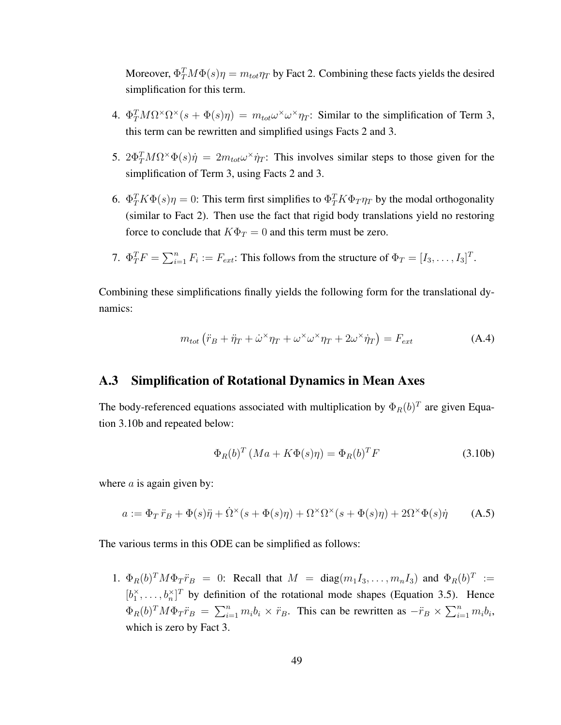Moreover,  $\Phi_T^T M \Phi(s) \eta = m_{tot} \eta_T$  by Fact 2. Combining these facts yields the desired simplification for this term.

- 4.  $\Phi_T^T M \Omega^{\times} \Omega^{\times} (s + \Phi(s) \eta) = m_{tot} \omega^{\times} \omega^{\times} \eta_T$ : Similar to the simplification of Term 3, this term can be rewritten and simplified usings Facts 2 and 3.
- 5.  $2\Phi_T^T M \Omega^{\times} \Phi(s) \dot{\eta} = 2m_{tot} \omega^{\times} \dot{\eta}_T$ : This involves similar steps to those given for the simplification of Term 3, using Facts 2 and 3.
- 6.  $\Phi_T^T K \Phi(s) \eta = 0$ : This term first simplifies to  $\Phi_T^T K \Phi_T \eta_T$  by the modal orthogonality (similar to Fact 2). Then use the fact that rigid body translations yield no restoring force to conclude that  $K\Phi_T = 0$  and this term must be zero.

7. 
$$
\Phi_T^T F = \sum_{i=1}^n F_i := F_{ext}
$$
: This follows from the structure of  $\Phi_T = [I_3, \ldots, I_3]^T$ .

Combining these simplifications finally yields the following form for the translational dynamics:

$$
m_{tot} (\ddot{r}_B + \ddot{\eta}_T + \dot{\omega}^\times \eta_T + \omega^\times \omega^\times \eta_T + 2\omega^\times \dot{\eta}_T) = F_{ext}
$$
 (A.4)

#### A.3 Simplification of Rotational Dynamics in Mean Axes

The body-referenced equations associated with multiplication by  $\Phi_R(b)^T$  are given Equation 3.10b and repeated below:

$$
\Phi_R(b)^T \left( Ma + K\Phi(s)\eta \right) = \Phi_R(b)^T F \tag{3.10b}
$$

where  $a$  is again given by:

$$
a := \Phi_T \ddot{r}_B + \Phi(s)\ddot{\eta} + \dot{\Omega}^{\times}(s + \Phi(s)\eta) + \Omega^{\times}\Omega^{\times}(s + \Phi(s)\eta) + 2\Omega^{\times}\Phi(s)\dot{\eta}
$$
 (A.5)

The various terms in this ODE can be simplified as follows:

1.  $\Phi_R(b)^T M \Phi_T \ddot{r}_B = 0$ : Recall that  $M = \text{diag}(m_1 I_3, \dots, m_n I_3)$  and  $\Phi_R(b)^T :=$  $[b_1^{\times}, \ldots, b_n^{\times}]^T$  by definition of the rotational mode shapes (Equation 3.5). Hence  $\Phi_R(b)^T M \Phi_T \ddot{r}_B = \sum_{i=1}^n m_i b_i \times \ddot{r}_B$ . This can be rewritten as  $-\ddot{r}_B \times \sum_{i=1}^n m_i b_i$ , which is zero by Fact 3.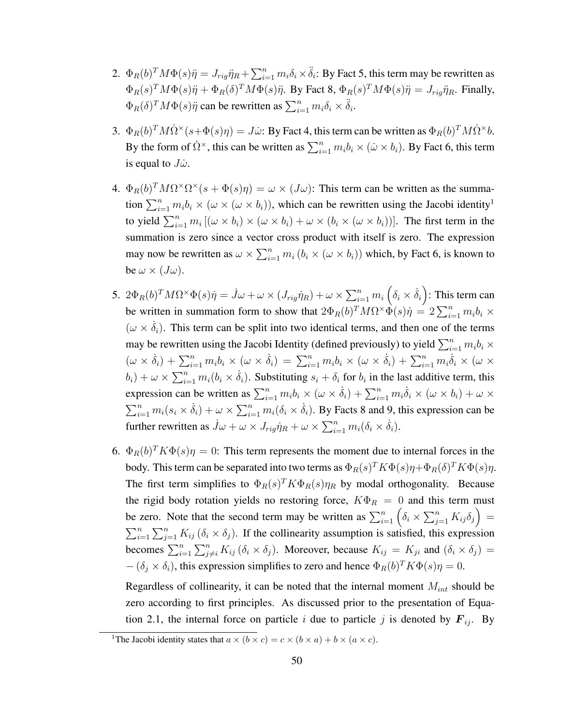- 2.  $\Phi_R(b)^T M \Phi(s) \ddot{\eta} = J_{rig} \ddot{\eta}_R + \sum_{i=1}^n m_i \delta_i \times \ddot{\delta}_i$ : By Fact 5, this term may be rewritten as  $\Phi_R(s)^T M \Phi(s) \ddot{\eta} + \Phi_R(\delta)^T M \Phi(s) \ddot{\eta}$ . By Fact 8,  $\Phi_R(s)^T M \Phi(s) \ddot{\eta} = J_{rig} \ddot{\eta}_R$ . Finally,  $\Phi_R(\delta)^T M \Phi(s) \ddot{\eta}$  can be rewritten as  $\sum_{i=1}^n m_i \delta_i \times \ddot{\delta}_i$ .
- 3.  $\Phi_R(b)^T M \dot{\Omega}^{\times} (s + \Phi(s) \eta) = J \dot{\omega}$ : By Fact 4, this term can be written as  $\Phi_R(b)^T M \dot{\Omega}^{\times} b$ . By the form of  $\dot{\Omega}^{\times}$ , this can be written as  $\sum_{i=1}^{n} m_i b_i \times (\dot{\omega} \times b_i)$ . By Fact 6, this term is equal to  $J\dot{\omega}$ .
- 4.  $\Phi_R(b)^T M \Omega^\times \Omega^\times (s + \Phi(s) \eta) = \omega \times (J\omega)$ : This term can be written as the summation  $\sum_{i=1}^n m_i b_i \times (\omega \times (\omega \times b_i))$ , which can be rewritten using the Jacobi identity<sup>1</sup> to yield  $\sum_{i=1}^n m_i [(\omega \times b_i) \times (\omega \times b_i) + \omega \times (b_i \times (\omega \times b_i))]$ . The first term in the summation is zero since a vector cross product with itself is zero. The expression may now be rewritten as  $\omega \times \sum_{i=1}^n m_i (b_i \times (\omega \times b_i))$  which, by Fact 6, is known to be  $\omega \times (J\omega)$ .
- 5.  $2\Phi_R(b)^TM\Omega^\times\Phi(s)\dot{\eta}=\dot{J}\omega+\omega\times(J_{rig}\dot{\eta}_R)+\omega\times\sum_{i=1}^nm_i\left(\delta_i\times\dot{\delta}_i\right)$ : This term can be written in summation form to show that  $2\Phi_R(b)^T M \Omega^{\times} \hat{\Phi}(s) \eta = 2\sum_{i=1}^n m_i b_i \times$  $(\omega \times \dot{\delta}_i)$ . This term can be split into two identical terms, and then one of the terms may be rewritten using the Jacobi Identity (defined previously) to yield  $\sum_{i=1}^{n} m_i b_i \times$  $(\omega \times \dot{\delta}_i) + \sum_{i=1}^n m_i b_i \times (\omega \times \dot{\delta}_i) = \sum_{i=1}^n m_i b_i \times (\omega \times \dot{\delta}_i) + \sum_{i=1}^n m_i \dot{\delta}_i \times (\omega \times \delta_i)$  $(b_i) + \omega \times \sum_{i=1}^n m_i (b_i \times \dot{\delta}_i)$ . Substituting  $s_i + \delta_i$  for  $b_i$  in the last additive term, this expression can be written as  $\sum_{i=1}^{n} m_i b_i \times (\omega \times \dot{\delta}_i) + \sum_{i=1}^{n} m_i \dot{\delta}_i \times (\omega \times b_i) + \omega \times$  $\sum_{i=1}^n m_i(s_i \times \dot{\delta}_i) + \omega \times \sum_{i=1}^n m_i(\delta_i \times \dot{\delta}_i)$ . By Facts 8 and 9, this expression can be further rewritten as  $\dot{J}\omega + \omega \times J_{rig}\dot{\eta}_R + \omega \times \sum_{i=1}^n m_i(\delta_i \times \dot{\delta}_i)$ .
- 6.  $\Phi_R(b)^T K \Phi(s) \eta = 0$ : This term represents the moment due to internal forces in the body. This term can be separated into two terms as  $\Phi_R(s)^TK\Phi(s)\eta+\Phi_R(\delta)^TK\Phi(s)\eta.$ The first term simplifies to  $\Phi_R(s)^T K \Phi_R(s) \eta_R$  by modal orthogonality. Because the rigid body rotation yields no restoring force,  $K\Phi_R = 0$  and this term must be zero. Note that the second term may be written as  $\sum_{i=1}^{n} (\delta_i \times \sum_{j=1}^{n} K_{ij} \delta_j) =$  $\sum_{i=1}^n \sum_{j=1}^n K_{ij} (\delta_i \times \delta_j)$ . If the collinearity assumption is satisfied, this expression becomes  $\sum_{i=1}^n \sum_{j \neq i}^n K_{ij} (\delta_i \times \delta_j)$ . Moreover, because  $K_{ij} = K_{ji}$  and  $(\delta_i \times \delta_j) =$  $-(\delta_j \times \delta_i)$ , this expression simplifies to zero and hence  $\Phi_R(b)^T K \Phi(s) \eta = 0$ .

Regardless of collinearity, it can be noted that the internal moment  $M_{int}$  should be zero according to first principles. As discussed prior to the presentation of Equation 2.1, the internal force on particle i due to particle j is denoted by  $F_{ij}$ . By

<sup>&</sup>lt;sup>1</sup>The Jacobi identity states that  $a \times (b \times c) = c \times (b \times a) + b \times (a \times c)$ .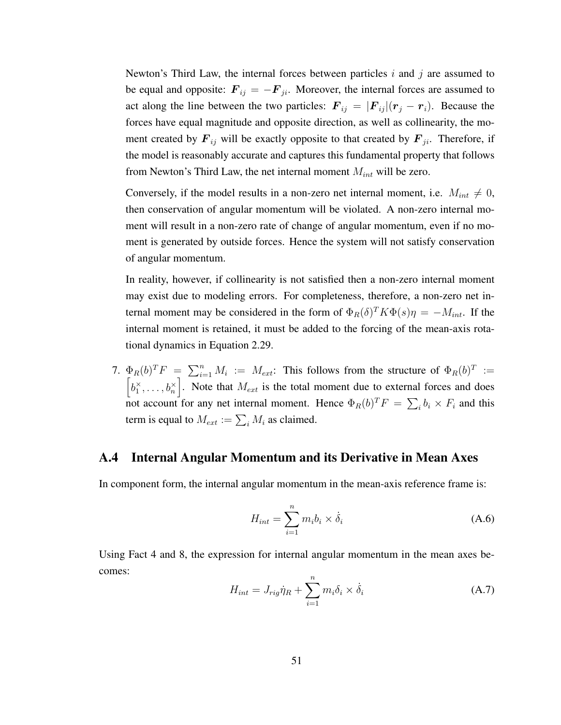Newton's Third Law, the internal forces between particles  $i$  and  $j$  are assumed to be equal and opposite:  $\mathbf{F}_{ij} = -\mathbf{F}_{ji}$ . Moreover, the internal forces are assumed to act along the line between the two particles:  $\mathbf{F}_{ij} = |\mathbf{F}_{ij}|(\mathbf{r}_j - \mathbf{r}_i)$ . Because the forces have equal magnitude and opposite direction, as well as collinearity, the moment created by  $F_{ij}$  will be exactly opposite to that created by  $F_{ji}$ . Therefore, if the model is reasonably accurate and captures this fundamental property that follows from Newton's Third Law, the net internal moment  $M_{int}$  will be zero.

Conversely, if the model results in a non-zero net internal moment, i.e.  $M_{int} \neq 0$ , then conservation of angular momentum will be violated. A non-zero internal moment will result in a non-zero rate of change of angular momentum, even if no moment is generated by outside forces. Hence the system will not satisfy conservation of angular momentum.

In reality, however, if collinearity is not satisfied then a non-zero internal moment may exist due to modeling errors. For completeness, therefore, a non-zero net internal moment may be considered in the form of  $\Phi_R(\delta)^T K \Phi(s) \eta = -M_{int}$ . If the internal moment is retained, it must be added to the forcing of the mean-axis rotational dynamics in Equation 2.29.

7.  $\Phi_R(b)^T F = \sum_{i=1}^n M_i := M_{ext}$ : This follows from the structure of  $\Phi_R(b)^T :=$  $\left[b_1^{\times}, \ldots, b_n^{\times}\right]$ . Note that  $M_{ext}$  is the total moment due to external forces and does not account for any net internal moment. Hence  $\Phi_R(b)^T F = \sum_i b_i \times F_i$  and this term is equal to  $M_{ext} := \sum_i M_i$  as claimed.

#### A.4 Internal Angular Momentum and its Derivative in Mean Axes

In component form, the internal angular momentum in the mean-axis reference frame is:

$$
H_{int} = \sum_{i=1}^{n} m_i b_i \times \dot{\delta}_i
$$
 (A.6)

Using Fact 4 and 8, the expression for internal angular momentum in the mean axes becomes:

$$
H_{int} = J_{rig} \dot{\eta}_R + \sum_{i=1}^n m_i \delta_i \times \dot{\delta}_i
$$
 (A.7)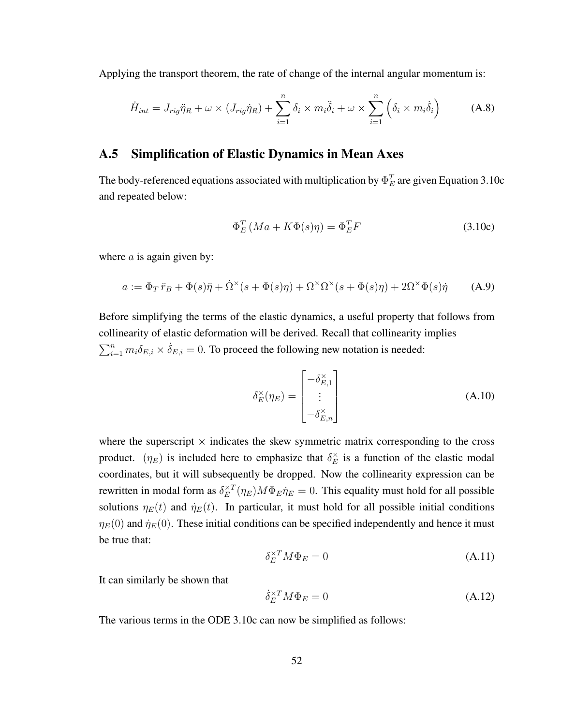Applying the transport theorem, the rate of change of the internal angular momentum is:

$$
\dot{H}_{int} = J_{rig}\ddot{\eta}_R + \omega \times (J_{rig}\dot{\eta}_R) + \sum_{i=1}^n \delta_i \times m_i \ddot{\delta}_i + \omega \times \sum_{i=1}^n \left(\delta_i \times m_i \dot{\delta}_i\right) \tag{A.8}
$$

#### A.5 Simplification of Elastic Dynamics in Mean Axes

The body-referenced equations associated with multiplication by  $\Phi_E^T$  are given Equation 3.10c and repeated below:

$$
\Phi_E^T (Ma + K\Phi(s)\eta) = \Phi_E^T F \tag{3.10c}
$$

where  $a$  is again given by:

$$
a := \Phi_T \ddot{r}_B + \Phi(s)\ddot{\eta} + \dot{\Omega}^{\times}(s + \Phi(s)\eta) + \Omega^{\times}\Omega^{\times}(s + \Phi(s)\eta) + 2\Omega^{\times}\Phi(s)\dot{\eta}
$$
 (A.9)

Before simplifying the terms of the elastic dynamics, a useful property that follows from collinearity of elastic deformation will be derived. Recall that collinearity implies  $\sum_{i=1}^{n} m_i \delta_{E,i} \times \dot{\delta}_{E,i} = 0$ . To proceed the following new notation is needed:

$$
\delta_E^{\times}(\eta_E) = \begin{bmatrix} -\delta_{E,1}^{\times} \\ \vdots \\ -\delta_{E,n}^{\times} \end{bmatrix}
$$
 (A.10)

where the superscript  $\times$  indicates the skew symmetric matrix corresponding to the cross product.  $(\eta_E)$  is included here to emphasize that  $\delta_E^{\times}$  $\sum_{E}^{\times}$  is a function of the elastic modal coordinates, but it will subsequently be dropped. Now the collinearity expression can be rewritten in modal form as  $\delta_E^{\times T}$  $E_E^{\times T}(\eta_E) M \Phi_E \dot{\eta}_E = 0$ . This equality must hold for all possible solutions  $\eta_E(t)$  and  $\dot{\eta}_E(t)$ . In particular, it must hold for all possible initial conditions  $\eta_E(0)$  and  $\dot{\eta}_E(0)$ . These initial conditions can be specified independently and hence it must be true that:

$$
\delta_E^{\times T} M \Phi_E = 0 \tag{A.11}
$$

It can similarly be shown that

$$
\dot{\delta}_E^{\times T} M \Phi_E = 0 \tag{A.12}
$$

The various terms in the ODE 3.10c can now be simplified as follows: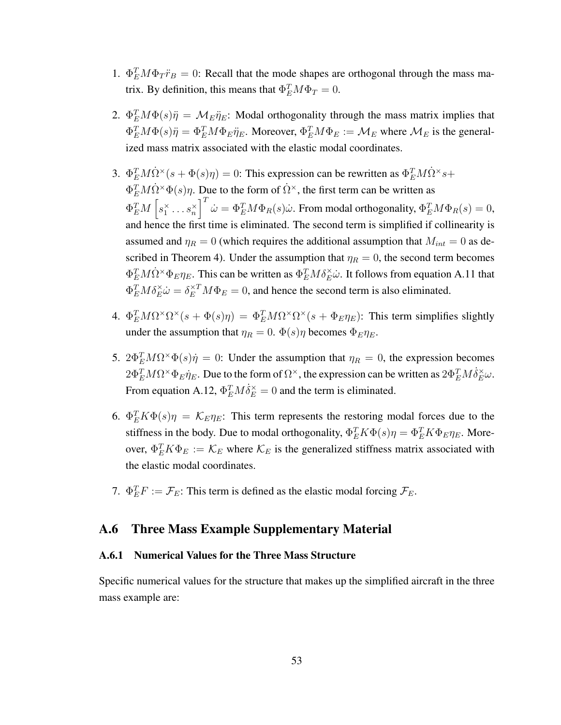- 1.  $\Phi_E^T M \Phi_T \ddot{r}_B = 0$ : Recall that the mode shapes are orthogonal through the mass matrix. By definition, this means that  $\Phi_E^T M \Phi_T = 0$ .
- 2.  $\Phi_E^T M \Phi(s) \ddot{\eta} = \mathcal{M}_E \ddot{\eta}_E$ : Modal orthogonality through the mass matrix implies that  $\Phi_E^T M \Phi(s) \ddot{\eta} = \Phi_E^T M \Phi_E \ddot{\eta}_E$ . Moreover,  $\Phi_E^T M \Phi_E := \mathcal{M}_E$  where  $\mathcal{M}_E$  is the generalized mass matrix associated with the elastic modal coordinates.
- 3.  $\Phi_E^T M \dot{\Omega}^{\times} (s + \Phi(s)\eta) = 0$ : This expression can be rewritten as  $\Phi_E^T M \dot{\Omega}^{\times} s +$  $\Phi_E^T M \dot{\Omega}^{\times} \Phi(s) \eta$ . Due to the form of  $\dot{\Omega}^{\times}$ , the first term can be written as  $\Phi_E^T M\left[s_1^\times \dots s_n^\times \right]^T \dot\omega = \Phi_E^T M \Phi_R(s) \dot\omega.$  From modal orthogonality,  $\Phi_E^T M \Phi_R(s) = 0,$ and hence the first time is eliminated. The second term is simplified if collinearity is assumed and  $\eta_R = 0$  (which requires the additional assumption that  $M_{int} = 0$  as described in Theorem 4). Under the assumption that  $\eta_R = 0$ , the second term becomes  $\Phi_E^T M \dot{\Omega}^* \Phi_E \eta_E$ . This can be written as  $\Phi_E^T M \delta_E^* \dot{\omega}$ . It follows from equation A.11 that  $\Phi_E^T M \delta_E^{\times \omega} = \delta_E^{\times T} M \Phi_E = 0$ , and hence the second term is also eliminated.
- 4.  $\Phi_E^T M \Omega^\times \Omega^\times (s + \Phi(s) \eta) = \Phi_E^T M \Omega^\times \Omega^\times (s + \Phi_E \eta_E)$ : This term simplifies slightly under the assumption that  $\eta_R = 0$ .  $\Phi(s)\eta$  becomes  $\Phi_E \eta_E$ .
- 5.  $2\Phi_E^T M \Omega^{\times} \Phi(s) \dot{\eta} = 0$ : Under the assumption that  $\eta_R = 0$ , the expression becomes  $2\Phi_E^T M \Omega^\times \Phi_E \eta_E$ . Due to the form of  $\Omega^\times$ , the expression can be written as  $2\Phi_E^T M \dot{\delta}_E^\times \omega$ . From equation A.12,  $\Phi_E^T M \dot{\delta}_E^{\times} = 0$  and the term is eliminated.
- 6.  $\Phi_E^T K \Phi(s) \eta = \mathcal{K}_E \eta_E$ : This term represents the restoring modal forces due to the stiffness in the body. Due to modal orthogonality,  $\Phi_E^T K \Phi(s) \eta = \Phi_E^T K \Phi_E \eta_E$ . Moreover,  $\Phi_E^T K \Phi_E := \mathcal{K}_E$  where  $\mathcal{K}_E$  is the generalized stiffness matrix associated with the elastic modal coordinates.
- 7.  $\Phi_E^T F := \mathcal{F}_E$ : This term is defined as the elastic modal forcing  $\mathcal{F}_E$ .

#### A.6 Three Mass Example Supplementary Material

#### A.6.1 Numerical Values for the Three Mass Structure

Specific numerical values for the structure that makes up the simplified aircraft in the three mass example are: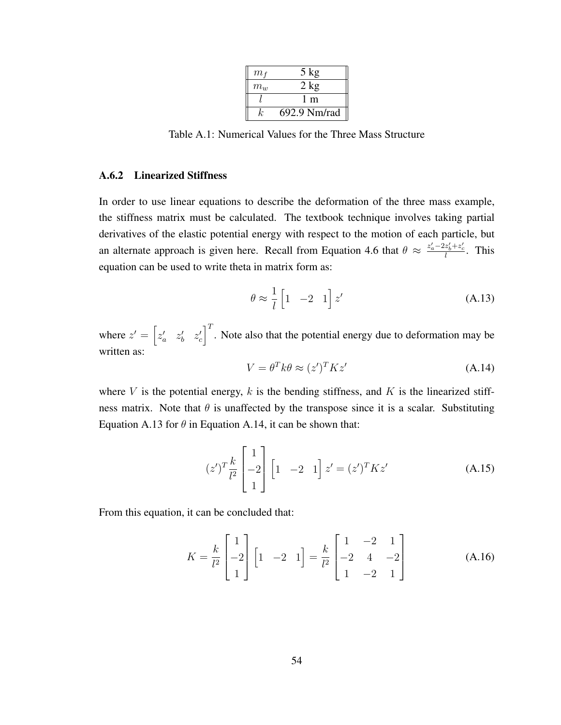| m <sub>f</sub> | $5 \text{ kg}$ |
|----------------|----------------|
| $m_w$          | $2 \text{ kg}$ |
|                | l m            |
| k              | 692.9 Nm/rad   |

Table A.1: Numerical Values for the Three Mass Structure

#### A.6.2 Linearized Stiffness

In order to use linear equations to describe the deformation of the three mass example, the stiffness matrix must be calculated. The textbook technique involves taking partial derivatives of the elastic potential energy with respect to the motion of each particle, but an alternate approach is given here. Recall from Equation 4.6 that  $\theta \approx \frac{z'_a - 2z'_b + z'_c}{l}$ . This equation can be used to write theta in matrix form as:

$$
\theta \approx \frac{1}{l} \begin{bmatrix} 1 & -2 & 1 \end{bmatrix} z'
$$
 (A.13)

where  $z' = \begin{bmatrix} z'_a & z'_b & z'_c \end{bmatrix}^T$ . Note also that the potential energy due to deformation may be written as:

$$
V = \theta^T k \theta \approx (z')^T K z' \tag{A.14}
$$

where  $V$  is the potential energy,  $k$  is the bending stiffness, and  $K$  is the linearized stiffness matrix. Note that  $\theta$  is unaffected by the transpose since it is a scalar. Substituting Equation A.13 for  $\theta$  in Equation A.14, it can be shown that:

$$
(z')^T \frac{k}{l^2} \begin{bmatrix} 1 \\ -2 \\ 1 \end{bmatrix} \begin{bmatrix} 1 & -2 & 1 \end{bmatrix} z' = (z')^T K z'
$$
 (A.15)

From this equation, it can be concluded that:

$$
K = \frac{k}{l^2} \begin{bmatrix} 1 \\ -2 \\ 1 \end{bmatrix} \begin{bmatrix} 1 & -2 & 1 \end{bmatrix} = \frac{k}{l^2} \begin{bmatrix} 1 & -2 & 1 \\ -2 & 4 & -2 \\ 1 & -2 & 1 \end{bmatrix}
$$
 (A.16)